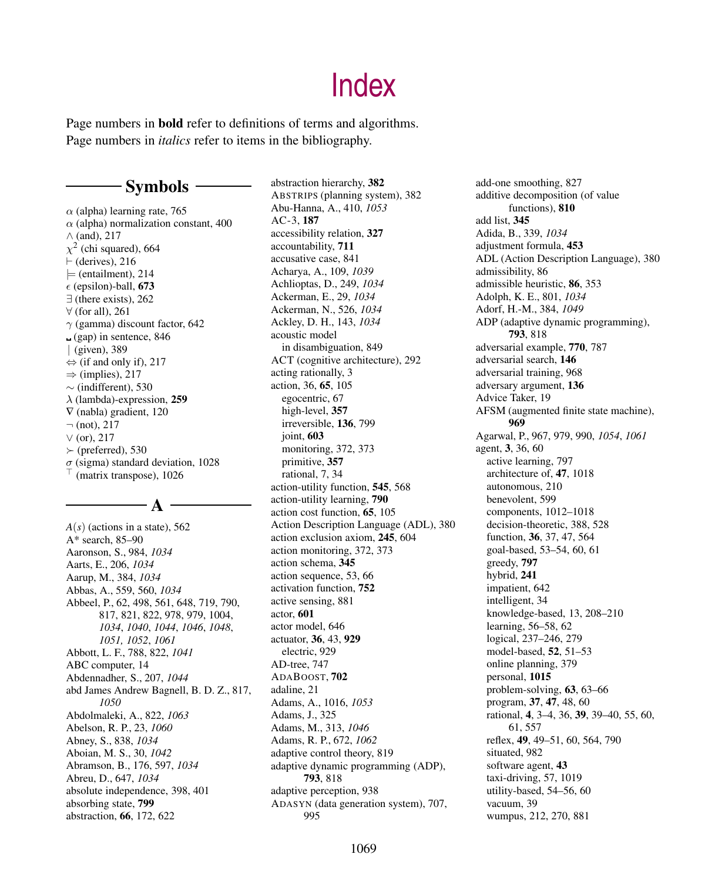Page numbers in bold refer to definitions of terms and algorithms. Page numbers in *italics* refer to items in the bibliography.

# - Symbols -

 $\alpha$  (alpha) learning rate, 765  $\alpha$  (alpha) normalization constant, 400 ∧ (and), 217  $\chi^2$  (chi squared), 664 ⊢ (derives), 216  $\models$  (entailment), 214  $\epsilon$  (epsilon)-ball, 673 ∃ (there exists), 262 ∀ (for all), 261  $\gamma$  (gamma) discount factor, 642 (gap) in sentence, 846 | (given), 389  $\Leftrightarrow$  (if and only if), 217  $\Rightarrow$  (implies), 217 ∼ (indifferent), 530  $\lambda$  (lambda)-expression, 259 ∇ (nabla) gradient, 120  $\neg$  (not), 217 ∨ (or), 217 ≻ (preferred), 530  $\sigma$  (sigma) standard deviation, 1028 (matrix transpose), 1026

### A

*A*(*s*) (actions in a state), 562 A\* search, 85–90 Aaronson, S., 984, *1034* Aarts, E., 206, *1034* Aarup, M., 384, *1034* Abbas, A., 559, 560, *1034* Abbeel, P., 62, 498, 561, 648, 719, 790, 817, 821, 822, 978, 979, 1004, *1034*, *1040*, *1044*, *1046*, *1048*, *1051, 1052*, *1061* Abbott, L. F., 788, 822, *1041* ABC computer, 14 Abdennadher, S., 207, *1044* abd James Andrew Bagnell, B. D. Z., 817, *1050* Abdolmaleki, A., 822, *1063* Abelson, R. P., 23, *1060* Abney, S., 838, *1034* Aboian, M. S., 30, *1042* Abramson, B., 176, 597, *1034* Abreu, D., 647, *1034* absolute independence, 398, 401 absorbing state, 799 abstraction, 66, 172, 622

abstraction hierarchy, 382 ABSTRIPS (planning system), 382 Abu-Hanna, A., 410, *1053* AC-3, 187 accessibility relation, 327 accountability, 711 accusative case, 841 Acharya, A., 109, *1039* Achlioptas, D., 249, *1034* Ackerman, E., 29, *1034* Ackerman, N., 526, *1034* Ackley, D. H., 143, *1034* acoustic model in disambiguation, 849 ACT (cognitive architecture), 292 acting rationally, 3 action, 36, 65, 105 egocentric, 67 high-level, 357 irreversible, 136, 799 joint, 603 monitoring, 372, 373 primitive, 357 rational, 7, 34 action-utility function, 545, 568 action-utility learning, 790 action cost function, 65, 105 Action Description Language (ADL), 380 action exclusion axiom, 245, 604 action monitoring, 372, 373 action schema, 345 action sequence, 53, 66 activation function, 752 active sensing, 881 actor, 601 actor model, 646 actuator, 36, 43, 929 electric, 929 AD-tree, 747 ADABOOST, 702 adaline, 21 Adams, A., 1016, *1053* Adams, J., 325 Adams, M., 313, *1046* Adams, R. P., 672, *1062* adaptive control theory, 819 adaptive dynamic programming (ADP), 793, 818 adaptive perception, 938 ADASYN (data generation system), 707, 995

add-one smoothing, 827 additive decomposition (of value functions), 810 add list, 345 Adida, B., 339, *1034* adjustment formula, 453 ADL (Action Description Language), 380 admissibility, 86 admissible heuristic, 86, 353 Adolph, K. E., 801, *1034* Adorf, H.-M., 384, *1049* ADP (adaptive dynamic programming), 793, 818 adversarial example, 770, 787 adversarial search, 146 adversarial training, 968 adversary argument, 136 Advice Taker, 19 AFSM (augmented finite state machine), 969 Agarwal, P., 967, 979, 990, *1054*, *1061* agent, 3, 36, 60 active learning, 797 architecture of, 47, 1018 autonomous, 210 benevolent, 599 components, 1012–1018 decision-theoretic, 388, 528 function, 36, 37, 47, 564 goal-based, 53–54, 60, 61 greedy, 797 hybrid, 241 impatient, 642 intelligent, 34 knowledge-based, 13, 208–210 learning, 56–58, 62 logical, 237–246, 279 model-based, 52, 51–53 online planning, 379 personal, 1015 problem-solving, 63, 63–66 program, 37, 47, 48, 60 rational, 4, 3–4, 36, 39, 39–40, 55, 60, 61, 557 reflex, 49, 49–51, 60, 564, 790 situated, 982 software agent, 43 taxi-driving, 57, 1019 utility-based, 54–56, 60 vacuum, 39 wumpus, 212, 270, 881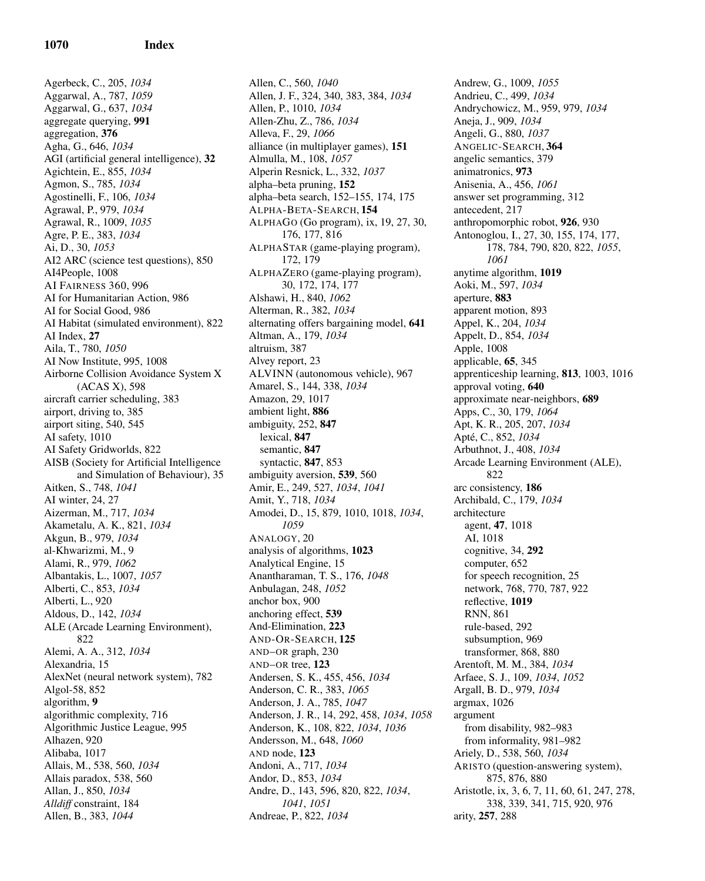Agerbeck, C., 205, *1034* Aggarwal, A., 787, *1059* Aggarwal, G., 637, *1034* aggregate querying, 991 aggregation, 376 Agha, G., 646, *1034* AGI (artificial general intelligence), 32 Agichtein, E., 855, *1034* Agmon, S., 785, *1034* Agostinelli, F., 106, *1034* Agrawal, P., 979, *1034* Agrawal, R., 1009, *1035* Agre, P. E., 383, *1034* Ai, D., 30, *1053* AI2 ARC (science test questions), 850 AI4People, 1008 AI FAIRNESS 360, 996 AI for Humanitarian Action, 986 AI for Social Good, 986 AI Habitat (simulated environment), 822 AI Index, 27 Aila, T., 780, *1050* AI Now Institute, 995, 1008 Airborne Collision Avoidance System X (ACAS X), 598 aircraft carrier scheduling, 383 airport, driving to, 385 airport siting, 540, 545 AI safety, 1010 AI Safety Gridworlds, 822 AISB (Society for Artificial Intelligence and Simulation of Behaviour), 35 Aitken, S., 748, *1041* AI winter, 24, 27 Aizerman, M., 717, *1034* Akametalu, A. K., 821, *1034* Akgun, B., 979, *1034* al-Khwarizmi, M., 9 Alami, R., 979, *1062* Albantakis, L., 1007, *1057* Alberti, C., 853, *1034* Alberti, L., 920 Aldous, D., 142, *1034* ALE (Arcade Learning Environment), 822 Alemi, A. A., 312, *1034* Alexandria, 15 AlexNet (neural network system), 782 Algol-58, 852 algorithm, 9 algorithmic complexity, 716 Algorithmic Justice League, 995 Alhazen, 920 Alibaba, 1017 Allais, M., 538, 560, *1034* Allais paradox, 538, 560 Allan, J., 850, *1034 Alldiff* constraint, 184 Allen, B., 383, *1044*

Allen, C., 560, *1040* Allen, J. F., 324, 340, 383, 384, *1034* Allen, P., 1010, *1034* Allen-Zhu, Z., 786, *1034* Alleva, F., 29, *1066* alliance (in multiplayer games), 151 Almulla, M., 108, *1057* Alperin Resnick, L., 332, *1037* alpha–beta pruning, 152 alpha–beta search, 152–155, 174, 175 ALPHA-BETA-SEARCH, 154 ALPHAGO (Go program), ix, 19, 27, 30, 176, 177, 816 ALPHASTAR (game-playing program), 172, 179 ALPHAZERO (game-playing program), 30, 172, 174, 177 Alshawi, H., 840, *1062* Alterman, R., 382, *1034* alternating offers bargaining model, 641 Altman, A., 179, *1034* altruism, 387 Alvey report, 23 ALVINN (autonomous vehicle), 967 Amarel, S., 144, 338, *1034* Amazon, 29, 1017 ambient light, 886 ambiguity, 252, 847 lexical, 847 semantic, 847 syntactic, 847, 853 ambiguity aversion, 539, 560 Amir, E., 249, 527, *1034*, *1041* Amit, Y., 718, *1034* Amodei, D., 15, 879, 1010, 1018, *1034*, *1059* ANALOGY, 20 analysis of algorithms, 1023 Analytical Engine, 15 Anantharaman, T. S., 176, *1048* Anbulagan, 248, *1052* anchor box, 900 anchoring effect, 539 And-Elimination, 223 AND-OR-SEARCH, 125 AND–OR graph, 230 AND–OR tree, 123 Andersen, S. K., 455, 456, *1034* Anderson, C. R., 383, *1065* Anderson, J. A., 785, *1047* Anderson, J. R., 14, 292, 458, *1034*, *1058* Anderson, K., 108, 822, *1034*, *1036* Andersson, M., 648, *1060* AND node, 123 Andoni, A., 717, *1034* Andor, D., 853, *1034* Andre, D., 143, 596, 820, 822, *1034*, *1041*, *1051* Andreae, P., 822, *1034*

Andrew, G., 1009, *1055* Andrieu, C., 499, *1034* Andrychowicz, M., 959, 979, *1034* Aneja, J., 909, *1034* Angeli, G., 880, *1037* ANGELIC-SEARCH, 364 angelic semantics, 379 animatronics, 973 Anisenia, A., 456, *1061* answer set programming, 312 antecedent, 217 anthropomorphic robot, 926, 930 Antonoglou, I., 27, 30, 155, 174, 177, 178, 784, 790, 820, 822, *1055*, *1061* anytime algorithm, 1019 Aoki, M., 597, *1034* aperture, 883 apparent motion, 893 Appel, K., 204, *1034* Appelt, D., 854, *1034* Apple, 1008 applicable, 65, 345 apprenticeship learning, 813, 1003, 1016 approval voting, 640 approximate near-neighbors, 689 Apps, C., 30, 179, *1064* Apt, K. R., 205, 207, *1034* Apté, C., 852, 1034 Arbuthnot, J., 408, *1034* Arcade Learning Environment (ALE), 822 arc consistency, 186 Archibald, C., 179, *1034* architecture agent, 47, 1018 AI, 1018 cognitive, 34, 292 computer, 652 for speech recognition, 25 network, 768, 770, 787, 922 reflective, 1019 RNN, 861 rule-based, 292 subsumption, 969 transformer, 868, 880 Arentoft, M. M., 384, *1034* Arfaee, S. J., 109, *1034*, *1052* Argall, B. D., 979, *1034* argmax, 1026 argument from disability, 982–983 from informality, 981–982 Ariely, D., 538, 560, *1034* ARISTO (question-answering system), 875, 876, 880 Aristotle, ix, 3, 6, 7, 11, 60, 61, 247, 278, 338, 339, 341, 715, 920, 976 arity, 257, 288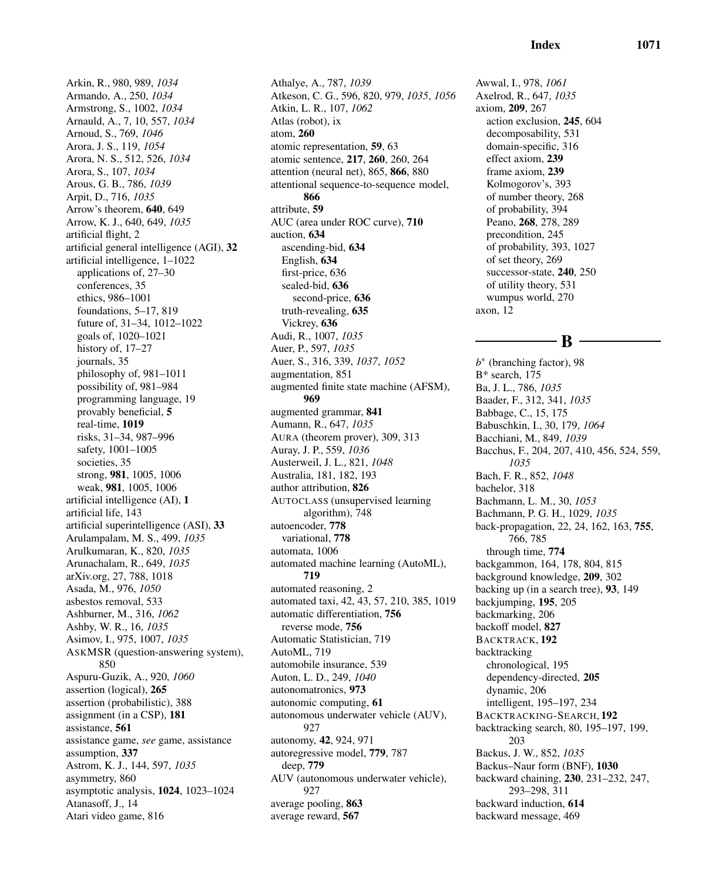Arkin, R., 980, 989, *1034* Armando, A., 250, *1034* Armstrong, S., 1002, *1034* Arnauld, A., 7, 10, 557, *1034* Arnoud, S., 769, *1046* Arora, J. S., 119, *1054* Arora, N. S., 512, 526, *1034* Arora, S., 107, *1034* Arous, G. B., 786, *1039* Arpit, D., 716, *1035* Arrow's theorem, 640, 649 Arrow, K. J., 640, 649, *1035* artificial flight, 2 artificial general intelligence (AGI), 32 artificial intelligence, 1–1022 applications of, 27–30 conferences, 35 ethics, 986–1001 foundations, 5–17, 819 future of, 31–34, 1012–1022 goals of, 1020–1021 history of, 17–27 journals, 35 philosophy of, 981–1011 possibility of, 981–984 programming language, 19 provably beneficial, 5 real-time, 1019 risks, 31–34, 987–996 safety, 1001–1005 societies, 35 strong, 981, 1005, 1006 weak, 981, 1005, 1006 artificial intelligence (AI), 1 artificial life, 143 artificial superintelligence (ASI), 33 Arulampalam, M. S., 499, *1035* Arulkumaran, K., 820, *1035* Arunachalam, R., 649, *1035* arXiv.org, 27, 788, 1018 Asada, M., 976, *1050* asbestos removal, 533 Ashburner, M., 316, *1062* Ashby, W. R., 16, *1035* Asimov, I., 975, 1007, *1035* ASKMSR (question-answering system), 850 Aspuru-Guzik, A., 920, *1060* assertion (logical), 265 assertion (probabilistic), 388 assignment (in a CSP), 181 assistance, 561 assistance game, *see* game, assistance assumption, 337 Astrom, K. J., 144, 597, *1035* asymmetry, 860 asymptotic analysis, 1024, 1023–1024 Atanasoff, J., 14 Atari video game, 816

Athalye, A., 787, *1039* Atkeson, C. G., 596, 820, 979, *1035*, *1056* Atkin, L. R., 107, *1062* Atlas (robot), ix atom, 260 atomic representation, 59, 63 atomic sentence, 217, 260, 260, 264 attention (neural net), 865, 866, 880 attentional sequence-to-sequence model, 866 attribute, 59 AUC (area under ROC curve), 710 auction, 634 ascending-bid, 634 English, 634 first-price, 636 sealed-bid, 636 second-price, 636 truth-revealing, 635 Vickrey, 636 Audi, R., 1007, *1035* Auer, P., 597, *1035* Auer, S., 316, 339, *1037*, *1052* augmentation, 851 augmented finite state machine (AFSM), 969 augmented grammar, 841 Aumann, R., 647, *1035* AURA (theorem prover), 309, 313 Auray, J. P., 559, *1036* Austerweil, J. L., 821, *1048* Australia, 181, 182, 193 author attribution, 826 AUTOCLASS (unsupervised learning algorithm), 748 autoencoder, 778 variational, 778 automata, 1006 automated machine learning (AutoML), 719 automated reasoning, 2 automated taxi, 42, 43, 57, 210, 385, 1019 automatic differentiation, 756 reverse mode, 756 Automatic Statistician, 719 AutoML, 719 automobile insurance, 539 Auton, L. D., 249, *1040* autonomatronics, 973 autonomic computing, 61 autonomous underwater vehicle (AUV), 927 autonomy, 42, 924, 971 autoregressive model, 779, 787 deep, 779 AUV (autonomous underwater vehicle), 927 average pooling, 863 average reward, 567

Awwal, I., 978, *1061* Axelrod, R., 647, *1035* axiom, 209, 267 action exclusion, 245, 604 decomposability, 531 domain-specific, 316 effect axiom, 239 frame axiom, 239 Kolmogorov's, 393 of number theory, 268 of probability, 394 Peano, 268, 278, 289 precondition, 245 of probability, 393, 1027 of set theory, 269 successor-state, 240, 250 of utility theory, 531 wumpus world, 270 axon, 12

B

*b* ∗ (branching factor), 98 B\* search, 175 Ba, J. L., 786, *1035* Baader, F., 312, 341, *1035* Babbage, C., 15, 175 Babuschkin, I., 30, 179, *1064* Bacchiani, M., 849, *1039* Bacchus, F., 204, 207, 410, 456, 524, 559, *1035* Bach, F. R., 852, *1048* bachelor, 318 Bachmann, L. M., 30, *1053* Bachmann, P. G. H., 1029, *1035* back-propagation, 22, 24, 162, 163, 755, 766, 785 through time, 774 backgammon, 164, 178, 804, 815 background knowledge, 209, 302 backing up (in a search tree), 93, 149 backjumping, 195, 205 backmarking, 206 backoff model, 827 BACKTRACK, 192 backtracking chronological, 195 dependency-directed, 205 dynamic, 206 intelligent, 195–197, 234 BACKTRACKING-SEARCH, 192 backtracking search, 80, 195–197, 199, 203 Backus, J. W., 852, *1035* Backus–Naur form (BNF), 1030 backward chaining, 230, 231–232, 247, 293–298, 311 backward induction, 614 backward message, 469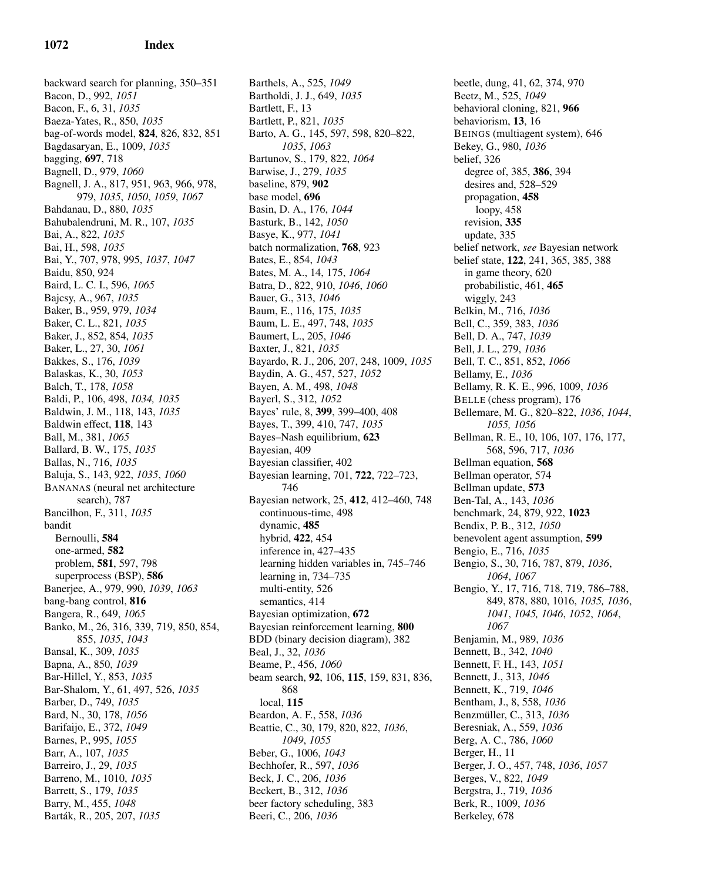backward search for planning, 350–351 Bacon, D., 992, *1051* Bacon, F., 6, 31, *1035* Baeza-Yates, R., 850, *1035* bag-of-words model, 824, 826, 832, 851 Bagdasaryan, E., 1009, *1035* bagging, 697, 718 Bagnell, D., 979, *1060* Bagnell, J. A., 817, 951, 963, 966, 978, 979, *1035*, *1050*, *1059*, *1067* Bahdanau, D., 880, *1035* Bahubalendruni, M. R., 107, *1035* Bai, A., 822, *1035* Bai, H., 598, *1035* Bai, Y., 707, 978, 995, *1037*, *1047* Baidu, 850, 924 Baird, L. C. I., 596, *1065* Bajcsy, A., 967, *1035* Baker, B., 959, 979, *1034* Baker, C. L., 821, *1035* Baker, J., 852, 854, *1035* Baker, L., 27, 30, *1061* Bakkes, S., 176, *1039* Balaskas, K., 30, *1053* Balch, T., 178, *1058* Baldi, P., 106, 498, *1034, 1035* Baldwin, J. M., 118, 143, *1035* Baldwin effect, 118, 143 Ball, M., 381, *1065* Ballard, B. W., 175, *1035* Ballas, N., 716, *1035* Baluja, S., 143, 922, *1035*, *1060* BANANAS (neural net architecture search), 787 Bancilhon, F., 311, *1035* bandit Bernoulli, 584 one-armed, 582 problem, 581, 597, 798 superprocess (BSP), 586 Banerjee, A., 979, 990, *1039*, *1063* bang-bang control, 816 Bangera, R., 649, *1065* Banko, M., 26, 316, 339, 719, 850, 854, 855, *1035*, *1043* Bansal, K., 309, *1035* Bapna, A., 850, *1039* Bar-Hillel, Y., 853, *1035* Bar-Shalom, Y., 61, 497, 526, *1035* Barber, D., 749, *1035* Bard, N., 30, 178, *1056* Barifaijo, E., 372, *1049* Barnes, P., 995, *1055* Barr, A., 107, *1035* Barreiro, J., 29, *1035* Barreno, M., 1010, *1035* Barrett, S., 179, *1035* Barry, M., 455, *1048* Bart´ak, R., 205, 207, *1035*

Barthels, A., 525, *1049* Bartholdi, J. J., 649, *1035* Bartlett, F., 13 Bartlett, P., 821, *1035* Barto, A. G., 145, 597, 598, 820–822, *1035*, *1063* Bartunov, S., 179, 822, *1064* Barwise, J., 279, *1035* baseline, 879, 902 base model, 696 Basin, D. A., 176, *1044* Basturk, B., 142, *1050* Basye, K., 977, *1041* batch normalization, 768, 923 Bates, E., 854, *1043* Bates, M. A., 14, 175, *1064* Batra, D., 822, 910, *1046*, *1060* Bauer, G., 313, *1046* Baum, E., 116, 175, *1035* Baum, L. E., 497, 748, *1035* Baumert, L., 205, *1046* Baxter, J., 821, *1035* Bayardo, R. J., 206, 207, 248, 1009, *1035* Baydin, A. G., 457, 527, *1052* Bayen, A. M., 498, *1048* Bayerl, S., 312, *1052* Bayes' rule, 8, 399, 399–400, 408 Bayes, T., 399, 410, 747, *1035* Bayes–Nash equilibrium, 623 Bayesian, 409 Bayesian classifier, 402 Bayesian learning, 701, 722, 722–723, 746 Bayesian network, 25, 412, 412–460, 748 continuous-time, 498 dynamic, 485 hybrid, 422, 454 inference in, 427–435 learning hidden variables in, 745–746 learning in, 734–735 multi-entity, 526 semantics, 414 Bayesian optimization, 672 Bayesian reinforcement learning, 800 BDD (binary decision diagram), 382 Beal, J., 32, *1036* Beame, P., 456, *1060* beam search, 92, 106, 115, 159, 831, 836, 868 local, 115 Beardon, A. F., 558, *1036* Beattie, C., 30, 179, 820, 822, *1036*, *1049*, *1055* Beber, G., 1006, *1043* Bechhofer, R., 597, *1036* Beck, J. C., 206, *1036* Beckert, B., 312, *1036* beer factory scheduling, 383 Beeri, C., 206, *1036*

beetle, dung, 41, 62, 374, 970 Beetz, M., 525, *1049* behavioral cloning, 821, 966 behaviorism, 13, 16 BEINGS (multiagent system), 646 Bekey, G., 980, *1036* belief, 326 degree of, 385, 386, 394 desires and, 528–529 propagation, 458 loopy, 458 revision, 335 update, 335 belief network, *see* Bayesian network belief state, 122, 241, 365, 385, 388 in game theory, 620 probabilistic, 461, 465 wiggly, 243 Belkin, M., 716, *1036* Bell, C., 359, 383, *1036* Bell, D. A., 747, *1039* Bell, J. L., 279, *1036* Bell, T. C., 851, 852, *1066* Bellamy, E., *1036* Bellamy, R. K. E., 996, 1009, *1036* BELLE (chess program), 176 Bellemare, M. G., 820–822, *1036*, *1044*, *1055, 1056* Bellman, R. E., 10, 106, 107, 176, 177, 568, 596, 717, *1036* Bellman equation, 568 Bellman operator, 574 Bellman update, 573 Ben-Tal, A., 143, *1036* benchmark, 24, 879, 922, 1023 Bendix, P. B., 312, *1050* benevolent agent assumption, 599 Bengio, E., 716, *1035* Bengio, S., 30, 716, 787, 879, *1036*, *1064*, *1067* Bengio, Y., 17, 716, 718, 719, 786–788, 849, 878, 880, 1016, *1035, 1036*, *1041*, *1045, 1046*, *1052*, *1064*, *1067* Benjamin, M., 989, *1036* Bennett, B., 342, *1040* Bennett, F. H., 143, *1051* Bennett, J., 313, *1046* Bennett, K., 719, *1046* Bentham, J., 8, 558, *1036* Benzmüller, C., 313, 1036 Beresniak, A., 559, *1036* Berg, A. C., 786, *1060* Berger, H., 11 Berger, J. O., 457, 748, *1036*, *1057* Berges, V., 822, *1049* Bergstra, J., 719, *1036* Berk, R., 1009, *1036* Berkeley, 678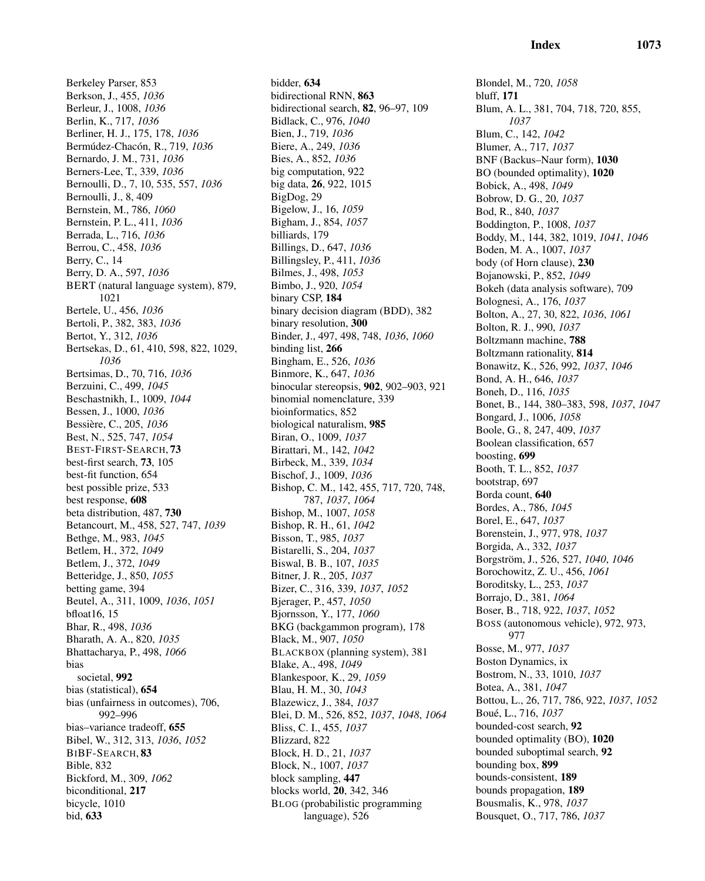Berkeley Parser, 853 Berkson, J., 455, *1036* Berleur, J., 1008, *1036* Berlin, K., 717, *1036* Berliner, H. J., 175, 178, *1036* Bermúdez-Chacón, R., 719, 1036 Bernardo, J. M., 731, *1036* Berners-Lee, T., 339, *1036* Bernoulli, D., 7, 10, 535, 557, *1036* Bernoulli, J., 8, 409 Bernstein, M., 786, *1060* Bernstein, P. L., 411, *1036* Berrada, L., 716, *1036* Berrou, C., 458, *1036* Berry, C., 14 Berry, D. A., 597, *1036* BERT (natural language system), 879, 1021 Bertele, U., 456, *1036* Bertoli, P., 382, 383, *1036* Bertot, Y., 312, *1036* Bertsekas, D., 61, 410, 598, 822, 1029, *1036* Bertsimas, D., 70, 716, *1036* Berzuini, C., 499, *1045* Beschastnikh, I., 1009, *1044* Bessen, J., 1000, *1036* Bessière, C., 205, 1036 Best, N., 525, 747, *1054* BEST-FIRST-SEARCH, 73 best-first search, 73, 105 best-fit function, 654 best possible prize, 533 best response, 608 beta distribution, 487, 730 Betancourt, M., 458, 527, 747, *1039* Bethge, M., 983, *1045* Betlem, H., 372, *1049* Betlem, J., 372, *1049* Betteridge, J., 850, *1055* betting game, 394 Beutel, A., 311, 1009, *1036*, *1051* bfloat16, 15 Bhar, R., 498, *1036* Bharath, A. A., 820, *1035* Bhattacharya, P., 498, *1066* bias societal, 992 bias (statistical), 654 bias (unfairness in outcomes), 706, 992–996 bias–variance tradeoff, 655 Bibel, W., 312, 313, *1036*, *1052* BIBF-SEARCH, 83 Bible, 832 Bickford, M., 309, *1062* biconditional, 217 bicycle, 1010 bid, 633

bidder, 634 bidirectional RNN, 863 bidirectional search, 82, 96–97, 109 Bidlack, C., 976, *1040* Bien, J., 719, *1036* Biere, A., 249, *1036* Bies, A., 852, *1036* big computation, 922 big data, 26, 922, 1015 BigDog, 29 Bigelow, J., 16, *1059* Bigham, J., 854, *1057* billiards, 179 Billings, D., 647, *1036* Billingsley, P., 411, *1036* Bilmes, J., 498, *1053* Bimbo, J., 920, *1054* binary CSP, 184 binary decision diagram (BDD), 382 binary resolution, 300 Binder, J., 497, 498, 748, *1036*, *1060* binding list, 266 Bingham, E., 526, *1036* Binmore, K., 647, *1036* binocular stereopsis, 902, 902–903, 921 binomial nomenclature, 339 bioinformatics, 852 biological naturalism, 985 Biran, O., 1009, *1037* Birattari, M., 142, *1042* Birbeck, M., 339, *1034* Bischof, J., 1009, *1036* Bishop, C. M., 142, 455, 717, 720, 748, 787, *1037*, *1064* Bishop, M., 1007, *1058* Bishop, R. H., 61, *1042* Bisson, T., 985, *1037* Bistarelli, S., 204, *1037* Biswal, B. B., 107, *1035* Bitner, J. R., 205, *1037* Bizer, C., 316, 339, *1037*, *1052* Bjerager, P., 457, *1050* Bjornsson, Y., 177, *1060* BKG (backgammon program), 178 Black, M., 907, *1050* BLACKBOX (planning system), 381 Blake, A., 498, *1049* Blankespoor, K., 29, *1059* Blau, H. M., 30, *1043* Blazewicz, J., 384, *1037* Blei, D. M., 526, 852, *1037*, *1048*, *1064* Bliss, C. I., 455, *1037* Blizzard, 822 Block, H. D., 21, *1037* Block, N., 1007, *1037* block sampling, 447 blocks world, 20, 342, 346 BLOG (probabilistic programming language), 526

Blondel, M., 720, *1058* bluff, 171 Blum, A. L., 381, 704, 718, 720, 855, *1037* Blum, C., 142, *1042* Blumer, A., 717, *1037* BNF (Backus–Naur form), 1030 BO (bounded optimality), 1020 Bobick, A., 498, *1049* Bobrow, D. G., 20, *1037* Bod, R., 840, *1037* Boddington, P., 1008, *1037* Boddy, M., 144, 382, 1019, *1041*, *1046* Boden, M. A., 1007, *1037* body (of Horn clause), 230 Bojanowski, P., 852, *1049* Bokeh (data analysis software), 709 Bolognesi, A., 176, *1037* Bolton, A., 27, 30, 822, *1036*, *1061* Bolton, R. J., 990, *1037* Boltzmann machine, 788 Boltzmann rationality, 814 Bonawitz, K., 526, 992, *1037*, *1046* Bond, A. H., 646, *1037* Boneh, D., 116, *1035* Bonet, B., 144, 380–383, 598, *1037*, *1047* Bongard, J., 1006, *1058* Boole, G., 8, 247, 409, *1037* Boolean classification, 657 boosting, 699 Booth, T. L., 852, *1037* bootstrap, 697 Borda count, 640 Bordes, A., 786, *1045* Borel, E., 647, *1037* Borenstein, J., 977, 978, *1037* Borgida, A., 332, *1037* Borgstr¨om, J., 526, 527, *1040*, *1046* Borochowitz, Z. U., 456, *1061* Boroditsky, L., 253, *1037* Borrajo, D., 381, *1064* Boser, B., 718, 922, *1037*, *1052* BOSS (autonomous vehicle), 972, 973, 977 Bosse, M., 977, *1037* Boston Dynamics, ix Bostrom, N., 33, 1010, *1037* Botea, A., 381, *1047* Bottou, L., 26, 717, 786, 922, *1037*, *1052* Bou´e, L., 716, *1037* bounded-cost search, 92 bounded optimality (BO), 1020 bounded suboptimal search, 92 bounding box, 899 bounds-consistent, 189 bounds propagation, 189 Bousmalis, K., 978, *1037* Bousquet, O., 717, 786, *1037*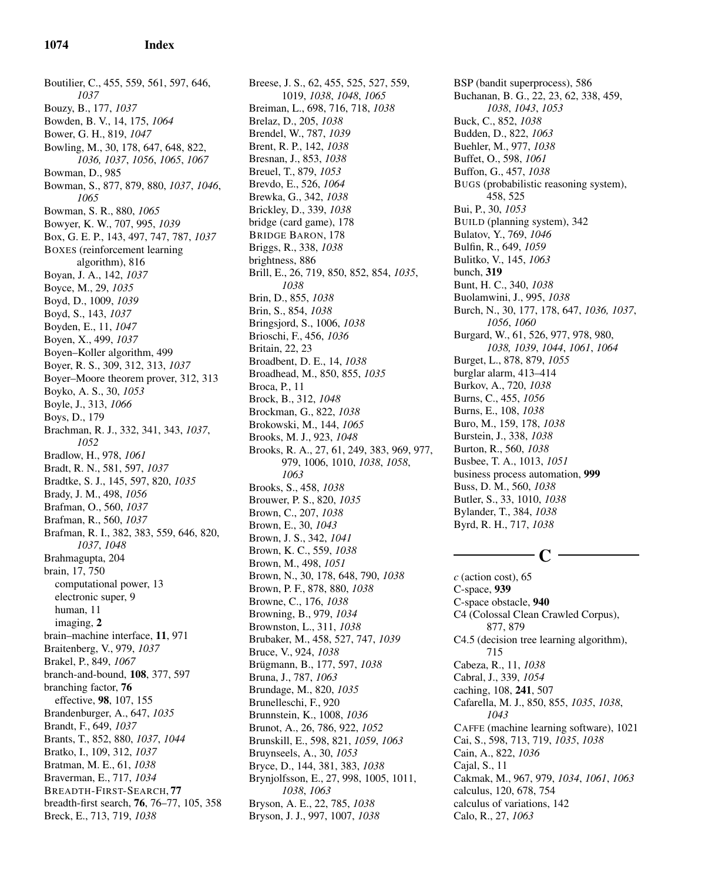Boutilier, C., 455, 559, 561, 597, 646, *1037* Bouzy, B., 177, *1037* Bowden, B. V., 14, 175, *1064* Bower, G. H., 819, *1047* Bowling, M., 30, 178, 647, 648, 822, *1036, 1037*, *1056*, *1065*, *1067* Bowman, D., 985 Bowman, S., 877, 879, 880, *1037*, *1046*, *1065* Bowman, S. R., 880, *1065* Bowyer, K. W., 707, 995, *1039* Box, G. E. P., 143, 497, 747, 787, *1037* BOXES (reinforcement learning algorithm), 816 Boyan, J. A., 142, *1037* Boyce, M., 29, *1035* Boyd, D., 1009, *1039* Boyd, S., 143, *1037* Boyden, E., 11, *1047* Boyen, X., 499, *1037* Boyen–Koller algorithm, 499 Boyer, R. S., 309, 312, 313, *1037* Boyer–Moore theorem prover, 312, 313 Boyko, A. S., 30, *1053* Boyle, J., 313, *1066* Boys, D., 179 Brachman, R. J., 332, 341, 343, *1037*, *1052* Bradlow, H., 978, *1061* Bradt, R. N., 581, 597, *1037* Bradtke, S. J., 145, 597, 820, *1035* Brady, J. M., 498, *1056* Brafman, O., 560, *1037* Brafman, R., 560, *1037* Brafman, R. I., 382, 383, 559, 646, 820, *1037*, *1048* Brahmagupta, 204 brain, 17, 750 computational power, 13 electronic super, 9 human, 11 imaging, 2 brain–machine interface, 11, 971 Braitenberg, V., 979, *1037* Brakel, P., 849, *1067* branch-and-bound, 108, 377, 597 branching factor, 76 effective, 98, 107, 155 Brandenburger, A., 647, *1035* Brandt, F., 649, *1037* Brants, T., 852, 880, *1037*, *1044* Bratko, I., 109, 312, *1037* Bratman, M. E., 61, *1038* Braverman, E., 717, *1034* BREADTH-FIRST-SEARCH, 77 breadth-first search, 76, 76–77, 105, 358 Breck, E., 713, 719, *1038*

Breese, J. S., 62, 455, 525, 527, 559, 1019, *1038*, *1048*, *1065* Breiman, L., 698, 716, 718, *1038* Brelaz, D., 205, *1038* Brendel, W., 787, *1039* Brent, R. P., 142, *1038* Bresnan, J., 853, *1038* Breuel, T., 879, *1053* Brevdo, E., 526, *1064* Brewka, G., 342, *1038* Brickley, D., 339, *1038* bridge (card game), 178 BRIDGE BARON, 178 Briggs, R., 338, *1038* brightness, 886 Brill, E., 26, 719, 850, 852, 854, *1035*, *1038* Brin, D., 855, *1038* Brin, S., 854, *1038* Bringsjord, S., 1006, *1038* Brioschi, F., 456, *1036* Britain, 22, 23 Broadbent, D. E., 14, *1038* Broadhead, M., 850, 855, *1035* Broca, P., 11 Brock, B., 312, *1048* Brockman, G., 822, *1038* Brokowski, M., 144, *1065* Brooks, M. J., 923, *1048* Brooks, R. A., 27, 61, 249, 383, 969, 977, 979, 1006, 1010, *1038*, *1058*, *1063* Brooks, S., 458, *1038* Brouwer, P. S., 820, *1035* Brown, C., 207, *1038* Brown, E., 30, *1043* Brown, J. S., 342, *1041* Brown, K. C., 559, *1038* Brown, M., 498, *1051* Brown, N., 30, 178, 648, 790, *1038* Brown, P. F., 878, 880, *1038* Browne, C., 176, *1038* Browning, B., 979, *1034* Brownston, L., 311, *1038* Brubaker, M., 458, 527, 747, *1039* Bruce, V., 924, *1038* Brügmann, B., 177, 597, 1038 Bruna, J., 787, *1063* Brundage, M., 820, *1035* Brunelleschi, F., 920 Brunnstein, K., 1008, *1036* Brunot, A., 26, 786, 922, *1052* Brunskill, E., 598, 821, *1059*, *1063* Bruynseels, A., 30, *1053* Bryce, D., 144, 381, 383, *1038* Brynjolfsson, E., 27, 998, 1005, 1011, *1038*, *1063* Bryson, A. E., 22, 785, *1038* Bryson, J. J., 997, 1007, *1038*

BSP (bandit superprocess), 586 Buchanan, B. G., 22, 23, 62, 338, 459, *1038*, *1043*, *1053* Buck, C., 852, *1038* Budden, D., 822, *1063* Buehler, M., 977, *1038* Buffet, O., 598, *1061* Buffon, G., 457, *1038* BUGS (probabilistic reasoning system), 458, 525 Bui, P., 30, *1053* BUILD (planning system), 342 Bulatov, Y., 769, *1046* Bulfin, R., 649, *1059* Bulitko, V., 145, *1063* bunch, 319 Bunt, H. C., 340, *1038* Buolamwini, J., 995, *1038* Burch, N., 30, 177, 178, 647, *1036, 1037*, *1056*, *1060* Burgard, W., 61, 526, 977, 978, 980, *1038, 1039*, *1044*, *1061*, *1064* Burget, L., 878, 879, *1055* burglar alarm, 413–414 Burkov, A., 720, *1038* Burns, C., 455, *1056* Burns, E., 108, *1038* Buro, M., 159, 178, *1038* Burstein, J., 338, *1038* Burton, R., 560, *1038* Busbee, T. A., 1013, *1051* business process automation, 999 Buss, D. M., 560, *1038* Butler, S., 33, 1010, *1038* Bylander, T., 384, *1038* Byrd, R. H., 717, *1038*

# -  $\mathbf{C}$  -

*c* (action cost), 65 C-space, 939 C-space obstacle, 940 C4 (Colossal Clean Crawled Corpus), 877, 879 C4.5 (decision tree learning algorithm), 715 Cabeza, R., 11, *1038* Cabral, J., 339, *1054* caching, 108, 241, 507 Cafarella, M. J., 850, 855, *1035*, *1038*, *1043* CAFFE (machine learning software), 1021 Cai, S., 598, 713, 719, *1035*, *1038* Cain, A., 822, *1036* Cajal, S., 11 Cakmak, M., 967, 979, *1034*, *1061*, *1063* calculus, 120, 678, 754 calculus of variations, 142 Calo, R., 27, *1063*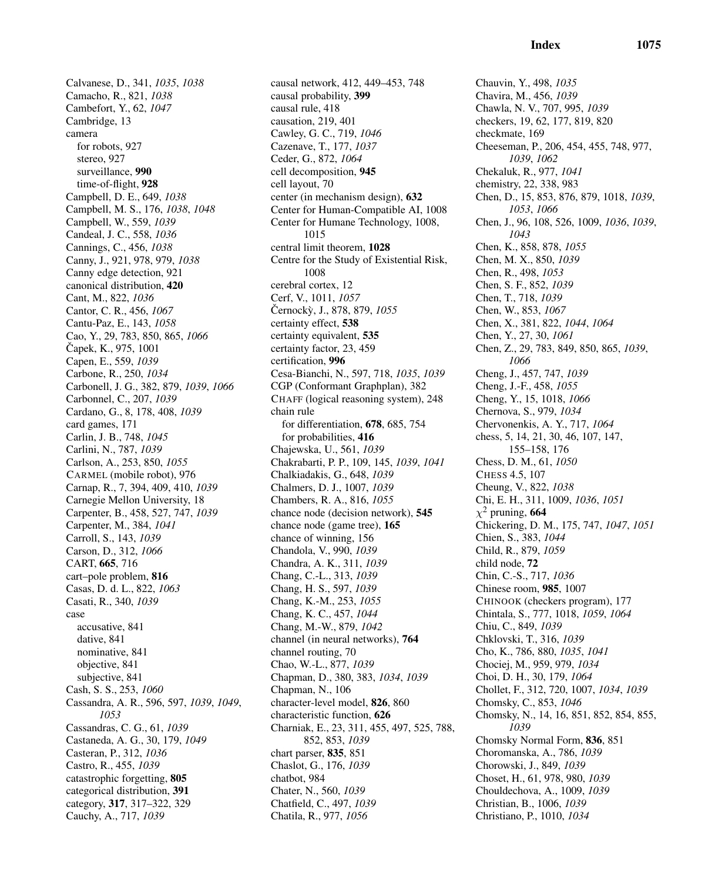Calvanese, D., 341, *1035*, *1038* Camacho, R., 821, *1038* Cambefort, Y., 62, *1047* Cambridge, 13 camera for robots, 927 stereo, 927 surveillance, 990 time-of-flight, 928 Campbell, D. E., 649, *1038* Campbell, M. S., 176, *1038*, *1048* Campbell, W., 559, *1039* Candeal, J. C., 558, *1036* Cannings, C., 456, *1038* Canny, J., 921, 978, 979, *1038* Canny edge detection, 921 canonical distribution, 420 Cant, M., 822, *1036* Cantor, C. R., 456, *1067* Cantu-Paz, E., 143, *1058* Cao, Y., 29, 783, 850, 865, *1066* Capek, K., 975, 1001 Capen, E., 559, *1039* Carbone, R., 250, *1034* Carbonell, J. G., 382, 879, *1039*, *1066* Carbonnel, C., 207, *1039* Cardano, G., 8, 178, 408, *1039* card games, 171 Carlin, J. B., 748, *1045* Carlini, N., 787, *1039* Carlson, A., 253, 850, *1055* CARMEL (mobile robot), 976 Carnap, R., 7, 394, 409, 410, *1039* Carnegie Mellon University, 18 Carpenter, B., 458, 527, 747, *1039* Carpenter, M., 384, *1041* Carroll, S., 143, *1039* Carson, D., 312, *1066* CART, 665, 716 cart–pole problem, 816 Casas, D. d. L., 822, *1063* Casati, R., 340, *1039* case accusative, 841 dative, 841 nominative, 841 objective, 841 subjective, 841 Cash, S. S., 253, *1060* Cassandra, A. R., 596, 597, *1039*, *1049*, *1053* Cassandras, C. G., 61, *1039* Castaneda, A. G., 30, 179, *1049* Casteran, P., 312, *1036* Castro, R., 455, *1039* catastrophic forgetting, 805 categorical distribution, 391 category, 317, 317–322, 329 Cauchy, A., 717, *1039*

causal network, 412, 449–453, 748 causal probability, 399 causal rule, 418 causation, 219, 401 Cawley, G. C., 719, *1046* Cazenave, T., 177, *1037* Ceder, G., 872, *1064* cell decomposition, 945 cell layout, 70 center (in mechanism design), 632 Center for Human-Compatible AI, 1008 Center for Humane Technology, 1008, 1015 central limit theorem, 1028 Centre for the Study of Existential Risk, 1008 cerebral cortex, 12 Cerf, V., 1011, *1057* Cernocky, J., 878, 879, 1055 certainty effect, 538 certainty equivalent, 535 certainty factor, 23, 459 certification, 996 Cesa-Bianchi, N., 597, 718, *1035*, *1039* CGP (Conformant Graphplan), 382 CHAFF (logical reasoning system), 248 chain rule for differentiation, 678, 685, 754 for probabilities, 416 Chajewska, U., 561, *1039* Chakrabarti, P. P., 109, 145, *1039*, *1041* Chalkiadakis, G., 648, *1039* Chalmers, D. J., 1007, *1039* Chambers, R. A., 816, *1055* chance node (decision network), 545 chance node (game tree), 165 chance of winning, 156 Chandola, V., 990, *1039* Chandra, A. K., 311, *1039* Chang, C.-L., 313, *1039* Chang, H. S., 597, *1039* Chang, K.-M., 253, *1055* Chang, K. C., 457, *1044* Chang, M.-W., 879, *1042* channel (in neural networks), 764 channel routing, 70 Chao, W.-L., 877, *1039* Chapman, D., 380, 383, *1034*, *1039* Chapman, N., 106 character-level model, 826, 860 characteristic function, 626 Charniak, E., 23, 311, 455, 497, 525, 788, 852, 853, *1039* chart parser, 835, 851 Chaslot, G., 176, *1039* chatbot, 984 Chater, N., 560, *1039* Chatfield, C., 497, *1039* Chatila, R., 977, *1056*

Chauvin, Y., 498, *1035* Chavira, M., 456, *1039* Chawla, N. V., 707, 995, *1039* checkers, 19, 62, 177, 819, 820 checkmate, 169 Cheeseman, P., 206, 454, 455, 748, 977, *1039*, *1062* Chekaluk, R., 977, *1041* chemistry, 22, 338, 983 Chen, D., 15, 853, 876, 879, 1018, *1039*, *1053*, *1066* Chen, J., 96, 108, 526, 1009, *1036*, *1039*, *1043* Chen, K., 858, 878, *1055* Chen, M. X., 850, *1039* Chen, R., 498, *1053* Chen, S. F., 852, *1039* Chen, T., 718, *1039* Chen, W., 853, *1067* Chen, X., 381, 822, *1044*, *1064* Chen, Y., 27, 30, *1061* Chen, Z., 29, 783, 849, 850, 865, *1039*, *1066* Cheng, J., 457, 747, *1039* Cheng, J.-F., 458, *1055* Cheng, Y., 15, 1018, *1066* Chernova, S., 979, *1034* Chervonenkis, A. Y., 717, *1064* chess, 5, 14, 21, 30, 46, 107, 147, 155–158, 176 Chess, D. M., 61, *1050* CHESS 4.5, 107 Cheung, V., 822, *1038* Chi, E. H., 311, 1009, *1036*, *1051*  $\chi^2$  pruning, 664 Chickering, D. M., 175, 747, *1047*, *1051* Chien, S., 383, *1044* Child, R., 879, *1059* child node, 72 Chin, C.-S., 717, *1036* Chinese room, 985, 1007 CHINOOK (checkers program), 177 Chintala, S., 777, 1018, *1059*, *1064* Chiu, C., 849, *1039* Chklovski, T., 316, *1039* Cho, K., 786, 880, *1035*, *1041* Chociej, M., 959, 979, *1034* Choi, D. H., 30, 179, *1064* Chollet, F., 312, 720, 1007, *1034*, *1039* Chomsky, C., 853, *1046* Chomsky, N., 14, 16, 851, 852, 854, 855, *1039* Chomsky Normal Form, 836, 851 Choromanska, A., 786, *1039* Chorowski, J., 849, *1039* Choset, H., 61, 978, 980, *1039* Chouldechova, A., 1009, *1039* Christian, B., 1006, *1039* Christiano, P., 1010, *1034*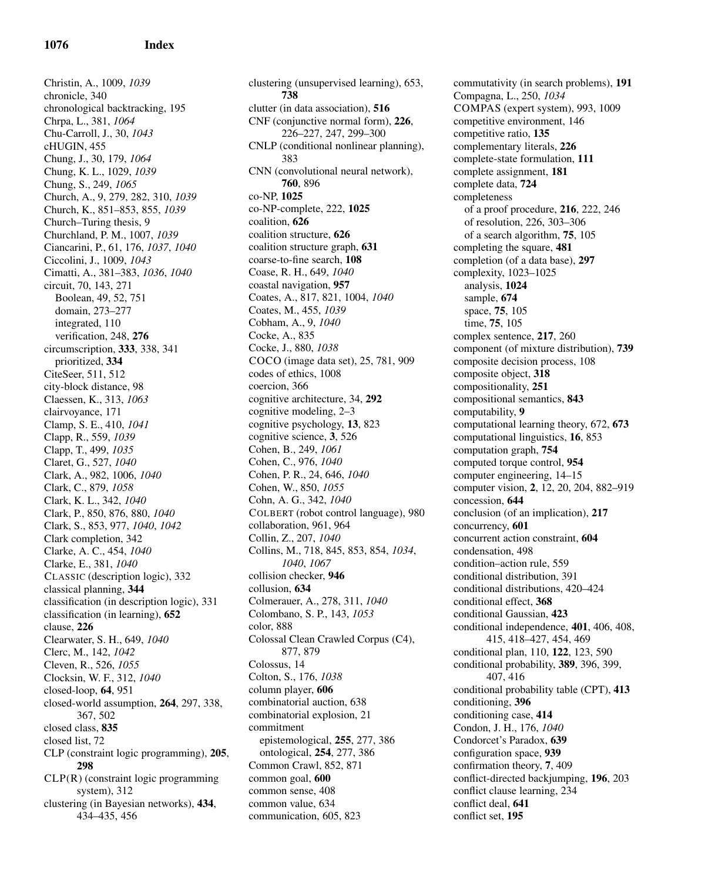Christin, A., 1009, *1039* chronicle, 340 chronological backtracking, 195 Chrpa, L., 381, *1064* Chu-Carroll, J., 30, *1043* cHUGIN, 455 Chung, J., 30, 179, *1064* Chung, K. L., 1029, *1039* Chung, S., 249, *1065* Church, A., 9, 279, 282, 310, *1039* Church, K., 851–853, 855, *1039* Church–Turing thesis, 9 Churchland, P. M., 1007, *1039* Ciancarini, P., 61, 176, *1037*, *1040* Ciccolini, J., 1009, *1043* Cimatti, A., 381–383, *1036*, *1040* circuit, 70, 143, 271 Boolean, 49, 52, 751 domain, 273–277 integrated, 110 verification, 248, 276 circumscription, 333, 338, 341 prioritized, 334 CiteSeer, 511, 512 city-block distance, 98 Claessen, K., 313, *1063* clairvoyance, 171 Clamp, S. E., 410, *1041* Clapp, R., 559, *1039* Clapp, T., 499, *1035* Claret, G., 527, *1040* Clark, A., 982, 1006, *1040* Clark, C., 879, *1058* Clark, K. L., 342, *1040* Clark, P., 850, 876, 880, *1040* Clark, S., 853, 977, *1040*, *1042* Clark completion, 342 Clarke, A. C., 454, *1040* Clarke, E., 381, *1040* CLASSIC (description logic), 332 classical planning, 344 classification (in description logic), 331 classification (in learning), 652 clause, 226 Clearwater, S. H., 649, *1040* Clerc, M., 142, *1042* Cleven, R., 526, *1055* Clocksin, W. F., 312, *1040* closed-loop, 64, 951 closed-world assumption, 264, 297, 338, 367, 502 closed class, 835 closed list, 72 CLP (constraint logic programming), 205, 298 CLP(R) (constraint logic programming system), 312 clustering (in Bayesian networks), 434, 434–435, 456

clustering (unsupervised learning), 653, 738 clutter (in data association), 516 CNF (conjunctive normal form), 226, 226–227, 247, 299–300 CNLP (conditional nonlinear planning), 383 CNN (convolutional neural network), 760, 896 co-NP, 1025 co-NP-complete, 222, 1025 coalition, 626 coalition structure, 626 coalition structure graph, 631 coarse-to-fine search, 108 Coase, R. H., 649, *1040* coastal navigation, 957 Coates, A., 817, 821, 1004, *1040* Coates, M., 455, *1039* Cobham, A., 9, *1040* Cocke, A., 835 Cocke, J., 880, *1038* COCO (image data set), 25, 781, 909 codes of ethics, 1008 coercion, 366 cognitive architecture, 34, 292 cognitive modeling, 2–3 cognitive psychology, 13, 823 cognitive science, 3, 526 Cohen, B., 249, *1061* Cohen, C., 976, *1040* Cohen, P. R., 24, 646, *1040* Cohen, W., 850, *1055* Cohn, A. G., 342, *1040* COLBERT (robot control language), 980 collaboration, 961, 964 Collin, Z., 207, *1040* Collins, M., 718, 845, 853, 854, *1034*, *1040*, *1067* collision checker, 946 collusion, 634 Colmerauer, A., 278, 311, *1040* Colombano, S. P., 143, *1053* color, 888 Colossal Clean Crawled Corpus (C4), 877, 879 Colossus, 14 Colton, S., 176, *1038* column player, 606 combinatorial auction, 638 combinatorial explosion, 21 commitment epistemological, 255, 277, 386 ontological, 254, 277, 386 Common Crawl, 852, 871 common goal, 600 common sense, 408 common value, 634 communication, 605, 823

commutativity (in search problems), 191 Compagna, L., 250, *1034* COMPAS (expert system), 993, 1009 competitive environment, 146 competitive ratio, 135 complementary literals, 226 complete-state formulation, 111 complete assignment, 181 complete data, 724 completeness of a proof procedure, 216, 222, 246 of resolution, 226, 303–306 of a search algorithm, 75, 105 completing the square, 481 completion (of a data base), 297 complexity, 1023–1025 analysis, 1024 sample, 674 space, 75, 105 time, 75, 105 complex sentence, 217, 260 component (of mixture distribution), 739 composite decision process, 108 composite object, 318 compositionality, 251 compositional semantics, 843 computability, 9 computational learning theory, 672, 673 computational linguistics, 16, 853 computation graph, 754 computed torque control, 954 computer engineering, 14–15 computer vision, 2, 12, 20, 204, 882–919 concession, 644 conclusion (of an implication), 217 concurrency, 601 concurrent action constraint, 604 condensation, 498 condition–action rule, 559 conditional distribution, 391 conditional distributions, 420–424 conditional effect, 368 conditional Gaussian, 423 conditional independence, 401, 406, 408, 415, 418–427, 454, 469 conditional plan, 110, 122, 123, 590 conditional probability, 389, 396, 399, 407, 416 conditional probability table (CPT), 413 conditioning, 396 conditioning case, 414 Condon, J. H., 176, *1040* Condorcet's Paradox, 639 configuration space, 939 confirmation theory, 7, 409 conflict-directed backjumping, 196, 203 conflict clause learning, 234 conflict deal, 641 conflict set, 195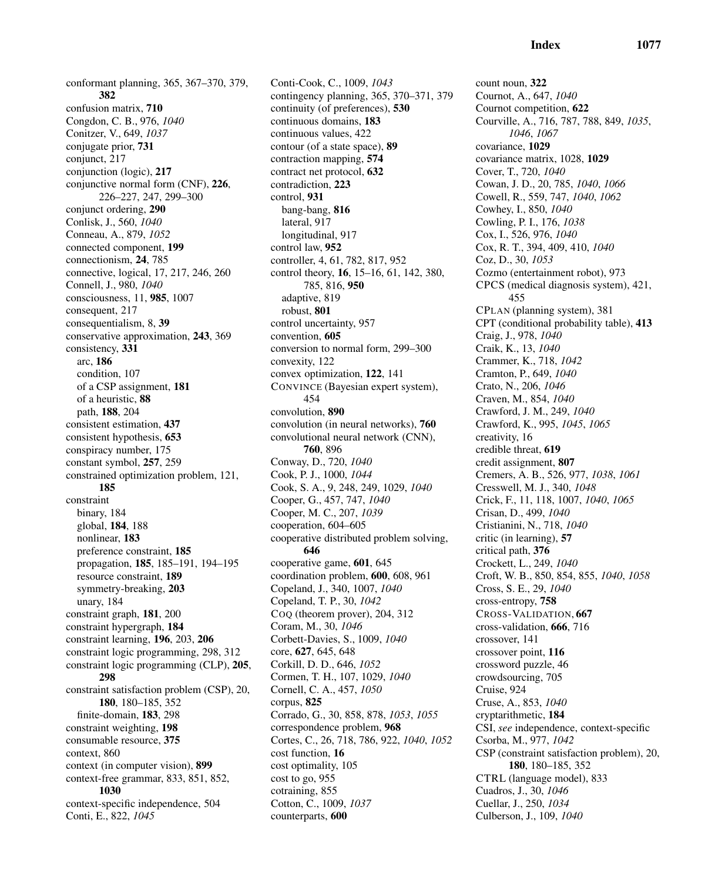conformant planning, 365, 367–370, 379, 382 confusion matrix, 710 Congdon, C. B., 976, *1040* Conitzer, V., 649, *1037* conjugate prior, 731 conjunct, 217 conjunction (logic), 217 conjunctive normal form (CNF), 226, 226–227, 247, 299–300 conjunct ordering, 290 Conlisk, J., 560, *1040* Conneau, A., 879, *1052* connected component, 199 connectionism, 24, 785 connective, logical, 17, 217, 246, 260 Connell, J., 980, *1040* consciousness, 11, 985, 1007 consequent, 217 consequentialism, 8, 39 conservative approximation, 243, 369 consistency, 331 arc, 186 condition, 107 of a CSP assignment, 181 of a heuristic, 88 path, 188, 204 consistent estimation, 437 consistent hypothesis, 653 conspiracy number, 175 constant symbol, 257, 259 constrained optimization problem, 121, 185 constraint binary, 184 global, 184, 188 nonlinear, 183 preference constraint, 185 propagation, 185, 185–191, 194–195 resource constraint, 189 symmetry-breaking, 203 unary, 184 constraint graph, 181, 200 constraint hypergraph, 184 constraint learning, 196, 203, 206 constraint logic programming, 298, 312 constraint logic programming (CLP), 205, 298 constraint satisfaction problem (CSP), 20, 180, 180–185, 352 finite-domain, 183, 298 constraint weighting, 198 consumable resource, 375 context, 860 context (in computer vision), 899 context-free grammar, 833, 851, 852, 1030

context-specific independence, 504 Conti, E., 822, *1045*

Conti-Cook, C., 1009, *1043* contingency planning, 365, 370–371, 379 continuity (of preferences), 530 continuous domains, 183 continuous values, 422 contour (of a state space), 89 contraction mapping, 574 contract net protocol, 632 contradiction, 223 control, 931 bang-bang, 816 lateral, 917 longitudinal, 917 control law, 952 controller, 4, 61, 782, 817, 952 control theory, 16, 15–16, 61, 142, 380, 785, 816, 950 adaptive, 819 robust, 801 control uncertainty, 957 convention, 605 conversion to normal form, 299–300 convexity, 122 convex optimization, 122, 141 CONVINCE (Bayesian expert system), 454 convolution, 890 convolution (in neural networks), 760 convolutional neural network (CNN), 760, 896 Conway, D., 720, *1040* Cook, P. J., 1000, *1044* Cook, S. A., 9, 248, 249, 1029, *1040* Cooper, G., 457, 747, *1040* Cooper, M. C., 207, *1039* cooperation, 604–605 cooperative distributed problem solving, 646 cooperative game, 601, 645 coordination problem, 600, 608, 961 Copeland, J., 340, 1007, *1040* Copeland, T. P., 30, *1042* COQ (theorem prover), 204, 312 Coram, M., 30, *1046* Corbett-Davies, S., 1009, *1040* core, 627, 645, 648 Corkill, D. D., 646, *1052* Cormen, T. H., 107, 1029, *1040* Cornell, C. A., 457, *1050* corpus, 825 Corrado, G., 30, 858, 878, *1053*, *1055* correspondence problem, 968 Cortes, C., 26, 718, 786, 922, *1040*, *1052* cost function, 16 cost optimality, 105 cost to go, 955 cotraining, 855 Cotton, C., 1009, *1037* counterparts, 600

count noun, 322 Cournot, A., 647, *1040* Cournot competition, 622 Courville, A., 716, 787, 788, 849, *1035*, *1046*, *1067* covariance, 1029 covariance matrix, 1028, 1029 Cover, T., 720, *1040* Cowan, J. D., 20, 785, *1040*, *1066* Cowell, R., 559, 747, *1040*, *1062* Cowhey, I., 850, *1040* Cowling, P. I., 176, *1038* Cox, I., 526, 976, *1040* Cox, R. T., 394, 409, 410, *1040* Coz, D., 30, *1053* Cozmo (entertainment robot), 973 CPCS (medical diagnosis system), 421, 455 CPLAN (planning system), 381 CPT (conditional probability table), 413 Craig, J., 978, *1040* Craik, K., 13, *1040* Crammer, K., 718, *1042* Cramton, P., 649, *1040* Crato, N., 206, *1046* Craven, M., 854, *1040* Crawford, J. M., 249, *1040* Crawford, K., 995, *1045*, *1065* creativity, 16 credible threat, 619 credit assignment, 807 Cremers, A. B., 526, 977, *1038*, *1061* Cresswell, M. J., 340, *1048* Crick, F., 11, 118, 1007, *1040*, *1065* Crisan, D., 499, *1040* Cristianini, N., 718, *1040* critic (in learning), 57 critical path, 376 Crockett, L., 249, *1040* Croft, W. B., 850, 854, 855, *1040*, *1058* Cross, S. E., 29, *1040* cross-entropy, 758 CROSS-VALIDATION, 667 cross-validation, 666, 716 crossover, 141 crossover point, 116 crossword puzzle, 46 crowdsourcing, 705 Cruise, 924 Cruse, A., 853, *1040* cryptarithmetic, 184 CSI, *see* independence, context-specific Csorba, M., 977, *1042* CSP (constraint satisfaction problem), 20, 180, 180–185, 352 CTRL (language model), 833 Cuadros, J., 30, *1046* Cuellar, J., 250, *1034* Culberson, J., 109, *1040*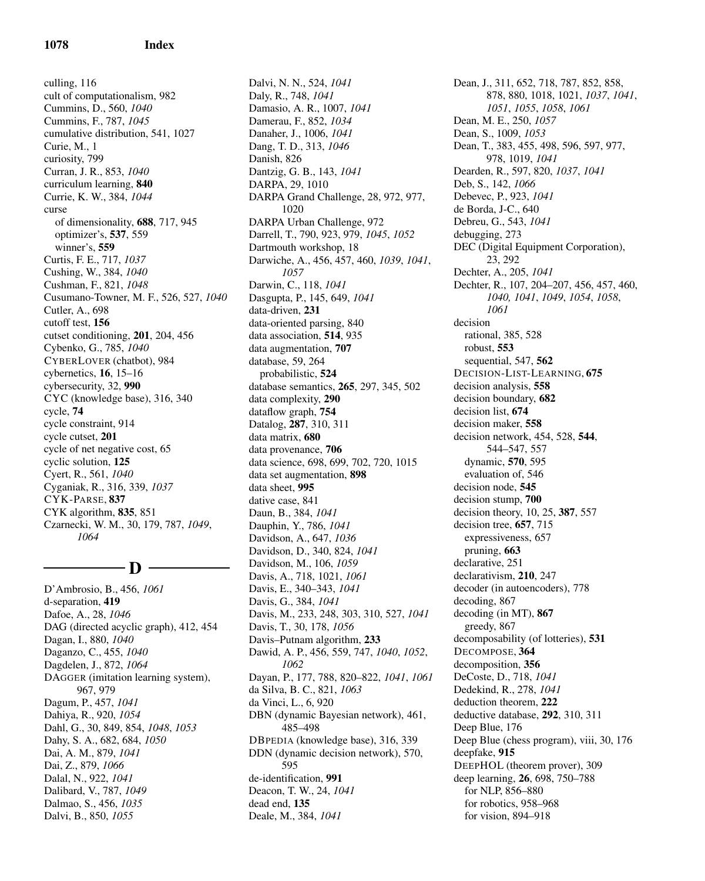culling, 116 cult of computationalism, 982 Cummins, D., 560, *1040* Cummins, F., 787, *1045* cumulative distribution, 541, 1027 Curie, M., 1 curiosity, 799 Curran, J. R., 853, *1040* curriculum learning, 840 Currie, K. W., 384, *1044* curse of dimensionality, 688, 717, 945 optimizer's, 537, 559 winner's, 559 Curtis, F. E., 717, *1037* Cushing, W., 384, *1040* Cushman, F., 821, *1048* Cusumano-Towner, M. F., 526, 527, *1040* Cutler, A., 698 cutoff test, 156 cutset conditioning, 201, 204, 456 Cybenko, G., 785, *1040* CYBERLOVER (chatbot), 984 cybernetics, 16, 15–16 cybersecurity, 32, 990 CYC (knowledge base), 316, 340 cycle, 74 cycle constraint, 914 cycle cutset, 201 cycle of net negative cost, 65 cyclic solution, 125 Cyert, R., 561, *1040* Cyganiak, R., 316, 339, *1037* CYK-PARSE, 837 CYK algorithm, 835, 851 Czarnecki, W. M., 30, 179, 787, *1049*, *1064*

D

D'Ambrosio, B., 456, *1061* d-separation, 419 Dafoe, A., 28, *1046* DAG (directed acyclic graph), 412, 454 Dagan, I., 880, *1040* Daganzo, C., 455, *1040* Dagdelen, J., 872, *1064* DAGGER (imitation learning system), 967, 979 Dagum, P., 457, *1041* Dahiya, R., 920, *1054* Dahl, G., 30, 849, 854, *1048*, *1053* Dahy, S. A., 682, 684, *1050* Dai, A. M., 879, *1041* Dai, Z., 879, *1066* Dalal, N., 922, *1041* Dalibard, V., 787, *1049* Dalmao, S., 456, *1035* Dalvi, B., 850, *1055*

Dalvi, N. N., 524, *1041* Daly, R., 748, *1041* Damasio, A. R., 1007, *1041* Damerau, F., 852, *1034* Danaher, J., 1006, *1041* Dang, T. D., 313, *1046* Danish, 826 Dantzig, G. B., 143, *1041* DARPA, 29, 1010 DARPA Grand Challenge, 28, 972, 977, 1020 DARPA Urban Challenge, 972 Darrell, T., 790, 923, 979, *1045*, *1052* Dartmouth workshop, 18 Darwiche, A., 456, 457, 460, *1039*, *1041*, *1057* Darwin, C., 118, *1041* Dasgupta, P., 145, 649, *1041* data-driven, 231 data-oriented parsing, 840 data association, 514, 935 data augmentation, 707 database, 59, 264 probabilistic, 524 database semantics, 265, 297, 345, 502 data complexity, 290 dataflow graph, 754 Datalog, 287, 310, 311 data matrix, 680 data provenance, 706 data science, 698, 699, 702, 720, 1015 data set augmentation, 898 data sheet, 995 dative case, 841 Daun, B., 384, *1041* Dauphin, Y., 786, *1041* Davidson, A., 647, *1036* Davidson, D., 340, 824, *1041* Davidson, M., 106, *1059* Davis, A., 718, 1021, *1061* Davis, E., 340–343, *1041* Davis, G., 384, *1041* Davis, M., 233, 248, 303, 310, 527, *1041* Davis, T., 30, 178, *1056* Davis–Putnam algorithm, 233 Dawid, A. P., 456, 559, 747, *1040*, *1052*, *1062* Dayan, P., 177, 788, 820–822, *1041*, *1061* da Silva, B. C., 821, *1063* da Vinci, L., 6, 920 DBN (dynamic Bayesian network), 461, 485–498 DBPEDIA (knowledge base), 316, 339 DDN (dynamic decision network), 570, 595 de-identification, 991 Deacon, T. W., 24, *1041* dead end, 135 Deale, M., 384, *1041*

Dean, J., 311, 652, 718, 787, 852, 858, 878, 880, 1018, 1021, *1037*, *1041*, *1051*, *1055*, *1058*, *1061* Dean, M. E., 250, *1057* Dean, S., 1009, *1053* Dean, T., 383, 455, 498, 596, 597, 977, 978, 1019, *1041* Dearden, R., 597, 820, *1037*, *1041* Deb, S., 142, *1066* Debevec, P., 923, *1041* de Borda, J-C., 640 Debreu, G., 543, *1041* debugging, 273 DEC (Digital Equipment Corporation), 23, 292 Dechter, A., 205, *1041* Dechter, R., 107, 204–207, 456, 457, 460, *1040, 1041*, *1049*, *1054*, *1058*, *1061* decision rational, 385, 528 robust, 553 sequential, 547, 562 DECISION-LIST-LEARNING, 675 decision analysis, 558 decision boundary, 682 decision list, 674 decision maker, 558 decision network, 454, 528, 544, 544–547, 557 dynamic, 570, 595 evaluation of, 546 decision node, 545 decision stump, 700 decision theory, 10, 25, 387, 557 decision tree, 657, 715 expressiveness, 657 pruning, 663 declarative, 251 declarativism, 210, 247 decoder (in autoencoders), 778 decoding, 867 decoding (in MT), 867 greedy, 867 decomposability (of lotteries), 531 DECOMPOSE, 364 decomposition, 356 DeCoste, D., 718, *1041* Dedekind, R., 278, *1041* deduction theorem, 222 deductive database, 292, 310, 311 Deep Blue, 176 Deep Blue (chess program), viii, 30, 176 deepfake, 915 DEEPHOL (theorem prover), 309 deep learning, 26, 698, 750–788 for NLP, 856–880 for robotics, 958–968 for vision, 894–918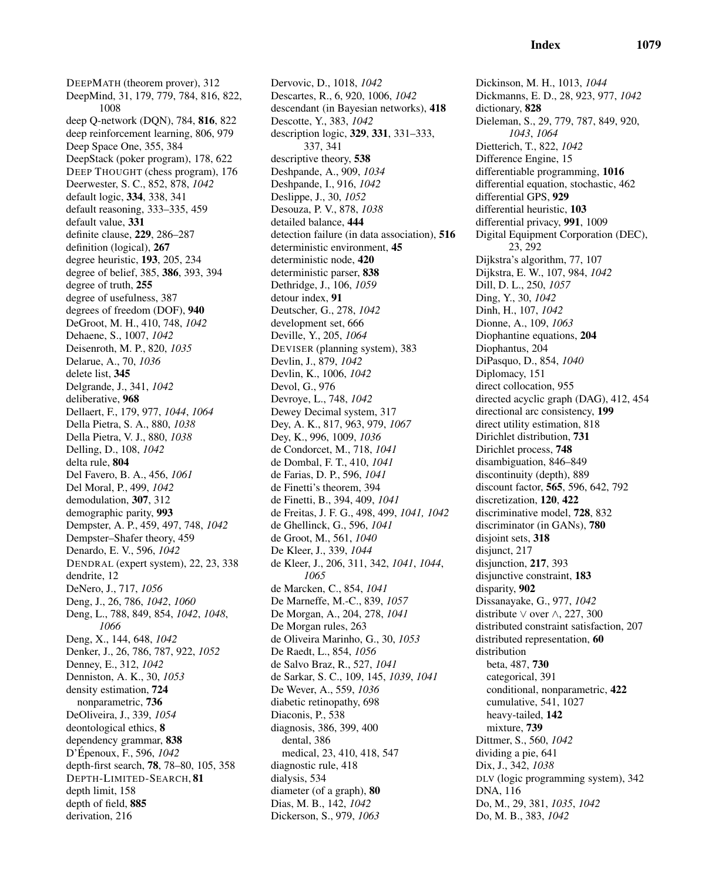DEEPMATH (theorem prover), 312 DeepMind, 31, 179, 779, 784, 816, 822, 1008 deep Q-network (DQN), 784, 816, 822 deep reinforcement learning, 806, 979 Deep Space One, 355, 384 DeepStack (poker program), 178, 622 DEEP THOUGHT (chess program), 176 Deerwester, S. C., 852, 878, *1042* default logic, 334, 338, 341 default reasoning, 333–335, 459 default value, 331 definite clause, 229, 286–287 definition (logical), 267 degree heuristic, 193, 205, 234 degree of belief, 385, 386, 393, 394 degree of truth, 255 degree of usefulness, 387 degrees of freedom (DOF), 940 DeGroot, M. H., 410, 748, *1042* Dehaene, S., 1007, *1042* Deisenroth, M. P., 820, *1035* Delarue, A., 70, *1036* delete list, 345 Delgrande, J., 341, *1042* deliberative, 968 Dellaert, F., 179, 977, *1044*, *1064* Della Pietra, S. A., 880, *1038* Della Pietra, V. J., 880, *1038* Delling, D., 108, *1042* delta rule, 804 Del Favero, B. A., 456, *1061* Del Moral, P., 499, *1042* demodulation, 307, 312 demographic parity, 993 Dempster, A. P., 459, 497, 748, *1042* Dempster–Shafer theory, 459 Denardo, E. V., 596, *1042* DENDRAL (expert system), 22, 23, 338 dendrite, 12 DeNero, J., 717, *1056* Deng, J., 26, 786, *1042*, *1060* Deng, L., 788, 849, 854, *1042*, *1048*, *1066* Deng, X., 144, 648, *1042* Denker, J., 26, 786, 787, 922, *1052* Denney, E., 312, *1042* Denniston, A. K., 30, *1053* density estimation, 724 nonparametric, 736 DeOliveira, J., 339, *1054* deontological ethics, 8 dependency grammar, 838 D'Épenoux, F., 596, *1042* depth-first search, 78, 78–80, 105, 358 DEPTH-LIMITED-SEARCH, 81 depth limit, 158 depth of field, 885 derivation, 216

Dervovic, D., 1018, *1042* Descartes, R., 6, 920, 1006, *1042* descendant (in Bayesian networks), 418 Descotte, Y., 383, *1042* description logic, 329, 331, 331–333, 337, 341 descriptive theory, 538 Deshpande, A., 909, *1034* Deshpande, I., 916, *1042* Deslippe, J., 30, *1052* Desouza, P. V., 878, *1038* detailed balance, 444 detection failure (in data association), 516 deterministic environment, 45 deterministic node, 420 deterministic parser, 838 Dethridge, J., 106, *1059* detour index, 91 Deutscher, G., 278, *1042* development set, 666 Deville, Y., 205, *1064* DEVISER (planning system), 383 Devlin, J., 879, *1042* Devlin, K., 1006, *1042* Devol, G., 976 Devroye, L., 748, *1042* Dewey Decimal system, 317 Dey, A. K., 817, 963, 979, *1067* Dey, K., 996, 1009, *1036* de Condorcet, M., 718, *1041* de Dombal, F. T., 410, *1041* de Farias, D. P., 596, *1041* de Finetti's theorem, 394 de Finetti, B., 394, 409, *1041* de Freitas, J. F. G., 498, 499, *1041, 1042* de Ghellinck, G., 596, *1041* de Groot, M., 561, *1040* De Kleer, J., 339, *1044* de Kleer, J., 206, 311, 342, *1041*, *1044*, *1065* de Marcken, C., 854, *1041* De Marneffe, M.-C., 839, *1057* De Morgan, A., 204, 278, *1041* De Morgan rules, 263 de Oliveira Marinho, G., 30, *1053* De Raedt, L., 854, *1056* de Salvo Braz, R., 527, *1041* de Sarkar, S. C., 109, 145, *1039*, *1041* De Wever, A., 559, *1036* diabetic retinopathy, 698 Diaconis, P., 538 diagnosis, 386, 399, 400 dental, 386 medical, 23, 410, 418, 547 diagnostic rule, 418 dialysis, 534 diameter (of a graph), 80 Dias, M. B., 142, *1042* Dickerson, S., 979, *1063*

Dickinson, M. H., 1013, *1044* Dickmanns, E. D., 28, 923, 977, *1042* dictionary, 828 Dieleman, S., 29, 779, 787, 849, 920, *1043*, *1064* Dietterich, T., 822, *1042* Difference Engine, 15 differentiable programming, 1016 differential equation, stochastic, 462 differential GPS, 929 differential heuristic, 103 differential privacy, 991, 1009 Digital Equipment Corporation (DEC), 23, 292 Dijkstra's algorithm, 77, 107 Dijkstra, E. W., 107, 984, *1042* Dill, D. L., 250, *1057* Ding, Y., 30, *1042* Dinh, H., 107, *1042* Dionne, A., 109, *1063* Diophantine equations, 204 Diophantus, 204 DiPasquo, D., 854, *1040* Diplomacy, 151 direct collocation, 955 directed acyclic graph (DAG), 412, 454 directional arc consistency, 199 direct utility estimation, 818 Dirichlet distribution, 731 Dirichlet process, 748 disambiguation, 846–849 discontinuity (depth), 889 discount factor, 565, 596, 642, 792 discretization, 120, 422 discriminative model, 728, 832 discriminator (in GANs), 780 disjoint sets, 318 disjunct, 217 disjunction, 217, 393 disjunctive constraint, 183 disparity, 902 Dissanayake, G., 977, *1042* distribute ∨ over ∧, 227, 300 distributed constraint satisfaction, 207 distributed representation, 60 distribution beta, 487, 730 categorical, 391 conditional, nonparametric, 422 cumulative, 541, 1027 heavy-tailed, 142 mixture, 739 Dittmer, S., 560, *1042* dividing a pie, 641 Dix, J., 342, *1038* DLV (logic programming system), 342 DNA, 116 Do, M., 29, 381, *1035*, *1042* Do, M. B., 383, *1042*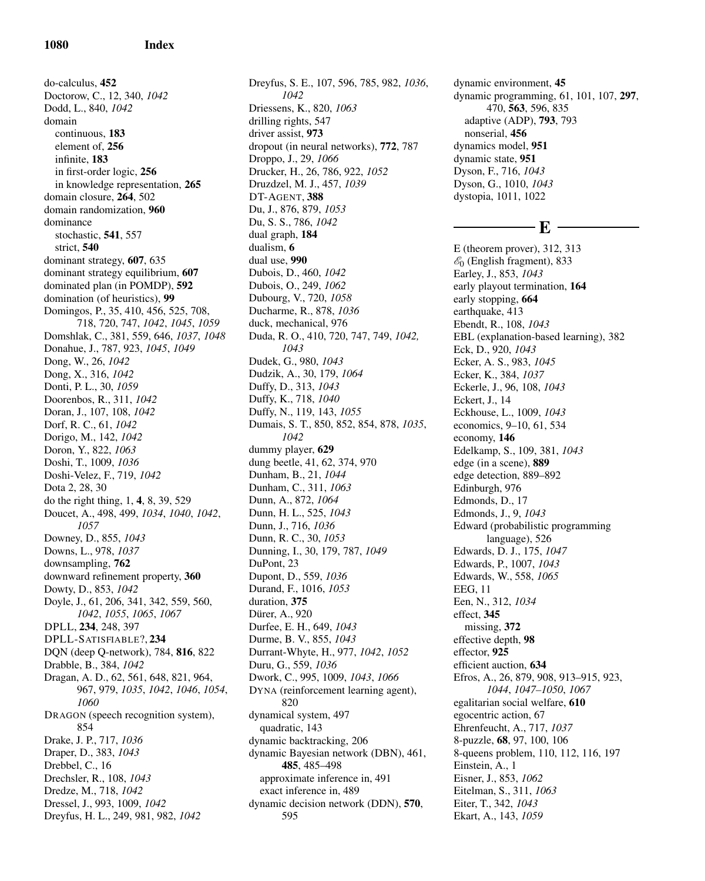do-calculus, 452 Doctorow, C., 12, 340, *1042* Dodd, L., 840, *1042* domain continuous, 183 element of, 256 infinite, 183 in first-order logic, 256 in knowledge representation, 265 domain closure, 264, 502 domain randomization, 960 dominance stochastic, 541, 557 strict, 540 dominant strategy, 607, 635 dominant strategy equilibrium, 607 dominated plan (in POMDP), 592 domination (of heuristics), 99 Domingos, P., 35, 410, 456, 525, 708, 718, 720, 747, *1042*, *1045*, *1059* Domshlak, C., 381, 559, 646, *1037*, *1048* Donahue, J., 787, 923, *1045*, *1049* Dong, W., 26, *1042* Dong, X., 316, *1042* Donti, P. L., 30, *1059* Doorenbos, R., 311, *1042* Doran, J., 107, 108, *1042* Dorf, R. C., 61, *1042* Dorigo, M., 142, *1042* Doron, Y., 822, *1063* Doshi, T., 1009, *1036* Doshi-Velez, F., 719, *1042* Dota 2, 28, 30 do the right thing, 1, 4, 8, 39, 529 Doucet, A., 498, 499, *1034*, *1040*, *1042*, *1057* Downey, D., 855, *1043* Downs, L., 978, *1037* downsampling, 762 downward refinement property, 360 Dowty, D., 853, *1042* Doyle, J., 61, 206, 341, 342, 559, 560, *1042*, *1055*, *1065*, *1067* DPLL, 234, 248, 397 DPLL-SATISFIABLE?, 234 DQN (deep Q-network), 784, 816, 822 Drabble, B., 384, *1042* Dragan, A. D., 62, 561, 648, 821, 964, 967, 979, *1035*, *1042*, *1046*, *1054*, *1060* DRAGON (speech recognition system), 854 Drake, J. P., 717, *1036* Draper, D., 383, *1043* Drebbel, C., 16 Drechsler, R., 108, *1043* Dredze, M., 718, *1042* Dressel, J., 993, 1009, *1042* Dreyfus, H. L., 249, 981, 982, *1042*

Dreyfus, S. E., 107, 596, 785, 982, *1036*, *1042* Driessens, K., 820, *1063* drilling rights, 547 driver assist, 973 dropout (in neural networks), 772, 787 Droppo, J., 29, *1066* Drucker, H., 26, 786, 922, *1052* Druzdzel, M. J., 457, *1039* DT-AGENT, 388 Du, J., 876, 879, *1053* Du, S. S., 786, *1042* dual graph, 184 dualism, 6 dual use, 990 Dubois, D., 460, *1042* Dubois, O., 249, *1062* Dubourg, V., 720, *1058* Ducharme, R., 878, *1036* duck, mechanical, 976 Duda, R. O., 410, 720, 747, 749, *1042, 1043* Dudek, G., 980, *1043* Dudzik, A., 30, 179, *1064* Duffy, D., 313, *1043* Duffy, K., 718, *1040* Duffy, N., 119, 143, *1055* Dumais, S. T., 850, 852, 854, 878, *1035*, *1042* dummy player, 629 dung beetle, 41, 62, 374, 970 Dunham, B., 21, *1044* Dunham, C., 311, *1063* Dunn, A., 872, *1064* Dunn, H. L., 525, *1043* Dunn, J., 716, *1036* Dunn, R. C., 30, *1053* Dunning, I., 30, 179, 787, *1049* DuPont, 23 Dupont, D., 559, *1036* Durand, F., 1016, *1053* duration, 375 Dürer, A., 920 Durfee, E. H., 649, *1043* Durme, B. V., 855, *1043* Durrant-Whyte, H., 977, *1042*, *1052* Duru, G., 559, *1036* Dwork, C., 995, 1009, *1043*, *1066* DYNA (reinforcement learning agent), 820 dynamical system, 497 quadratic, 143 dynamic backtracking, 206 dynamic Bayesian network (DBN), 461, 485, 485–498 approximate inference in, 491 exact inference in, 489 dynamic decision network (DDN), 570, 595

dynamic environment, 45 dynamic programming, 61, 101, 107, 297, 470, 563, 596, 835 adaptive (ADP), 793, 793 nonserial, 456 dynamics model, 951 dynamic state, 951 Dyson, F., 716, *1043* Dyson, G., 1010, *1043* dystopia, 1011, 1022

### - F. –

E (theorem prover), 312, 313  $\mathscr{E}_0$  (English fragment), 833 Earley, J., 853, *1043* early playout termination, 164 early stopping, 664 earthquake, 413 Ebendt, R., 108, *1043* EBL (explanation-based learning), 382 Eck, D., 920, *1043* Ecker, A. S., 983, *1045* Ecker, K., 384, *1037* Eckerle, J., 96, 108, *1043* Eckert, J., 14 Eckhouse, L., 1009, *1043* economics, 9–10, 61, 534 economy, 146 Edelkamp, S., 109, 381, *1043* edge (in a scene), 889 edge detection, 889–892 Edinburgh, 976 Edmonds, D., 17 Edmonds, J., 9, *1043* Edward (probabilistic programming language), 526 Edwards, D. J., 175, *1047* Edwards, P., 1007, *1043* Edwards, W., 558, *1065* EEG, 11 Een, N., 312, *1034* effect, 345 missing, 372 effective depth, 98 effector, 925 efficient auction, 634 Efros, A., 26, 879, 908, 913–915, 923, *1044*, *1047–1050*, *1067* egalitarian social welfare, 610 egocentric action, 67 Ehrenfeucht, A., 717, *1037* 8-puzzle, 68, 97, 100, 106 8-queens problem, 110, 112, 116, 197 Einstein, A., 1 Eisner, J., 853, *1062* Eitelman, S., 311, *1063* Eiter, T., 342, *1043* Ekart, A., 143, *1059*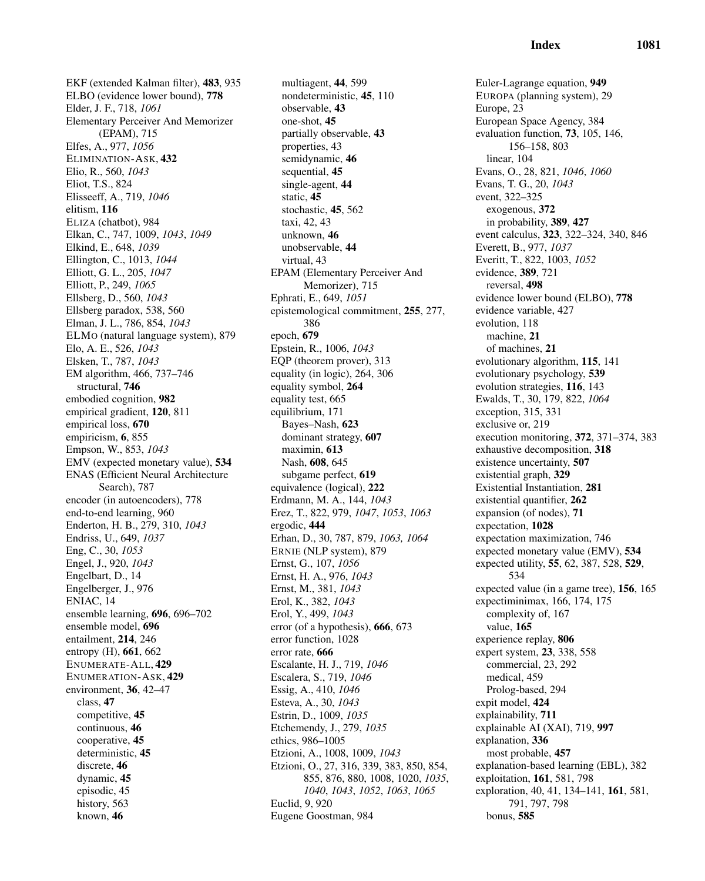EKF (extended Kalman filter), 483, 935 ELBO (evidence lower bound), 778 Elder, J. F., 718, *1061* Elementary Perceiver And Memorizer (EPAM), 715 Elfes, A., 977, *1056* ELIMINATION-ASK, 432 Elio, R., 560, *1043* Eliot, T.S., 824 Elisseeff, A., 719, *1046* elitism, 116 ELIZA (chatbot), 984 Elkan, C., 747, 1009, *1043*, *1049* Elkind, E., 648, *1039* Ellington, C., 1013, *1044* Elliott, G. L., 205, *1047* Elliott, P., 249, *1065* Ellsberg, D., 560, *1043* Ellsberg paradox, 538, 560 Elman, J. L., 786, 854, *1043* ELMO (natural language system), 879 Elo, A. E., 526, *1043* Elsken, T., 787, *1043* EM algorithm, 466, 737–746 structural, 746 embodied cognition, 982 empirical gradient, 120, 811 empirical loss, 670 empiricism, 6, 855 Empson, W., 853, *1043* EMV (expected monetary value), 534 ENAS (Efficient Neural Architecture Search), 787 encoder (in autoencoders), 778 end-to-end learning, 960 Enderton, H. B., 279, 310, *1043* Endriss, U., 649, *1037* Eng, C., 30, *1053* Engel, J., 920, *1043* Engelbart, D., 14 Engelberger, J., 976 ENIAC, 14 ensemble learning, 696, 696–702 ensemble model, 696 entailment, 214, 246 entropy (H), 661, 662 ENUMERATE-ALL, 429 ENUMERATION-ASK, 429 environment, 36, 42–47 class, 47 competitive, 45 continuous, 46 cooperative, 45 deterministic, 45 discrete, 46 dynamic, 45 episodic, 45 history, 563 known, 46

multiagent, 44, 599 nondeterministic, 45, 110 observable, 43 one-shot, 45 partially observable, 43 properties, 43 semidynamic, 46 sequential, 45 single-agent, 44 static, 45 stochastic, 45, 562 taxi, 42, 43 unknown, 46 unobservable, 44 virtual, 43 EPAM (Elementary Perceiver And Memorizer), 715 Ephrati, E., 649, *1051* epistemological commitment, 255, 277, 386 epoch, 679 Epstein, R., 1006, *1043* EQP (theorem prover), 313 equality (in logic), 264, 306 equality symbol, 264 equality test, 665 equilibrium, 171 Bayes–Nash, 623 dominant strategy, 607 maximin, 613 Nash, 608, 645 subgame perfect, 619 equivalence (logical), 222 Erdmann, M. A., 144, *1043* Erez, T., 822, 979, *1047*, *1053*, *1063* ergodic, 444 Erhan, D., 30, 787, 879, *1063, 1064* ERNIE (NLP system), 879 Ernst, G., 107, *1056* Ernst, H. A., 976, *1043* Ernst, M., 381, *1043* Erol, K., 382, *1043* Erol, Y., 499, *1043* error (of a hypothesis), 666, 673 error function, 1028 error rate, 666 Escalante, H. J., 719, *1046* Escalera, S., 719, *1046* Essig, A., 410, *1046* Esteva, A., 30, *1043* Estrin, D., 1009, *1035* Etchemendy, J., 279, *1035* ethics, 986–1005 Etzioni, A., 1008, 1009, *1043* Etzioni, O., 27, 316, 339, 383, 850, 854, 855, 876, 880, 1008, 1020, *1035*, *1040*, *1043*, *1052*, *1063*, *1065* Euclid, 9, 920 Eugene Goostman, 984

Euler-Lagrange equation, 949 EUROPA (planning system), 29 Europe, 23 European Space Agency, 384 evaluation function, 73, 105, 146, 156–158, 803 linear, 104 Evans, O., 28, 821, *1046*, *1060* Evans, T. G., 20, *1043* event, 322–325 exogenous, 372 in probability, 389, 427 event calculus, 323, 322–324, 340, 846 Everett, B., 977, *1037* Everitt, T., 822, 1003, *1052* evidence, 389, 721 reversal, 498 evidence lower bound (ELBO), 778 evidence variable, 427 evolution, 118 machine, 21 of machines, 21 evolutionary algorithm, 115, 141 evolutionary psychology, 539 evolution strategies, 116, 143 Ewalds, T., 30, 179, 822, *1064* exception, 315, 331 exclusive or, 219 execution monitoring, 372, 371–374, 383 exhaustive decomposition, 318 existence uncertainty, 507 existential graph, 329 Existential Instantiation, 281 existential quantifier, 262 expansion (of nodes), 71 expectation, 1028 expectation maximization, 746 expected monetary value (EMV), 534 expected utility, 55, 62, 387, 528, 529, 534 expected value (in a game tree), 156, 165 expectiminimax, 166, 174, 175 complexity of, 167 value, 165 experience replay, 806 expert system, 23, 338, 558 commercial, 23, 292 medical, 459 Prolog-based, 294 expit model, 424 explainability, 711 explainable AI (XAI), 719, 997 explanation, 336 most probable, 457 explanation-based learning (EBL), 382 exploitation, 161, 581, 798 exploration, 40, 41, 134–141, 161, 581, 791, 797, 798 bonus, 585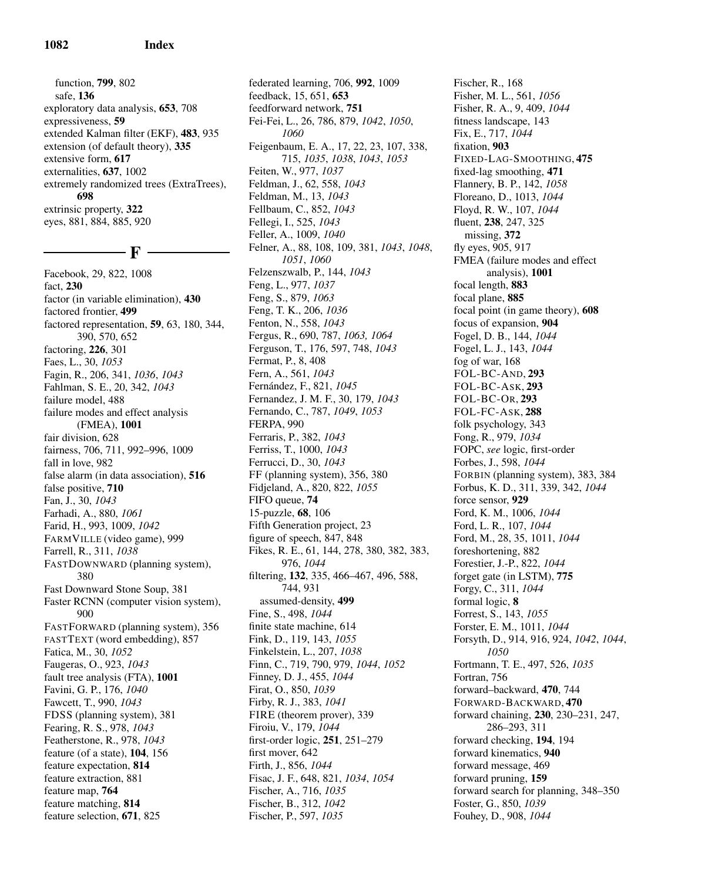function, 799, 802 safe, 136 exploratory data analysis, 653, 708 expressiveness, 59 extended Kalman filter (EKF), 483, 935 extension (of default theory), 335 extensive form, 617 externalities, 637, 1002 extremely randomized trees (ExtraTrees), 698 extrinsic property, 322 eyes, 881, 884, 885, 920

# $-$  F  $\cdot$

Facebook, 29, 822, 1008 fact, 230 factor (in variable elimination), 430 factored frontier, 499 factored representation, 59, 63, 180, 344, 390, 570, 652 factoring, 226, 301 Faes, L., 30, *1053* Fagin, R., 206, 341, *1036*, *1043* Fahlman, S. E., 20, 342, *1043* failure model, 488 failure modes and effect analysis (FMEA), 1001 fair division, 628 fairness, 706, 711, 992–996, 1009 fall in love, 982 false alarm (in data association), 516 false positive, 710 Fan, J., 30, *1043* Farhadi, A., 880, *1061* Farid, H., 993, 1009, *1042* FARMVILLE (video game), 999 Farrell, R., 311, *1038* FASTDOWNWARD (planning system), 380 Fast Downward Stone Soup, 381 Faster RCNN (computer vision system), 900 FASTFORWARD (planning system), 356 FASTTEXT (word embedding), 857 Fatica, M., 30, *1052* Faugeras, O., 923, *1043* fault tree analysis (FTA), 1001 Favini, G. P., 176, *1040* Fawcett, T., 990, *1043* FDSS (planning system), 381 Fearing, R. S., 978, *1043* Featherstone, R., 978, *1043* feature (of a state), 104, 156 feature expectation, 814 feature extraction, 881 feature map, 764 feature matching, 814 feature selection, 671, 825

federated learning, 706, 992, 1009 feedback, 15, 651, 653 feedforward network, 751 Fei-Fei, L., 26, 786, 879, *1042*, *1050*, *1060* Feigenbaum, E. A., 17, 22, 23, 107, 338, 715, *1035*, *1038*, *1043*, *1053* Feiten, W., 977, *1037* Feldman, J., 62, 558, *1043* Feldman, M., 13, *1043* Fellbaum, C., 852, *1043* Fellegi, I., 525, *1043* Feller, A., 1009, *1040* Felner, A., 88, 108, 109, 381, *1043*, *1048*, *1051*, *1060* Felzenszwalb, P., 144, *1043* Feng, L., 977, *1037* Feng, S., 879, *1063* Feng, T. K., 206, *1036* Fenton, N., 558, *1043* Fergus, R., 690, 787, *1063, 1064* Ferguson, T., 176, 597, 748, *1043* Fermat, P., 8, 408 Fern, A., 561, *1043* Fern´andez, F., 821, *1045* Fernandez, J. M. F., 30, 179, *1043* Fernando, C., 787, *1049*, *1053* FERPA, 990 Ferraris, P., 382, *1043* Ferriss, T., 1000, *1043* Ferrucci, D., 30, *1043* FF (planning system), 356, 380 Fidjeland, A., 820, 822, *1055* FIFO queue, 74 15-puzzle, 68, 106 Fifth Generation project, 23 figure of speech, 847, 848 Fikes, R. E., 61, 144, 278, 380, 382, 383, 976, *1044* filtering, 132, 335, 466–467, 496, 588, 744, 931 assumed-density, 499 Fine, S., 498, *1044* finite state machine, 614 Fink, D., 119, 143, *1055* Finkelstein, L., 207, *1038* Finn, C., 719, 790, 979, *1044*, *1052* Finney, D. J., 455, *1044* Firat, O., 850, *1039* Firby, R. J., 383, *1041* FIRE (theorem prover), 339 Firoiu, V., 179, *1044* first-order logic, 251, 251–279 first mover, 642 Firth, J., 856, *1044* Fisac, J. F., 648, 821, *1034*, *1054* Fischer, A., 716, *1035* Fischer, B., 312, *1042* Fischer, P., 597, *1035*

Fischer, R., 168 Fisher, M. L., 561, *1056* Fisher, R. A., 9, 409, *1044* fitness landscape, 143 Fix, E., 717, *1044* fixation, 903 FIXED-LAG-SMOOTHING, 475 fixed-lag smoothing, 471 Flannery, B. P., 142, *1058* Floreano, D., 1013, *1044* Floyd, R. W., 107, *1044* fluent, 238, 247, 325 missing, 372 fly eyes, 905, 917 FMEA (failure modes and effect analysis), 1001 focal length, 883 focal plane, 885 focal point (in game theory), 608 focus of expansion, 904 Fogel, D. B., 144, *1044* Fogel, L. J., 143, *1044* fog of war, 168 FOL-BC-AND, 293 FOL-BC-ASK, 293 FOL-BC-OR, 293 FOL-FC-ASK, 288 folk psychology, 343 Fong, R., 979, *1034* FOPC, *see* logic, first-order Forbes, J., 598, *1044* FORBIN (planning system), 383, 384 Forbus, K. D., 311, 339, 342, *1044* force sensor, 929 Ford, K. M., 1006, *1044* Ford, L. R., 107, *1044* Ford, M., 28, 35, 1011, *1044* foreshortening, 882 Forestier, J.-P., 822, *1044* forget gate (in LSTM), 775 Forgy, C., 311, *1044* formal logic, 8 Forrest, S., 143, *1055* Forster, E. M., 1011, *1044* Forsyth, D., 914, 916, 924, *1042*, *1044*, *1050* Fortmann, T. E., 497, 526, *1035* Fortran, 756 forward–backward, 470, 744 FORWARD-BACKWARD, 470 forward chaining, 230, 230–231, 247, 286–293, 311 forward checking, 194, 194 forward kinematics, 940 forward message, 469 forward pruning, 159 forward search for planning, 348–350 Foster, G., 850, *1039* Fouhey, D., 908, *1044*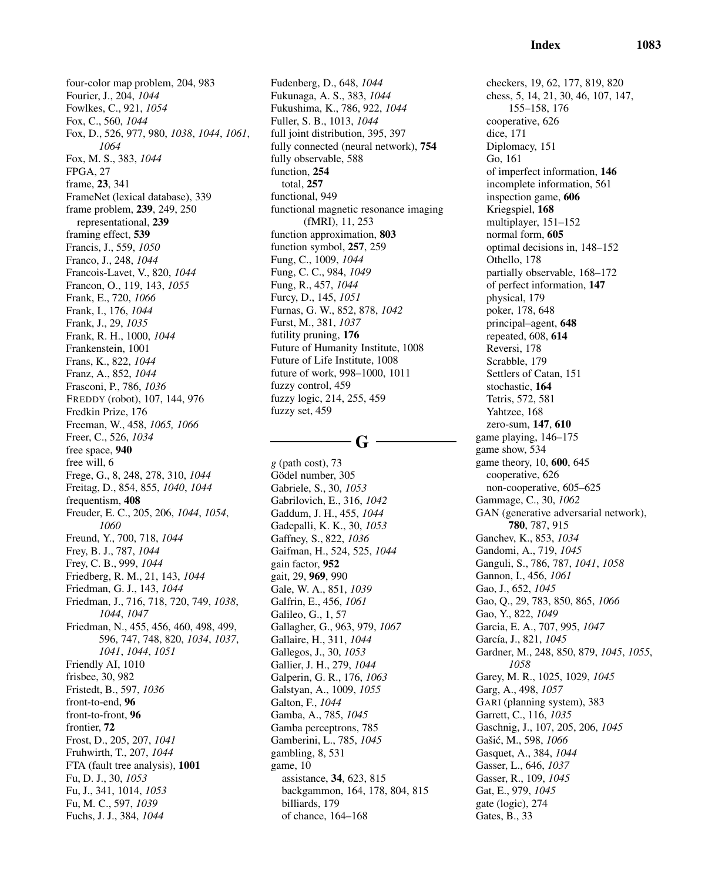four-color map problem, 204, 983 Fourier, J., 204, *1044* Fowlkes, C., 921, *1054* Fox, C., 560, *1044* Fox, D., 526, 977, 980, *1038*, *1044*, *1061*, *1064* Fox, M. S., 383, *1044* FPGA, 27 frame, 23, 341 FrameNet (lexical database), 339 frame problem, 239, 249, 250 representational, 239 framing effect, 539 Francis, J., 559, *1050* Franco, J., 248, *1044* Francois-Lavet, V., 820, *1044* Francon, O., 119, 143, *1055* Frank, E., 720, *1066* Frank, I., 176, *1044* Frank, J., 29, *1035* Frank, R. H., 1000, *1044* Frankenstein, 1001 Frans, K., 822, *1044* Franz, A., 852, *1044* Frasconi, P., 786, *1036* FREDDY (robot), 107, 144, 976 Fredkin Prize, 176 Freeman, W., 458, *1065, 1066* Freer, C., 526, *1034* free space, 940 free will, 6 Frege, G., 8, 248, 278, 310, *1044* Freitag, D., 854, 855, *1040*, *1044* frequentism, 408 Freuder, E. C., 205, 206, *1044*, *1054*, *1060* Freund, Y., 700, 718, *1044* Frey, B. J., 787, *1044* Frey, C. B., 999, *1044* Friedberg, R. M., 21, 143, *1044* Friedman, G. J., 143, *1044* Friedman, J., 716, 718, 720, 749, *1038*, *1044*, *1047* Friedman, N., 455, 456, 460, 498, 499, 596, 747, 748, 820, *1034*, *1037*, *1041*, *1044*, *1051* Friendly AI, 1010 frisbee, 30, 982 Fristedt, B., 597, *1036* front-to-end, 96 front-to-front, 96 frontier, 72 Frost, D., 205, 207, *1041* Fruhwirth, T., 207, *1044* FTA (fault tree analysis), 1001 Fu, D. J., 30, *1053* Fu, J., 341, 1014, *1053* Fu, M. C., 597, *1039* Fuchs, J. J., 384, *1044*

Fudenberg, D., 648, *1044* Fukunaga, A. S., 383, *1044* Fukushima, K., 786, 922, *1044* Fuller, S. B., 1013, *1044* full joint distribution, 395, 397 fully connected (neural network), 754 fully observable, 588 function, 254 total, 257 functional, 949 functional magnetic resonance imaging (fMRI), 11, 253 function approximation, 803 function symbol, 257, 259 Fung, C., 1009, *1044* Fung, C. C., 984, *1049* Fung, R., 457, *1044* Furcy, D., 145, *1051* Furnas, G. W., 852, 878, *1042* Furst, M., 381, *1037* futility pruning, 176 Future of Humanity Institute, 1008 Future of Life Institute, 1008 future of work, 998–1000, 1011 fuzzy control, 459 fuzzy logic, 214, 255, 459 fuzzy set, 459

 $-G -$ 

*g* (path cost), 73 Gödel number, 305 Gabriele, S., 30, *1053* Gabrilovich, E., 316, *1042* Gaddum, J. H., 455, *1044* Gadepalli, K. K., 30, *1053* Gaffney, S., 822, *1036* Gaifman, H., 524, 525, *1044* gain factor, 952 gait, 29, 969, 990 Gale, W. A., 851, *1039* Galfrin, E., 456, *1061* Galileo, G., 1, 57 Gallagher, G., 963, 979, *1067* Gallaire, H., 311, *1044* Gallegos, J., 30, *1053* Gallier, J. H., 279, *1044* Galperin, G. R., 176, *1063* Galstyan, A., 1009, *1055* Galton, F., *1044* Gamba, A., 785, *1045* Gamba perceptrons, 785 Gamberini, L., 785, *1045* gambling, 8, 531 game, 10 assistance, 34, 623, 815 backgammon, 164, 178, 804, 815 billiards, 179 of chance, 164–168

checkers, 19, 62, 177, 819, 820 chess, 5, 14, 21, 30, 46, 107, 147, 155–158, 176 cooperative, 626 dice, 171 Diplomacy, 151 Go, 161 of imperfect information, 146 incomplete information, 561 inspection game, 606 Kriegspiel, 168 multiplayer, 151–152 normal form, 605 optimal decisions in, 148–152 Othello, 178 partially observable, 168–172 of perfect information, 147 physical, 179 poker, 178, 648 principal–agent, 648 repeated, 608, 614 Reversi, 178 Scrabble, 179 Settlers of Catan, 151 stochastic, 164 Tetris, 572, 581 Yahtzee, 168 zero-sum, 147, 610 game playing, 146–175 game show, 534 game theory, 10, 600, 645 cooperative, 626 non-cooperative, 605–625 Gammage, C., 30, *1062* GAN (generative adversarial network), 780, 787, 915 Ganchev, K., 853, *1034* Gandomi, A., 719, *1045* Ganguli, S., 786, 787, *1041*, *1058* Gannon, I., 456, *1061* Gao, J., 652, *1045* Gao, Q., 29, 783, 850, 865, *1066* Gao, Y., 822, *1049* Garcia, E. A., 707, 995, *1047* García, J., 821, 1045 Gardner, M., 248, 850, 879, *1045*, *1055*, *1058* Garey, M. R., 1025, 1029, *1045* Garg, A., 498, *1057* GARI (planning system), 383 Garrett, C., 116, *1035* Gaschnig, J., 107, 205, 206, *1045* Gašić, M., 598, 1066 Gasquet, A., 384, *1044* Gasser, L., 646, *1037* Gasser, R., 109, *1045* Gat, E., 979, *1045* gate (logic), 274 Gates, B., 33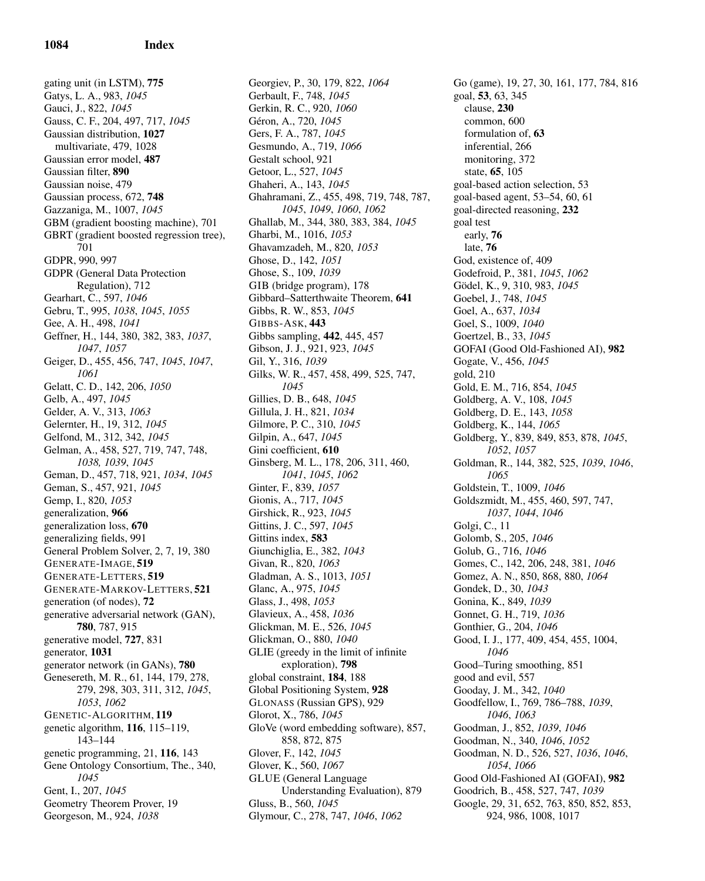gating unit (in LSTM), 775 Gatys, L. A., 983, *1045* Gauci, J., 822, *1045* Gauss, C. F., 204, 497, 717, *1045* Gaussian distribution, 1027 multivariate, 479, 1028 Gaussian error model, 487 Gaussian filter, 890 Gaussian noise, 479 Gaussian process, 672, 748 Gazzaniga, M., 1007, *1045* GBM (gradient boosting machine), 701 GBRT (gradient boosted regression tree), 701 GDPR, 990, 997 GDPR (General Data Protection Regulation), 712 Gearhart, C., 597, *1046* Gebru, T., 995, *1038*, *1045*, *1055* Gee, A. H., 498, *1041* Geffner, H., 144, 380, 382, 383, *1037*, *1047*, *1057* Geiger, D., 455, 456, 747, *1045*, *1047*, *1061* Gelatt, C. D., 142, 206, *1050* Gelb, A., 497, *1045* Gelder, A. V., 313, *1063* Gelernter, H., 19, 312, *1045* Gelfond, M., 312, 342, *1045* Gelman, A., 458, 527, 719, 747, 748, *1038, 1039*, *1045* Geman, D., 457, 718, 921, *1034*, *1045* Geman, S., 457, 921, *1045* Gemp, I., 820, *1053* generalization, 966 generalization loss, 670 generalizing fields, 991 General Problem Solver, 2, 7, 19, 380 GENERATE-IMAGE, 519 GENERATE-LETTERS, 519 GENERATE-MARKOV-LETTERS, 521 generation (of nodes), 72 generative adversarial network (GAN), 780, 787, 915 generative model, 727, 831 generator, 1031 generator network (in GANs), 780 Genesereth, M. R., 61, 144, 179, 278, 279, 298, 303, 311, 312, *1045*, *1053*, *1062* GENETIC-ALGORITHM, 119 genetic algorithm, 116, 115–119, 143–144 genetic programming, 21, 116, 143 Gene Ontology Consortium, The., 340, *1045* Gent, I., 207, *1045* Geometry Theorem Prover, 19 Georgeson, M., 924, *1038*

Georgiev, P., 30, 179, 822, *1064* Gerbault, F., 748, *1045* Gerkin, R. C., 920, *1060* Géron, A., 720, 1045 Gers, F. A., 787, *1045* Gesmundo, A., 719, *1066* Gestalt school, 921 Getoor, L., 527, *1045* Ghaheri, A., 143, *1045* Ghahramani, Z., 455, 498, 719, 748, 787, *1045*, *1049*, *1060*, *1062* Ghallab, M., 344, 380, 383, 384, *1045* Gharbi, M., 1016, *1053* Ghavamzadeh, M., 820, *1053* Ghose, D., 142, *1051* Ghose, S., 109, *1039* GIB (bridge program), 178 Gibbard–Satterthwaite Theorem, 641 Gibbs, R. W., 853, *1045* GIBBS-ASK, 443 Gibbs sampling, 442, 445, 457 Gibson, J. J., 921, 923, *1045* Gil, Y., 316, *1039* Gilks, W. R., 457, 458, 499, 525, 747, *1045* Gillies, D. B., 648, *1045* Gillula, J. H., 821, *1034* Gilmore, P. C., 310, *1045* Gilpin, A., 647, *1045* Gini coefficient, 610 Ginsberg, M. L., 178, 206, 311, 460, *1041*, *1045*, *1062* Ginter, F., 839, *1057* Gionis, A., 717, *1045* Girshick, R., 923, *1045* Gittins, J. C., 597, *1045* Gittins index, 583 Giunchiglia, E., 382, *1043* Givan, R., 820, *1063* Gladman, A. S., 1013, *1051* Glanc, A., 975, *1045* Glass, J., 498, *1053* Glavieux, A., 458, *1036* Glickman, M. E., 526, *1045* Glickman, O., 880, *1040* GLIE (greedy in the limit of infinite exploration), 798 global constraint, 184, 188 Global Positioning System, 928 GLONASS (Russian GPS), 929 Glorot, X., 786, *1045* GloVe (word embedding software), 857, 858, 872, 875 Glover, F., 142, *1045* Glover, K., 560, *1067* GLUE (General Language Understanding Evaluation), 879 Gluss, B., 560, *1045* Glymour, C., 278, 747, *1046*, *1062*

Go (game), 19, 27, 30, 161, 177, 784, 816 goal, 53, 63, 345 clause, 230 common, 600 formulation of, 63 inferential, 266 monitoring, 372 state, 65, 105 goal-based action selection, 53 goal-based agent, 53–54, 60, 61 goal-directed reasoning, 232 goal test early, 76 late, 76 God, existence of, 409 Godefroid, P., 381, *1045*, *1062* Gödel, K., 9, 310, 983, 1045 Goebel, J., 748, *1045* Goel, A., 637, *1034* Goel, S., 1009, *1040* Goertzel, B., 33, *1045* GOFAI (Good Old-Fashioned AI), 982 Gogate, V., 456, *1045* gold, 210 Gold, E. M., 716, 854, *1045* Goldberg, A. V., 108, *1045* Goldberg, D. E., 143, *1058* Goldberg, K., 144, *1065* Goldberg, Y., 839, 849, 853, 878, *1045*, *1052*, *1057* Goldman, R., 144, 382, 525, *1039*, *1046*, *1065* Goldstein, T., 1009, *1046* Goldszmidt, M., 455, 460, 597, 747, *1037*, *1044*, *1046* Golgi, C., 11 Golomb, S., 205, *1046* Golub, G., 716, *1046* Gomes, C., 142, 206, 248, 381, *1046* Gomez, A. N., 850, 868, 880, *1064* Gondek, D., 30, *1043* Gonina, K., 849, *1039* Gonnet, G. H., 719, *1036* Gonthier, G., 204, *1046* Good, I. J., 177, 409, 454, 455, 1004, *1046* Good–Turing smoothing, 851 good and evil, 557 Gooday, J. M., 342, *1040* Goodfellow, I., 769, 786–788, *1039*, *1046*, *1063* Goodman, J., 852, *1039*, *1046* Goodman, N., 340, *1046*, *1052* Goodman, N. D., 526, 527, *1036*, *1046*, *1054*, *1066* Good Old-Fashioned AI (GOFAI), 982 Goodrich, B., 458, 527, 747, *1039* Google, 29, 31, 652, 763, 850, 852, 853, 924, 986, 1008, 1017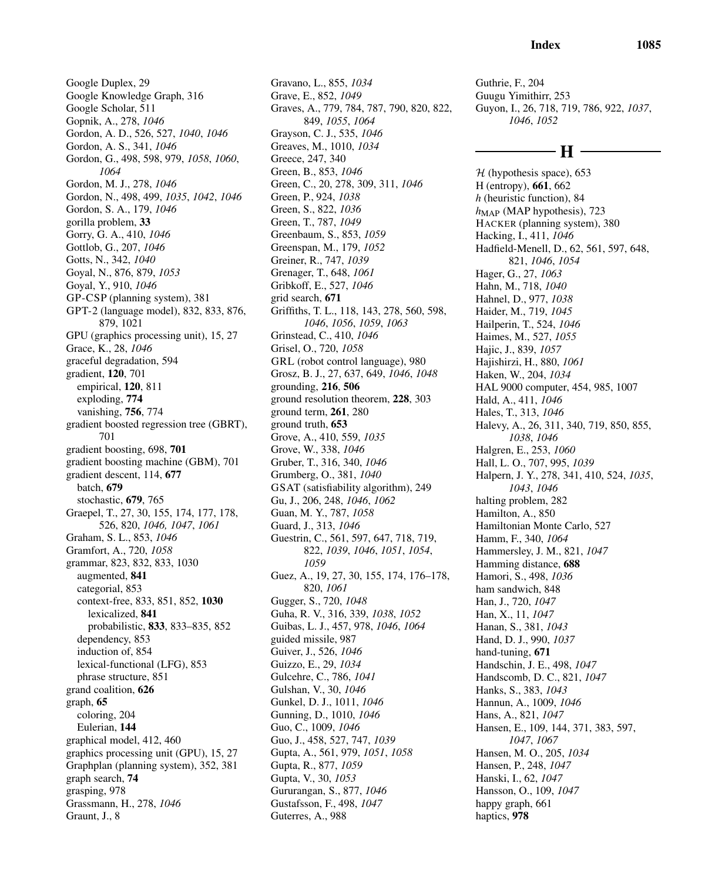Google Duplex, 29 Google Knowledge Graph, 316 Google Scholar, 511 Gopnik, A., 278, *1046* Gordon, A. D., 526, 527, *1040*, *1046* Gordon, A. S., 341, *1046* Gordon, G., 498, 598, 979, *1058*, *1060*, *1064* Gordon, M. J., 278, *1046* Gordon, N., 498, 499, *1035*, *1042*, *1046* Gordon, S. A., 179, *1046* gorilla problem, 33 Gorry, G. A., 410, *1046* Gottlob, G., 207, *1046* Gotts, N., 342, *1040* Goyal, N., 876, 879, *1053* Goyal, Y., 910, *1046* GP-CSP (planning system), 381 GPT-2 (language model), 832, 833, 876, 879, 1021 GPU (graphics processing unit), 15, 27 Grace, K., 28, *1046* graceful degradation, 594 gradient, 120, 701 empirical, 120, 811 exploding, 774 vanishing, 756, 774 gradient boosted regression tree (GBRT), 701 gradient boosting, 698, 701 gradient boosting machine (GBM), 701 gradient descent, 114, 677 batch, 679 stochastic, 679, 765 Graepel, T., 27, 30, 155, 174, 177, 178, 526, 820, *1046, 1047*, *1061* Graham, S. L., 853, *1046* Gramfort, A., 720, *1058* grammar, 823, 832, 833, 1030 augmented, 841 categorial, 853 context-free, 833, 851, 852, 1030 lexicalized, 841 probabilistic, 833, 833–835, 852 dependency, 853 induction of, 854 lexical-functional (LFG), 853 phrase structure, 851 grand coalition, 626 graph, 65 coloring, 204 Eulerian, 144 graphical model, 412, 460 graphics processing unit (GPU), 15, 27 Graphplan (planning system), 352, 381 graph search, 74 grasping, 978 Grassmann, H., 278, *1046* Graunt, J., 8

Gravano, L., 855, *1034* Grave, E., 852, *1049* Graves, A., 779, 784, 787, 790, 820, 822, 849, *1055*, *1064* Grayson, C. J., 535, *1046* Greaves, M., 1010, *1034* Greece, 247, 340 Green, B., 853, *1046* Green, C., 20, 278, 309, 311, *1046* Green, P., 924, *1038* Green, S., 822, *1036* Green, T., 787, *1049* Greenbaum, S., 853, *1059* Greenspan, M., 179, *1052* Greiner, R., 747, *1039* Grenager, T., 648, *1061* Gribkoff, E., 527, *1046* grid search, 671 Griffiths, T. L., 118, 143, 278, 560, 598, *1046*, *1056*, *1059*, *1063* Grinstead, C., 410, *1046* Grisel, O., 720, *1058* GRL (robot control language), 980 Grosz, B. J., 27, 637, 649, *1046*, *1048* grounding, 216, 506 ground resolution theorem, 228, 303 ground term, 261, 280 ground truth, 653 Grove, A., 410, 559, *1035* Grove, W., 338, *1046* Gruber, T., 316, 340, *1046* Grumberg, O., 381, *1040* GSAT (satisfiability algorithm), 249 Gu, J., 206, 248, *1046*, *1062* Guan, M. Y., 787, *1058* Guard, J., 313, *1046* Guestrin, C., 561, 597, 647, 718, 719, 822, *1039*, *1046*, *1051*, *1054*, *1059* Guez, A., 19, 27, 30, 155, 174, 176–178, 820, *1061* Gugger, S., 720, *1048* Guha, R. V., 316, 339, *1038*, *1052* Guibas, L. J., 457, 978, *1046*, *1064* guided missile, 987 Guiver, J., 526, *1046* Guizzo, E., 29, *1034* Gulcehre, C., 786, *1041* Gulshan, V., 30, *1046* Gunkel, D. J., 1011, *1046* Gunning, D., 1010, *1046* Guo, C., 1009, *1046* Guo, J., 458, 527, 747, *1039* Gupta, A., 561, 979, *1051*, *1058* Gupta, R., 877, *1059* Gupta, V., 30, *1053* Gururangan, S., 877, *1046* Gustafsson, F., 498, *1047* Guterres, A., 988

Guthrie, F., 204 Guugu Yimithirr, 253 Guyon, I., 26, 718, 719, 786, 922, *1037*, *1046*, *1052*

# - H -

 $H$  (hypothesis space), 653 H (entropy), 661, 662 *h* (heuristic function), 84  $h_{MAP}$  (MAP hypothesis), 723 HACKER (planning system), 380 Hacking, I., 411, *1046* Hadfield-Menell, D., 62, 561, 597, 648, 821, *1046*, *1054* Hager, G., 27, *1063* Hahn, M., 718, *1040* Hahnel, D., 977, *1038* Haider, M., 719, *1045* Hailperin, T., 524, *1046* Haimes, M., 527, *1055* Hajic, J., 839, *1057* Hajishirzi, H., 880, *1061* Haken, W., 204, *1034* HAL 9000 computer, 454, 985, 1007 Hald, A., 411, *1046* Hales, T., 313, *1046* Halevy, A., 26, 311, 340, 719, 850, 855, *1038*, *1046* Halgren, E., 253, *1060* Hall, L. O., 707, 995, *1039* Halpern, J. Y., 278, 341, 410, 524, *1035*, *1043*, *1046* halting problem, 282 Hamilton, A., 850 Hamiltonian Monte Carlo, 527 Hamm, F., 340, *1064* Hammersley, J. M., 821, *1047* Hamming distance, 688 Hamori, S., 498, *1036* ham sandwich, 848 Han, J., 720, *1047* Han, X., 11, *1047* Hanan, S., 381, *1043* Hand, D. J., 990, *1037* hand-tuning, 671 Handschin, J. E., 498, *1047* Handscomb, D. C., 821, *1047* Hanks, S., 383, *1043* Hannun, A., 1009, *1046* Hans, A., 821, *1047* Hansen, E., 109, 144, 371, 383, 597, *1047*, *1067* Hansen, M. O., 205, *1034* Hansen, P., 248, *1047* Hanski, I., 62, *1047* Hansson, O., 109, *1047* happy graph, 661 haptics, 978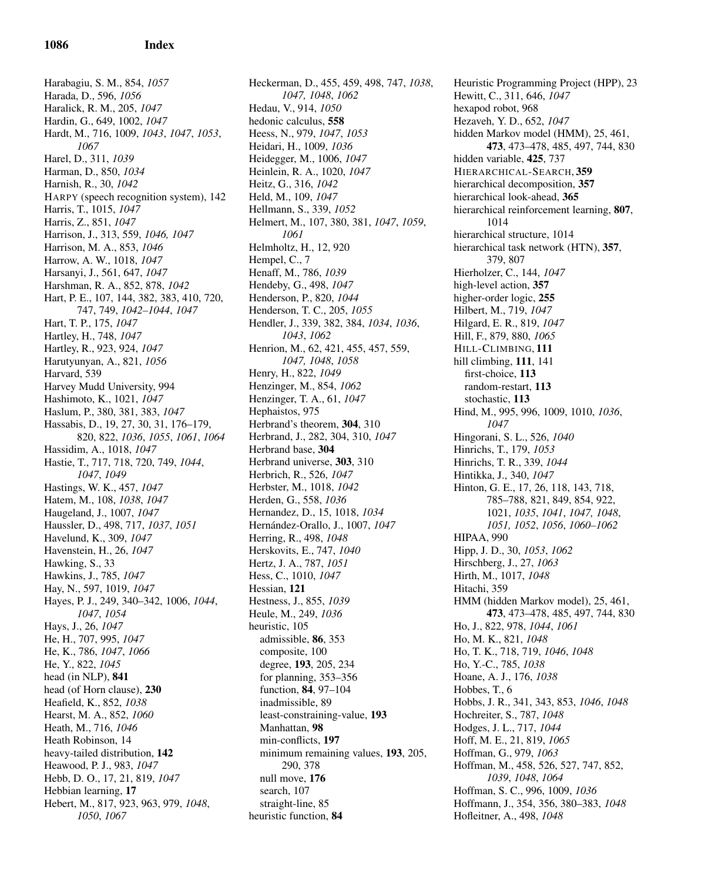Harabagiu, S. M., 854, *1057* Harada, D., 596, *1056* Haralick, R. M., 205, *1047* Hardin, G., 649, 1002, *1047* Hardt, M., 716, 1009, *1043*, *1047*, *1053*, *1067* Harel, D., 311, *1039* Harman, D., 850, *1034* Harnish, R., 30, *1042* HARPY (speech recognition system), 142 Harris, T., 1015, *1047* Harris, Z., 851, *1047* Harrison, J., 313, 559, *1046, 1047* Harrison, M. A., 853, *1046* Harrow, A. W., 1018, *1047* Harsanyi, J., 561, 647, *1047* Harshman, R. A., 852, 878, *1042* Hart, P. E., 107, 144, 382, 383, 410, 720, 747, 749, *1042–1044*, *1047* Hart, T. P., 175, *1047* Hartley, H., 748, *1047* Hartley, R., 923, 924, *1047* Harutyunyan, A., 821, *1056* Harvard, 539 Harvey Mudd University, 994 Hashimoto, K., 1021, *1047* Haslum, P., 380, 381, 383, *1047* Hassabis, D., 19, 27, 30, 31, 176–179, 820, 822, *1036*, *1055*, *1061*, *1064* Hassidim, A., 1018, *1047* Hastie, T., 717, 718, 720, 749, *1044*, *1047*, *1049* Hastings, W. K., 457, *1047* Hatem, M., 108, *1038*, *1047* Haugeland, J., 1007, *1047* Haussler, D., 498, 717, *1037*, *1051* Havelund, K., 309, *1047* Havenstein, H., 26, *1047* Hawking, S., 33 Hawkins, J., 785, *1047* Hay, N., 597, 1019, *1047* Hayes, P. J., 249, 340–342, 1006, *1044*, *1047*, *1054* Hays, J., 26, *1047* He, H., 707, 995, *1047* He, K., 786, *1047*, *1066* He, Y., 822, *1045* head (in NLP), 841 head (of Horn clause), 230 Heafield, K., 852, *1038* Hearst, M. A., 852, *1060* Heath, M., 716, *1046* Heath Robinson, 14 heavy-tailed distribution, 142 Heawood, P. J., 983, *1047* Hebb, D. O., 17, 21, 819, *1047* Hebbian learning, 17 Hebert, M., 817, 923, 963, 979, *1048*, *1050*, *1067*

Heckerman, D., 455, 459, 498, 747, *1038*, *1047, 1048*, *1062* Hedau, V., 914, *1050* hedonic calculus, 558 Heess, N., 979, *1047*, *1053* Heidari, H., 1009, *1036* Heidegger, M., 1006, *1047* Heinlein, R. A., 1020, *1047* Heitz, G., 316, *1042* Held, M., 109, *1047* Hellmann, S., 339, *1052* Helmert, M., 107, 380, 381, *1047*, *1059*, *1061* Helmholtz, H., 12, 920 Hempel, C., 7 Henaff, M., 786, *1039* Hendeby, G., 498, *1047* Henderson, P., 820, *1044* Henderson, T. C., 205, *1055* Hendler, J., 339, 382, 384, *1034*, *1036*, *1043*, *1062* Henrion, M., 62, 421, 455, 457, 559, *1047, 1048*, *1058* Henry, H., 822, *1049* Henzinger, M., 854, *1062* Henzinger, T. A., 61, *1047* Hephaistos, 975 Herbrand's theorem, 304, 310 Herbrand, J., 282, 304, 310, *1047* Herbrand base, 304 Herbrand universe, 303, 310 Herbrich, R., 526, *1047* Herbster, M., 1018, *1042* Herden, G., 558, *1036* Hernandez, D., 15, 1018, *1034* Hern´andez-Orallo, J., 1007, *1047* Herring, R., 498, *1048* Herskovits, E., 747, *1040* Hertz, J. A., 787, *1051* Hess, C., 1010, *1047* Hessian, 121 Hestness, J., 855, *1039* Heule, M., 249, *1036* heuristic, 105 admissible, 86, 353 composite, 100 degree, 193, 205, 234 for planning, 353–356 function, 84, 97–104 inadmissible, 89 least-constraining-value, 193 Manhattan, 98 min-conflicts, 197 minimum remaining values, 193, 205, 290, 378 null move, 176 search, 107 straight-line, 85 heuristic function, 84

Heuristic Programming Project (HPP), 23 Hewitt, C., 311, 646, *1047* hexapod robot, 968 Hezaveh, Y. D., 652, *1047* hidden Markov model (HMM), 25, 461, 473, 473–478, 485, 497, 744, 830 hidden variable, 425, 737 HIERARCHICAL-SEARCH, 359 hierarchical decomposition, 357 hierarchical look-ahead, 365 hierarchical reinforcement learning, 807, 1014 hierarchical structure, 1014 hierarchical task network (HTN), 357, 379, 807 Hierholzer, C., 144, *1047* high-level action, 357 higher-order logic, 255 Hilbert, M., 719, *1047* Hilgard, E. R., 819, *1047* Hill, F., 879, 880, *1065* HILL-CLIMBING, 111 hill climbing, 111, 141 first-choice, 113 random-restart, 113 stochastic, 113 Hind, M., 995, 996, 1009, 1010, *1036*, *1047* Hingorani, S. L., 526, *1040* Hinrichs, T., 179, *1053* Hinrichs, T. R., 339, *1044* Hintikka, J., 340, *1047* Hinton, G. E., 17, 26, 118, 143, 718, 785–788, 821, 849, 854, 922, 1021, *1035*, *1041*, *1047, 1048*, *1051, 1052*, *1056*, *1060–1062* HIPAA, 990 Hipp, J. D., 30, *1053*, *1062* Hirschberg, J., 27, *1063* Hirth, M., 1017, *1048* Hitachi, 359 HMM (hidden Markov model), 25, 461, 473, 473–478, 485, 497, 744, 830 Ho, J., 822, 978, *1044*, *1061* Ho, M. K., 821, *1048* Ho, T. K., 718, 719, *1046*, *1048* Ho, Y.-C., 785, *1038* Hoane, A. J., 176, *1038* Hobbes, T., 6 Hobbs, J. R., 341, 343, 853, *1046*, *1048* Hochreiter, S., 787, *1048* Hodges, J. L., 717, *1044* Hoff, M. E., 21, 819, *1065* Hoffman, G., 979, *1063* Hoffman, M., 458, 526, 527, 747, 852, *1039*, *1048*, *1064* Hoffman, S. C., 996, 1009, *1036* Hoffmann, J., 354, 356, 380–383, *1048* Hofleitner, A., 498, *1048*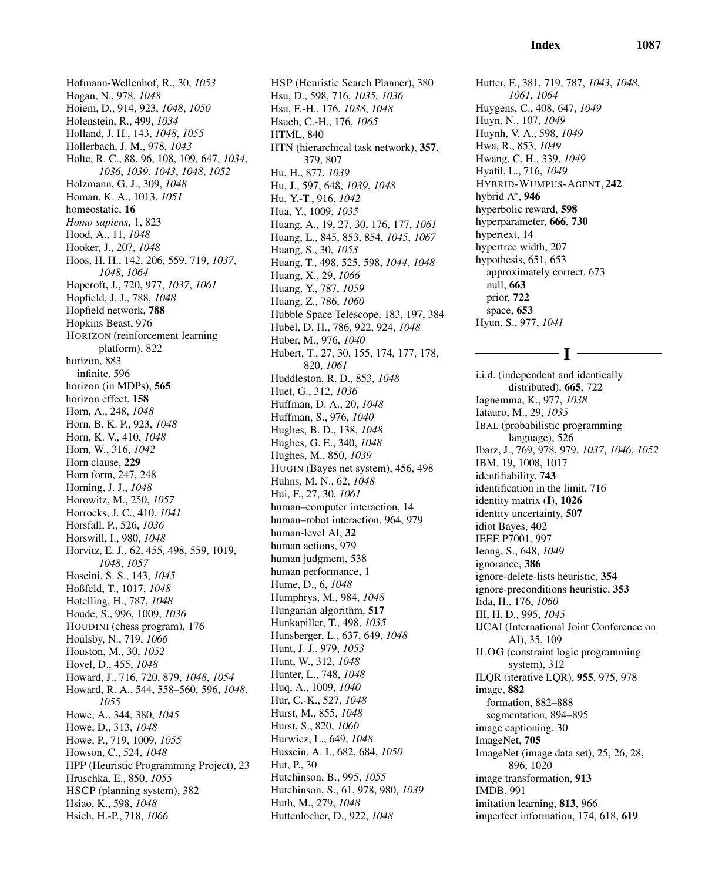Hofmann-Wellenhof, R., 30, *1053* Hogan, N., 978, *1048* Hoiem, D., 914, 923, *1048*, *1050* Holenstein, R., 499, *1034* Holland, J. H., 143, *1048*, *1055* Hollerbach, J. M., 978, *1043* Holte, R. C., 88, 96, 108, 109, 647, *1034*, *1036*, *1039*, *1043*, *1048*, *1052* Holzmann, G. J., 309, *1048* Homan, K. A., 1013, *1051* homeostatic, 16 *Homo sapiens*, 1, 823 Hood, A., 11, *1048* Hooker, J., 207, *1048* Hoos, H. H., 142, 206, 559, 719, *1037*, *1048*, *1064* Hopcroft, J., 720, 977, *1037*, *1061* Hopfield, J. J., 788, *1048* Hopfield network, 788 Hopkins Beast, 976 HORIZON (reinforcement learning platform), 822 horizon, 883 infinite, 596 horizon (in MDPs), 565 horizon effect, 158 Horn, A., 248, *1048* Horn, B. K. P., 923, *1048* Horn, K. V., 410, *1048* Horn, W., 316, *1042* Horn clause, 229 Horn form, 247, 248 Horning, J. J., *1048* Horowitz, M., 250, *1057* Horrocks, J. C., 410, *1041* Horsfall, P., 526, *1036* Horswill, I., 980, *1048* Horvitz, E. J., 62, 455, 498, 559, 1019, *1048*, *1057* Hoseini, S. S., 143, *1045* Hoßfeld, T., 1017, *1048* Hotelling, H., 787, *1048* Houde, S., 996, 1009, *1036* HOUDINI (chess program), 176 Houlsby, N., 719, *1066* Houston, M., 30, *1052* Hovel, D., 455, *1048* Howard, J., 716, 720, 879, *1048*, *1054* Howard, R. A., 544, 558–560, 596, *1048*, *1055* Howe, A., 344, 380, *1045* Howe, D., 313, *1048* Howe, P., 719, 1009, *1055* Howson, C., 524, *1048* HPP (Heuristic Programming Project), 23 Hruschka, E., 850, *1055* HSCP (planning system), 382 Hsiao, K., 598, *1048* Hsieh, H.-P., 718, *1066*

HSP (Heuristic Search Planner), 380 Hsu, D., 598, 716, *1035, 1036* Hsu, F.-H., 176, *1038*, *1048* Hsueh, C.-H., 176, *1065* HTML, 840 HTN (hierarchical task network), 357, 379, 807 Hu, H., 877, *1039* Hu, J., 597, 648, *1039*, *1048* Hu, Y.-T., 916, *1042* Hua, Y., 1009, *1035* Huang, A., 19, 27, 30, 176, 177, *1061* Huang, L., 845, 853, 854, *1045*, *1067* Huang, S., 30, *1053* Huang, T., 498, 525, 598, *1044*, *1048* Huang, X., 29, *1066* Huang, Y., 787, *1059* Huang, Z., 786, *1060* Hubble Space Telescope, 183, 197, 384 Hubel, D. H., 786, 922, 924, *1048* Huber, M., 976, *1040* Hubert, T., 27, 30, 155, 174, 177, 178, 820, *1061* Huddleston, R. D., 853, *1048* Huet, G., 312, *1036* Huffman, D. A., 20, *1048* Huffman, S., 976, *1040* Hughes, B. D., 138, *1048* Hughes, G. E., 340, *1048* Hughes, M., 850, *1039* HUGIN (Bayes net system), 456, 498 Huhns, M. N., 62, *1048* Hui, F., 27, 30, *1061* human–computer interaction, 14 human–robot interaction, 964, 979 human-level AI, 32 human actions, 979 human judgment, 538 human performance, 1 Hume, D., 6, *1048* Humphrys, M., 984, *1048* Hungarian algorithm, 517 Hunkapiller, T., 498, *1035* Hunsberger, L., 637, 649, *1048* Hunt, J. J., 979, *1053* Hunt, W., 312, *1048* Hunter, L., 748, *1048* Huq, A., 1009, *1040* Hur, C.-K., 527, *1048* Hurst, M., 855, *1048* Hurst, S., 820, *1060* Hurwicz, L., 649, *1048* Hussein, A. I., 682, 684, *1050* Hut, P., 30 Hutchinson, B., 995, *1055* Hutchinson, S., 61, 978, 980, *1039* Huth, M., 279, *1048* Huttenlocher, D., 922, *1048*

Hutter, F., 381, 719, 787, *1043*, *1048*, *1061*, *1064* Huygens, C., 408, 647, *1049* Huyn, N., 107, *1049* Huynh, V. A., 598, *1049* Hwa, R., 853, *1049* Hwang, C. H., 339, *1049* Hyafil, L., 716, *1049* HYBRID-WUMPUS-AGENT, 242 hybrid A<sup>\*</sup>, 946 hyperbolic reward, 598 hyperparameter, 666, 730 hypertext, 14 hypertree width, 207 hypothesis, 651, 653 approximately correct, 673 null, 663 prior, 722 space, 653 Hyun, S., 977, *1041*

- T -

i.i.d. (independent and identically distributed), 665, 722 Iagnemma, K., 977, *1038* Iatauro, M., 29, *1035* IBAL (probabilistic programming language), 526 Ibarz, J., 769, 978, 979, *1037*, *1046*, *1052* IBM, 19, 1008, 1017 identifiability, 743 identification in the limit, 716 identity matrix (I), 1026 identity uncertainty, 507 idiot Bayes, 402 IEEE P7001, 997 Ieong, S., 648, *1049* ignorance, 386 ignore-delete-lists heuristic, 354 ignore-preconditions heuristic, 353 Iida, H., 176, *1060* III, H. D., 995, *1045* IJCAI (International Joint Conference on AI), 35, 109 ILOG (constraint logic programming system), 312 ILQR (iterative LQR), 955, 975, 978 image, 882 formation, 882–888 segmentation, 894–895 image captioning, 30 ImageNet, 705 ImageNet (image data set), 25, 26, 28, 896, 1020 image transformation, 913 IMDB, 991 imitation learning, 813, 966 imperfect information, 174, 618, 619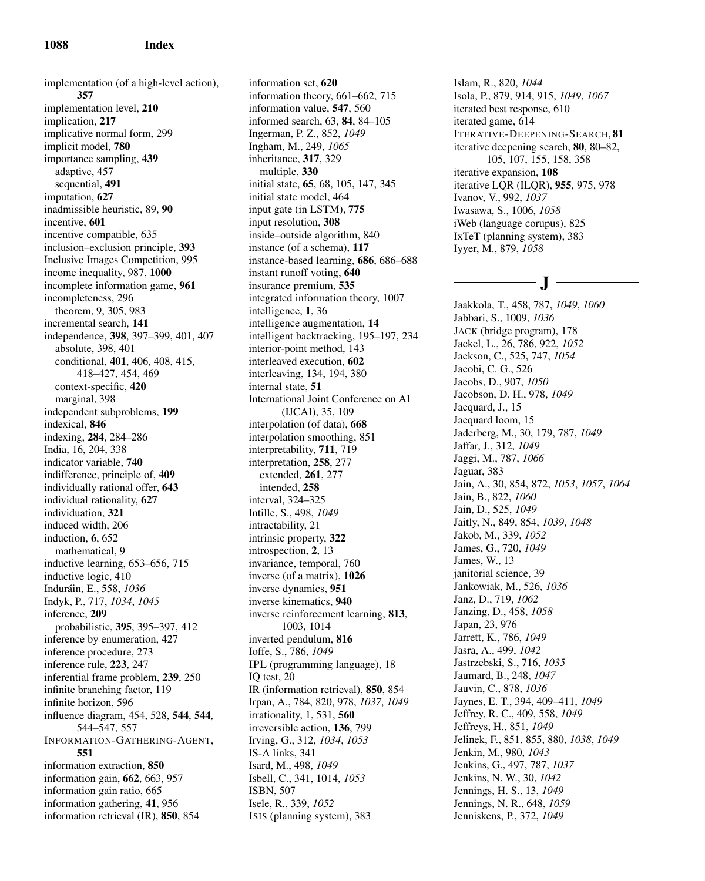implementation (of a high-level action), 357 implementation level, 210 implication, 217 implicative normal form, 299 implicit model, 780 importance sampling, 439 adaptive, 457 sequential, 491 imputation, 627 inadmissible heuristic, 89, 90 incentive, 601 incentive compatible, 635 inclusion–exclusion principle, 393 Inclusive Images Competition, 995 income inequality, 987, 1000 incomplete information game, 961 incompleteness, 296 theorem, 9, 305, 983 incremental search, 141 independence, 398, 397–399, 401, 407 absolute, 398, 401 conditional, 401, 406, 408, 415, 418–427, 454, 469 context-specific, 420 marginal, 398 independent subproblems, 199 indexical, 846 indexing, 284, 284–286 India, 16, 204, 338 indicator variable, 740 indifference, principle of, 409 individually rational offer, 643 individual rationality, 627 individuation, 321 induced width, 206 induction, 6, 652 mathematical, 9 inductive learning, 653–656, 715 inductive logic, 410 Indur´ain, E., 558, *1036* Indyk, P., 717, *1034*, *1045* inference, 209 probabilistic, 395, 395–397, 412 inference by enumeration, 427 inference procedure, 273 inference rule, 223, 247 inferential frame problem, 239, 250 infinite branching factor, 119 infinite horizon, 596 influence diagram, 454, 528, 544, 544, 544–547, 557 INFORMATION-GATHERING-AGENT, 551 information extraction, 850 information gain, 662, 663, 957 information gain ratio, 665 information gathering, 41, 956 information retrieval (IR), 850, 854

information set, 620 information theory, 661–662, 715 information value, 547, 560 informed search, 63, 84, 84–105 Ingerman, P. Z., 852, *1049* Ingham, M., 249, *1065* inheritance, 317, 329 multiple, 330 initial state, 65, 68, 105, 147, 345 initial state model, 464 input gate (in LSTM), 775 input resolution, 308 inside–outside algorithm, 840 instance (of a schema), 117 instance-based learning, 686, 686–688 instant runoff voting, 640 insurance premium, 535 integrated information theory, 1007 intelligence, 1, 36 intelligence augmentation, 14 intelligent backtracking, 195–197, 234 interior-point method, 143 interleaved execution, 602 interleaving, 134, 194, 380 internal state, 51 International Joint Conference on AI (IJCAI), 35, 109 interpolation (of data), 668 interpolation smoothing, 851 interpretability, 711, 719 interpretation, 258, 277 extended, 261, 277 intended, 258 interval, 324–325 Intille, S., 498, *1049* intractability, 21 intrinsic property, 322 introspection, 2, 13 invariance, temporal, 760 inverse (of a matrix), 1026 inverse dynamics, 951 inverse kinematics, 940 inverse reinforcement learning, 813, 1003, 1014 inverted pendulum, 816 Ioffe, S., 786, *1049* IPL (programming language), 18 IQ test, 20 IR (information retrieval), 850, 854 Irpan, A., 784, 820, 978, *1037*, *1049* irrationality, 1, 531, 560 irreversible action, 136, 799 Irving, G., 312, *1034*, *1053* IS-A links, 341 Isard, M., 498, *1049* Isbell, C., 341, 1014, *1053* ISBN, 507 Isele, R., 339, *1052* ISIS (planning system), 383

Islam, R., 820, *1044* Isola, P., 879, 914, 915, *1049*, *1067* iterated best response, 610 iterated game, 614 ITERATIVE-DEEPENING-SEARCH, 81 iterative deepening search, 80, 80–82, 105, 107, 155, 158, 358 iterative expansion, 108 iterative LQR (ILQR), 955, 975, 978 Ivanov, V., 992, *1037* Iwasawa, S., 1006, *1058* iWeb (language corupus), 825 IxTeT (planning system), 383 Iyyer, M., 879, *1058*

# $-1-$

Jaakkola, T., 458, 787, *1049*, *1060* Jabbari, S., 1009, *1036* JACK (bridge program), 178 Jackel, L., 26, 786, 922, *1052* Jackson, C., 525, 747, *1054* Jacobi, C. G., 526 Jacobs, D., 907, *1050* Jacobson, D. H., 978, *1049* Jacquard, J., 15 Jacquard loom, 15 Jaderberg, M., 30, 179, 787, *1049* Jaffar, J., 312, *1049* Jaggi, M., 787, *1066* Jaguar, 383 Jain, A., 30, 854, 872, *1053*, *1057*, *1064* Jain, B., 822, *1060* Jain, D., 525, *1049* Jaitly, N., 849, 854, *1039*, *1048* Jakob, M., 339, *1052* James, G., 720, *1049* James, W., 13 janitorial science, 39 Jankowiak, M., 526, *1036* Janz, D., 719, *1062* Janzing, D., 458, *1058* Japan, 23, 976 Jarrett, K., 786, *1049* Jasra, A., 499, *1042* Jastrzebski, S., 716, *1035* Jaumard, B., 248, *1047* Jauvin, C., 878, *1036* Jaynes, E. T., 394, 409–411, *1049* Jeffrey, R. C., 409, 558, *1049* Jeffreys, H., 851, *1049* Jelinek, F., 851, 855, 880, *1038*, *1049* Jenkin, M., 980, *1043* Jenkins, G., 497, 787, *1037* Jenkins, N. W., 30, *1042* Jennings, H. S., 13, *1049* Jennings, N. R., 648, *1059* Jenniskens, P., 372, *1049*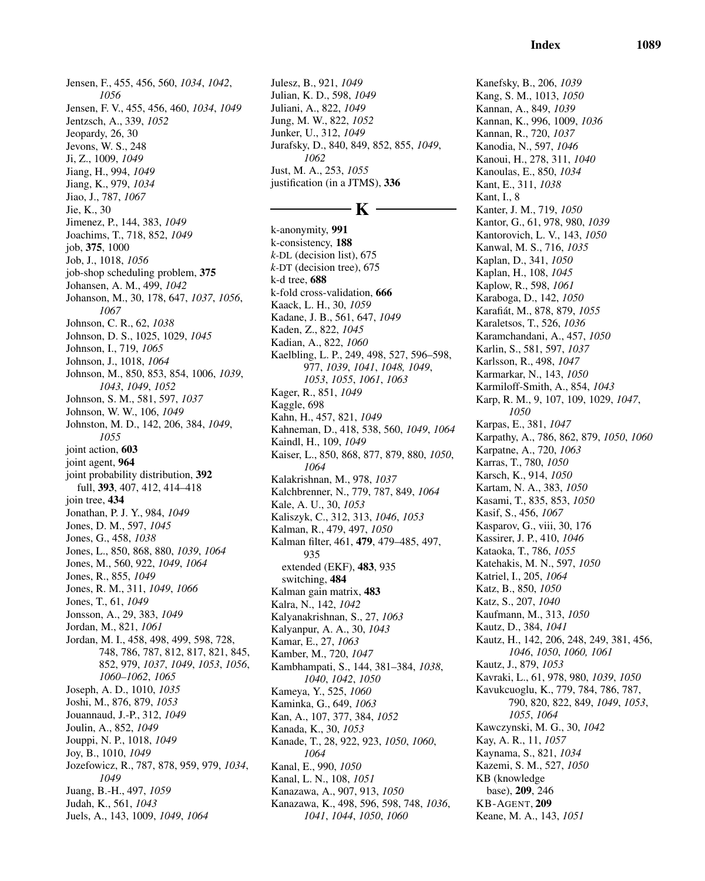Jensen, F., 455, 456, 560, *1034*, *1042*, *1056* Jensen, F. V., 455, 456, 460, *1034*, *1049* Jentzsch, A., 339, *1052* Jeopardy, 26, 30 Jevons, W. S., 248 Ji, Z., 1009, *1049* Jiang, H., 994, *1049* Jiang, K., 979, *1034* Jiao, J., 787, *1067* Jie, K., 30 Jimenez, P., 144, 383, *1049* Joachims, T., 718, 852, *1049* job, 375, 1000 Job, J., 1018, *1056* job-shop scheduling problem, 375 Johansen, A. M., 499, *1042* Johanson, M., 30, 178, 647, *1037*, *1056*, *1067* Johnson, C. R., 62, *1038* Johnson, D. S., 1025, 1029, *1045* Johnson, I., 719, *1065* Johnson, J., 1018, *1064* Johnson, M., 850, 853, 854, 1006, *1039*, *1043*, *1049*, *1052* Johnson, S. M., 581, 597, *1037* Johnson, W. W., 106, *1049* Johnston, M. D., 142, 206, 384, *1049*, *1055* joint action, 603 joint agent, 964 joint probability distribution, 392 full, 393, 407, 412, 414–418 join tree, 434 Jonathan, P. J. Y., 984, *1049* Jones, D. M., 597, *1045* Jones, G., 458, *1038* Jones, L., 850, 868, 880, *1039*, *1064* Jones, M., 560, 922, *1049*, *1064* Jones, R., 855, *1049* Jones, R. M., 311, *1049*, *1066* Jones, T., 61, *1049* Jonsson, A., 29, 383, *1049* Jordan, M., 821, *1061* Jordan, M. I., 458, 498, 499, 598, 728, 748, 786, 787, 812, 817, 821, 845, 852, 979, *1037*, *1049*, *1053*, *1056*, *1060–1062*, *1065* Joseph, A. D., 1010, *1035* Joshi, M., 876, 879, *1053* Jouannaud, J.-P., 312, *1049* Joulin, A., 852, *1049* Jouppi, N. P., 1018, *1049* Joy, B., 1010, *1049* Jozefowicz, R., 787, 878, 959, 979, *1034*, *1049* Juang, B.-H., 497, *1059* Judah, K., 561, *1043* Juels, A., 143, 1009, *1049*, *1064*

Julesz, B., 921, *1049* Julian, K. D., 598, *1049* Juliani, A., 822, *1049* Jung, M. W., 822, *1052* Junker, U., 312, *1049* Jurafsky, D., 840, 849, 852, 855, *1049*, *1062* Just, M. A., 253, *1055* justification (in a JTMS), 336

# - K -

k-anonymity, 991 k-consistency, 188 *k*-DL (decision list), 675 *k*-DT (decision tree), 675 k-d tree, 688 k-fold cross-validation, 666 Kaack, L. H., 30, *1059* Kadane, J. B., 561, 647, *1049* Kaden, Z., 822, *1045* Kadian, A., 822, *1060* Kaelbling, L. P., 249, 498, 527, 596–598, 977, *1039*, *1041*, *1048, 1049*, *1053*, *1055*, *1061*, *1063* Kager, R., 851, *1049* Kaggle, 698 Kahn, H., 457, 821, *1049* Kahneman, D., 418, 538, 560, *1049*, *1064* Kaindl, H., 109, *1049* Kaiser, L., 850, 868, 877, 879, 880, *1050*, *1064* Kalakrishnan, M., 978, *1037* Kalchbrenner, N., 779, 787, 849, *1064* Kale, A. U., 30, *1053* Kaliszyk, C., 312, 313, *1046*, *1053* Kalman, R., 479, 497, *1050* Kalman filter, 461, 479, 479–485, 497, 935 extended (EKF), 483, 935 switching, 484 Kalman gain matrix, 483 Kalra, N., 142, *1042* Kalyanakrishnan, S., 27, *1063* Kalyanpur, A. A., 30, *1043* Kamar, E., 27, *1063* Kamber, M., 720, *1047* Kambhampati, S., 144, 381–384, *1038*, *1040*, *1042*, *1050* Kameya, Y., 525, *1060* Kaminka, G., 649, *1063* Kan, A., 107, 377, 384, *1052* Kanada, K., 30, *1053* Kanade, T., 28, 922, 923, *1050*, *1060*, *1064* Kanal, E., 990, *1050* Kanal, L. N., 108, *1051* Kanazawa, A., 907, 913, *1050* Kanazawa, K., 498, 596, 598, 748, *1036*, *1041*, *1044*, *1050*, *1060*

Index 1089

Kanefsky, B., 206, *1039* Kang, S. M., 1013, *1050* Kannan, A., 849, *1039* Kannan, K., 996, 1009, *1036* Kannan, R., 720, *1037* Kanodia, N., 597, *1046* Kanoui, H., 278, 311, *1040* Kanoulas, E., 850, *1034* Kant, E., 311, *1038* Kant, I., 8 Kanter, J. M., 719, *1050* Kantor, G., 61, 978, 980, *1039* Kantorovich, L. V., 143, *1050* Kanwal, M. S., 716, *1035* Kaplan, D., 341, *1050* Kaplan, H., 108, *1045* Kaplow, R., 598, *1061* Karaboga, D., 142, *1050* Karafi´at, M., 878, 879, *1055* Karaletsos, T., 526, *1036* Karamchandani, A., 457, *1050* Karlin, S., 581, 597, *1037* Karlsson, R., 498, *1047* Karmarkar, N., 143, *1050* Karmiloff-Smith, A., 854, *1043* Karp, R. M., 9, 107, 109, 1029, *1047*, *1050* Karpas, E., 381, *1047* Karpathy, A., 786, 862, 879, *1050*, *1060* Karpatne, A., 720, *1063* Karras, T., 780, *1050* Karsch, K., 914, *1050* Kartam, N. A., 383, *1050* Kasami, T., 835, 853, *1050* Kasif, S., 456, *1067* Kasparov, G., viii, 30, 176 Kassirer, J. P., 410, *1046* Kataoka, T., 786, *1055* Katehakis, M. N., 597, *1050* Katriel, I., 205, *1064* Katz, B., 850, *1050* Katz, S., 207, *1040* Kaufmann, M., 313, *1050* Kautz, D., 384, *1041* Kautz, H., 142, 206, 248, 249, 381, 456, *1046*, *1050*, *1060, 1061* Kautz, J., 879, *1053* Kavraki, L., 61, 978, 980, *1039*, *1050* Kavukcuoglu, K., 779, 784, 786, 787, 790, 820, 822, 849, *1049*, *1053*, *1055*, *1064* Kawczynski, M. G., 30, *1042* Kay, A. R., 11, *1057* Kaynama, S., 821, *1034* Kazemi, S. M., 527, *1050* KB (knowledge base), 209, 246 KB-AGENT, 209 Keane, M. A., 143, *1051*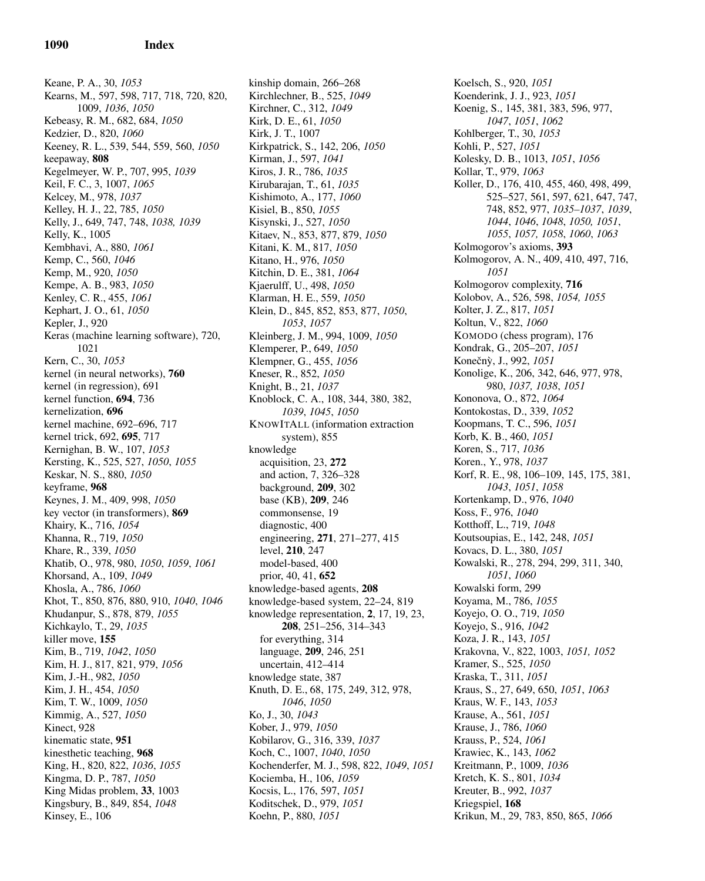Keane, P. A., 30, *1053* Kearns, M., 597, 598, 717, 718, 720, 820, 1009, *1036*, *1050* Kebeasy, R. M., 682, 684, *1050* Kedzier, D., 820, *1060* Keeney, R. L., 539, 544, 559, 560, *1050* keepaway, 808 Kegelmeyer, W. P., 707, 995, *1039* Keil, F. C., 3, 1007, *1065* Kelcey, M., 978, *1037* Kelley, H. J., 22, 785, *1050* Kelly, J., 649, 747, 748, *1038, 1039* Kelly, K., 1005 Kembhavi, A., 880, *1061* Kemp, C., 560, *1046* Kemp, M., 920, *1050* Kempe, A. B., 983, *1050* Kenley, C. R., 455, *1061* Kephart, J. O., 61, *1050* Kepler, J., 920 Keras (machine learning software), 720, 1021 Kern, C., 30, *1053* kernel (in neural networks), 760 kernel (in regression), 691 kernel function, 694, 736 kernelization, 696 kernel machine, 692–696, 717 kernel trick, 692, 695, 717 Kernighan, B. W., 107, *1053* Kersting, K., 525, 527, *1050*, *1055* Keskar, N. S., 880, *1050* keyframe, 968 Keynes, J. M., 409, 998, *1050* key vector (in transformers), 869 Khairy, K., 716, *1054* Khanna, R., 719, *1050* Khare, R., 339, *1050* Khatib, O., 978, 980, *1050*, *1059*, *1061* Khorsand, A., 109, *1049* Khosla, A., 786, *1060* Khot, T., 850, 876, 880, 910, *1040*, *1046* Khudanpur, S., 878, 879, *1055* Kichkaylo, T., 29, *1035* killer move, 155 Kim, B., 719, *1042*, *1050* Kim, H. J., 817, 821, 979, *1056* Kim, J.-H., 982, *1050* Kim, J. H., 454, *1050* Kim, T. W., 1009, *1050* Kimmig, A., 527, *1050* Kinect, 928 kinematic state, 951 kinesthetic teaching, 968 King, H., 820, 822, *1036*, *1055* Kingma, D. P., 787, *1050* King Midas problem, 33, 1003 Kingsbury, B., 849, 854, *1048* Kinsey, E., 106

kinship domain, 266–268 Kirchlechner, B., 525, *1049* Kirchner, C., 312, *1049* Kirk, D. E., 61, *1050* Kirk, J. T., 1007 Kirkpatrick, S., 142, 206, *1050* Kirman, J., 597, *1041* Kiros, J. R., 786, *1035* Kirubarajan, T., 61, *1035* Kishimoto, A., 177, *1060* Kisiel, B., 850, *1055* Kisynski, J., 527, *1050* Kitaev, N., 853, 877, 879, *1050* Kitani, K. M., 817, *1050* Kitano, H., 976, *1050* Kitchin, D. E., 381, *1064* Kjaerulff, U., 498, *1050* Klarman, H. E., 559, *1050* Klein, D., 845, 852, 853, 877, *1050*, *1053*, *1057* Kleinberg, J. M., 994, 1009, *1050* Klemperer, P., 649, *1050* Klempner, G., 455, *1056* Kneser, R., 852, *1050* Knight, B., 21, *1037* Knoblock, C. A., 108, 344, 380, 382, *1039*, *1045*, *1050* KNOWITALL (information extraction system), 855 knowledge acquisition, 23, 272 and action, 7, 326–328 background, 209, 302 base (KB), 209, 246 commonsense, 19 diagnostic, 400 engineering, 271, 271–277, 415 level, 210, 247 model-based, 400 prior, 40, 41, 652 knowledge-based agents, 208 knowledge-based system, 22–24, 819 knowledge representation, 2, 17, 19, 23, 208, 251–256, 314–343 for everything, 314 language, 209, 246, 251 uncertain, 412–414 knowledge state, 387 Knuth, D. E., 68, 175, 249, 312, 978, *1046*, *1050* Ko, J., 30, *1043* Kober, J., 979, *1050* Kobilarov, G., 316, 339, *1037* Koch, C., 1007, *1040*, *1050* Kochenderfer, M. J., 598, 822, *1049*, *1051* Kociemba, H., 106, *1059* Kocsis, L., 176, 597, *1051* Koditschek, D., 979, *1051* Koehn, P., 880, *1051*

Koelsch, S., 920, *1051* Koenderink, J. J., 923, *1051* Koenig, S., 145, 381, 383, 596, 977, *1047*, *1051*, *1062* Kohlberger, T., 30, *1053* Kohli, P., 527, *1051* Kolesky, D. B., 1013, *1051*, *1056* Kollar, T., 979, *1063* Koller, D., 176, 410, 455, 460, 498, 499, 525–527, 561, 597, 621, 647, 747, 748, 852, 977, *1035–1037*, *1039*, *1044*, *1046*, *1048*, *1050, 1051*, *1055*, *1057, 1058*, *1060*, *1063* Kolmogorov's axioms, 393 Kolmogorov, A. N., 409, 410, 497, 716, *1051* Kolmogorov complexity, 716 Kolobov, A., 526, 598, *1054, 1055* Kolter, J. Z., 817, *1051* Koltun, V., 822, *1060* KOMODO (chess program), 176 Kondrak, G., 205–207, *1051* Koneˇcn`y, J., 992, *1051* Konolige, K., 206, 342, 646, 977, 978, 980, *1037, 1038*, *1051* Kononova, O., 872, *1064* Kontokostas, D., 339, *1052* Koopmans, T. C., 596, *1051* Korb, K. B., 460, *1051* Koren, S., 717, *1036* Koren., Y., 978, *1037* Korf, R. E., 98, 106–109, 145, 175, 381, *1043*, *1051*, *1058* Kortenkamp, D., 976, *1040* Koss, F., 976, *1040* Kotthoff, L., 719, *1048* Koutsoupias, E., 142, 248, *1051* Kovacs, D. L., 380, *1051* Kowalski, R., 278, 294, 299, 311, 340, *1051*, *1060* Kowalski form, 299 Koyama, M., 786, *1055* Koyejo, O. O., 719, *1050* Koyejo, S., 916, *1042* Koza, J. R., 143, *1051* Krakovna, V., 822, 1003, *1051, 1052* Kramer, S., 525, *1050* Kraska, T., 311, *1051* Kraus, S., 27, 649, 650, *1051*, *1063* Kraus, W. F., 143, *1053* Krause, A., 561, *1051* Krause, J., 786, *1060* Krauss, P., 524, *1061* Krawiec, K., 143, *1062* Kreitmann, P., 1009, *1036* Kretch, K. S., 801, *1034* Kreuter, B., 992, *1037* Kriegspiel, 168 Krikun, M., 29, 783, 850, 865, *1066*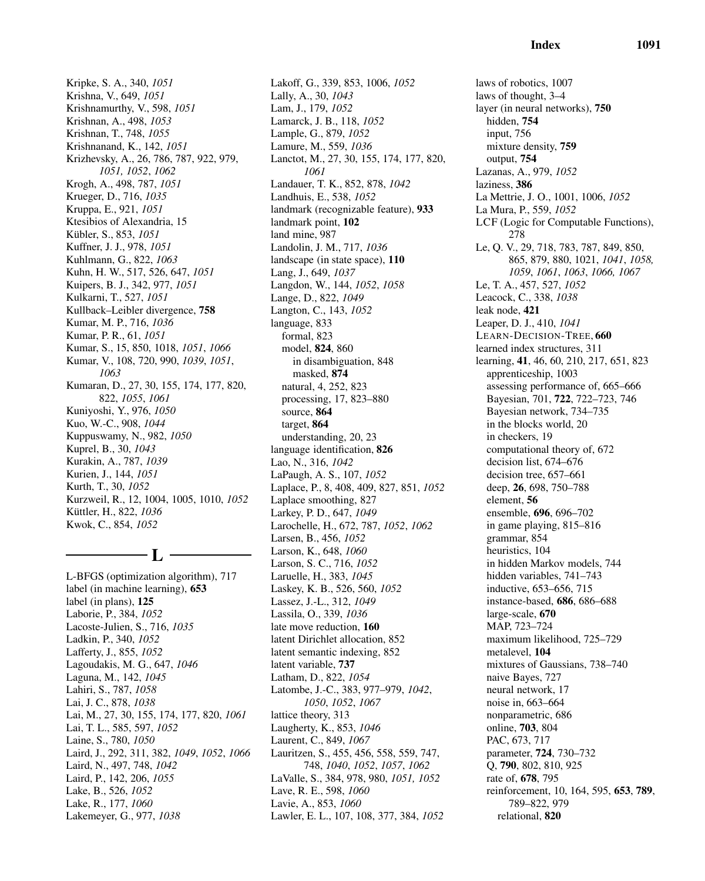Krizhevsky, A., 26, 786, 787, 922, 979, Lakoff, G., 339, 853, 1006, *1052 1061* land mine, 987

Krueger, D., 716, *1035* Kruppa, E., 921, *1051* Ktesibios of Alexandria, 15 K¨ubler, S., 853, *1051* Kuffner, J. J., 978, *1051* Kuhlmann, G., 822, *1063* Kuhn, H. W., 517, 526, 647, *1051* Kuipers, B. J., 342, 977, *1051* Kulkarni, T., 527, *1051* Kullback–Leibler divergence, 758 Kumar, M. P., 716, *1036* Kumar, P. R., 61, *1051* Kumar, S., 15, 850, 1018, *1051*, *1066* Kumar, V., 108, 720, 990, *1039*, *1051*, *1063* Kumaran, D., 27, 30, 155, 174, 177, 820, 822, *1055*, *1061* Kuniyoshi, Y., 976, *1050* Kuo, W.-C., 908, *1044* Kuppuswamy, N., 982, *1050* Kuprel, B., 30, *1043* Kurakin, A., 787, *1039* Kurien, J., 144, *1051* Kurth, T., 30, *1052* Kurzweil, R., 12, 1004, 1005, 1010, *1052* Küttler, H., 822, 1036 Kwok, C., 854, *1052*

Kripke, S. A., 340, *1051* Krishna, V., 649, *1051* Krishnamurthy, V., 598, *1051* Krishnan, A., 498, *1053* Krishnan, T., 748, *1055* Krishnanand, K., 142, *1051*

*1051, 1052*, *1062* Krogh, A., 498, 787, *1051*

# $-$  L  $\cdot$

L-BFGS (optimization algorithm), 717 label (in machine learning), 653 label (in plans), 125 Laborie, P., 384, *1052* Lacoste-Julien, S., 716, *1035* Ladkin, P., 340, *1052* Lafferty, J., 855, *1052* Lagoudakis, M. G., 647, *1046* Laguna, M., 142, *1045* Lahiri, S., 787, *1058* Lai, J. C., 878, *1038* Lai, M., 27, 30, 155, 174, 177, 820, *1061* Lai, T. L., 585, 597, *1052* Laine, S., 780, *1050* Laird, J., 292, 311, 382, *1049*, *1052*, *1066* Laird, N., 497, 748, *1042* Laird, P., 142, 206, *1055* Lake, B., 526, *1052* Lake, R., 177, *1060* Lakemeyer, G., 977, *1038*

Lally, A., 30, *1043* Lam, J., 179, *1052* Lamarck, J. B., 118, *1052* Lample, G., 879, *1052* Lamure, M., 559, *1036* Lanctot, M., 27, 30, 155, 174, 177, 820, Landauer, T. K., 852, 878, *1042* Landhuis, E., 538, *1052* landmark (recognizable feature), 933 landmark point, 102 Landolin, J. M., 717, *1036* landscape (in state space), 110 Lang, J., 649, *1037* Langdon, W., 144, *1052*, *1058* Lange, D., 822, *1049* Langton, C., 143, *1052* language, 833 formal, 823 model, 824, 860 in disambiguation, 848 masked, 874 natural, 4, 252, 823 processing, 17, 823–880 source, 864 target, 864 understanding, 20, 23 language identification, 826 Lao, N., 316, *1042* LaPaugh, A. S., 107, *1052* Laplace, P., 8, 408, 409, 827, 851, *1052* Laplace smoothing, 827 Larkey, P. D., 647, *1049* Larochelle, H., 672, 787, *1052*, *1062* Larsen, B., 456, *1052* Larson, K., 648, *1060* Larson, S. C., 716, *1052* Laruelle, H., 383, *1045* Laskey, K. B., 526, 560, *1052* Lassez, J.-L., 312, *1049* Lassila, O., 339, *1036* late move reduction, 160 latent Dirichlet allocation, 852 latent semantic indexing, 852 latent variable, 737 Latham, D., 822, *1054* Latombe, J.-C., 383, 977–979, *1042*, *1050*, *1052*, *1067* lattice theory, 313 Laugherty, K., 853, *1046* Laurent, C., 849, *1067* Lauritzen, S., 455, 456, 558, 559, 747, 748, *1040*, *1052*, *1057*, *1062* LaValle, S., 384, 978, 980, *1051, 1052* Lave, R. E., 598, *1060* Lavie, A., 853, *1060* Lawler, E. L., 107, 108, 377, 384, *1052*

laws of robotics, 1007 laws of thought, 3–4 layer (in neural networks), 750 hidden, 754 input, 756 mixture density, 759 output, 754 Lazanas, A., 979, *1052* laziness, 386 La Mettrie, J. O., 1001, 1006, *1052* La Mura, P., 559, *1052* LCF (Logic for Computable Functions), 278 Le, Q. V., 29, 718, 783, 787, 849, 850, 865, 879, 880, 1021, *1041*, *1058, 1059*, *1061*, *1063*, *1066, 1067* Le, T. A., 457, 527, *1052* Leacock, C., 338, *1038* leak node, 421 Leaper, D. J., 410, *1041* LEARN-DECISION-TREE, 660 learned index structures, 311 learning, 41, 46, 60, 210, 217, 651, 823 apprenticeship, 1003 assessing performance of, 665–666 Bayesian, 701, 722, 722–723, 746 Bayesian network, 734–735 in the blocks world, 20 in checkers, 19 computational theory of, 672 decision list, 674–676 decision tree, 657–661 deep, 26, 698, 750–788 element, 56 ensemble, 696, 696–702 in game playing, 815–816 grammar, 854 heuristics, 104 in hidden Markov models, 744 hidden variables, 741–743 inductive, 653–656, 715 instance-based, 686, 686–688 large-scale, 670 MAP, 723–724 maximum likelihood, 725–729 metalevel, 104 mixtures of Gaussians, 738–740 naive Bayes, 727 neural network, 17 noise in, 663–664 nonparametric, 686 online, 703, 804 PAC, 673, 717 parameter, 724, 730–732 Q, 790, 802, 810, 925 rate of, 678, 795 reinforcement, 10, 164, 595, 653, 789, 789–822, 979 relational, 820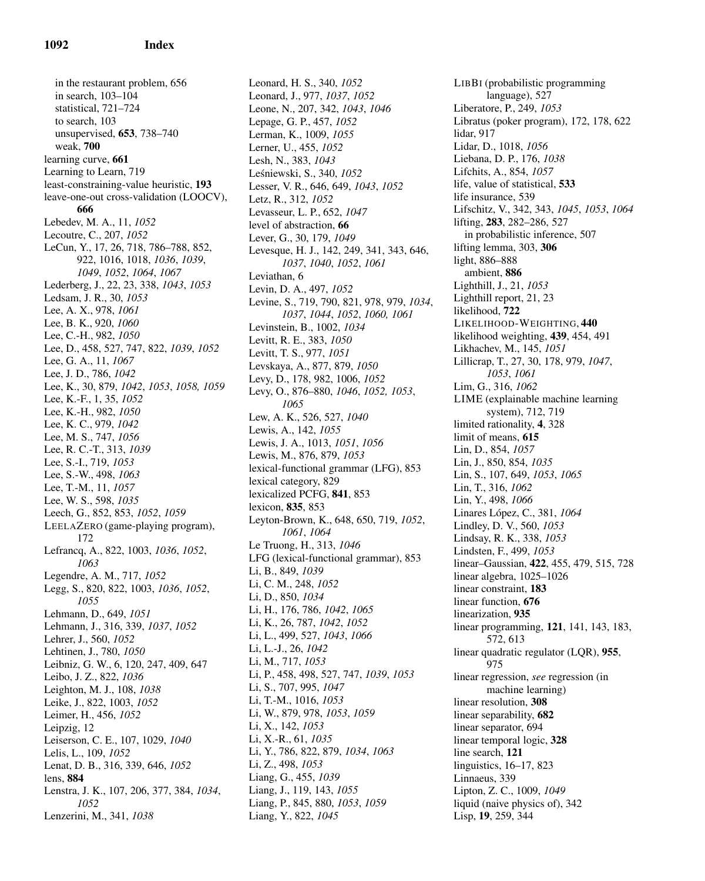in the restaurant problem, 656 in search, 103–104 statistical, 721–724 to search, 103 unsupervised, 653, 738–740 weak, 700 learning curve, 661 Learning to Learn, 719 least-constraining-value heuristic, 193 leave-one-out cross-validation (LOOCV), 666 Lebedev, M. A., 11, *1052* Lecoutre, C., 207, *1052* LeCun, Y., 17, 26, 718, 786–788, 852, 922, 1016, 1018, *1036*, *1039*, *1049*, *1052*, *1064*, *1067* Lederberg, J., 22, 23, 338, *1043*, *1053* Ledsam, J. R., 30, *1053* Lee, A. X., 978, *1061* Lee, B. K., 920, *1060* Lee, C.-H., 982, *1050* Lee, D., 458, 527, 747, 822, *1039*, *1052* Lee, G. A., 11, *1067* Lee, J. D., 786, *1042* Lee, K., 30, 879, *1042*, *1053*, *1058, 1059* Lee, K.-F., 1, 35, *1052* Lee, K.-H., 982, *1050* Lee, K. C., 979, *1042* Lee, M. S., 747, *1056* Lee, R. C.-T., 313, *1039* Lee, S.-I., 719, *1053* Lee, S.-W., 498, *1063* Lee, T.-M., 11, *1057* Lee, W. S., 598, *1035* Leech, G., 852, 853, *1052*, *1059* LEELAZERO (game-playing program), 172 Lefrancq, A., 822, 1003, *1036*, *1052*, *1063* Legendre, A. M., 717, *1052* Legg, S., 820, 822, 1003, *1036*, *1052*, *1055* Lehmann, D., 649, *1051* Lehmann, J., 316, 339, *1037*, *1052* Lehrer, J., 560, *1052* Lehtinen, J., 780, *1050* Leibniz, G. W., 6, 120, 247, 409, 647 Leibo, J. Z., 822, *1036* Leighton, M. J., 108, *1038* Leike, J., 822, 1003, *1052* Leimer, H., 456, *1052* Leipzig, 12 Leiserson, C. E., 107, 1029, *1040* Lelis, L., 109, *1052* Lenat, D. B., 316, 339, 646, *1052* lens, 884 Lenstra, J. K., 107, 206, 377, 384, *1034*, *1052* Lenzerini, M., 341, *1038*

Leonard, H. S., 340, *1052* Leonard, J., 977, *1037*, *1052* Leone, N., 207, 342, *1043*, *1046* Lepage, G. P., 457, *1052* Lerman, K., 1009, *1055* Lerner, U., 455, *1052* Lesh, N., 383, *1043* Le´sniewski, S., 340, *1052* Lesser, V. R., 646, 649, *1043*, *1052* Letz, R., 312, *1052* Levasseur, L. P., 652, *1047* level of abstraction, 66 Lever, G., 30, 179, *1049* Levesque, H. J., 142, 249, 341, 343, 646, *1037*, *1040*, *1052*, *1061* Leviathan, 6 Levin, D. A., 497, *1052* Levine, S., 719, 790, 821, 978, 979, *1034*, *1037*, *1044*, *1052*, *1060, 1061* Levinstein, B., 1002, *1034* Levitt, R. E., 383, *1050* Levitt, T. S., 977, *1051* Levskaya, A., 877, 879, *1050* Levy, D., 178, 982, 1006, *1052* Levy, O., 876–880, *1046*, *1052, 1053*, *1065* Lew, A. K., 526, 527, *1040* Lewis, A., 142, *1055* Lewis, J. A., 1013, *1051*, *1056* Lewis, M., 876, 879, *1053* lexical-functional grammar (LFG), 853 lexical category, 829 lexicalized PCFG, 841, 853 lexicon, 835, 853 Leyton-Brown, K., 648, 650, 719, *1052*, *1061*, *1064* Le Truong, H., 313, *1046* LFG (lexical-functional grammar), 853 Li, B., 849, *1039* Li, C. M., 248, *1052* Li, D., 850, *1034* Li, H., 176, 786, *1042*, *1065* Li, K., 26, 787, *1042*, *1052* Li, L., 499, 527, *1043*, *1066* Li, L.-J., 26, *1042* Li, M., 717, *1053* Li, P., 458, 498, 527, 747, *1039*, *1053* Li, S., 707, 995, *1047* Li, T.-M., 1016, *1053* Li, W., 879, 978, *1053*, *1059* Li, X., 142, *1053* Li, X.-R., 61, *1035* Li, Y., 786, 822, 879, *1034*, *1063* Li, Z., 498, *1053* Liang, G., 455, *1039* Liang, J., 119, 143, *1055* Liang, P., 845, 880, *1053*, *1059* Liang, Y., 822, *1045*

LIBBI (probabilistic programming language), 527 Liberatore, P., 249, *1053* Libratus (poker program), 172, 178, 622 lidar, 917 Lidar, D., 1018, *1056* Liebana, D. P., 176, *1038* Lifchits, A., 854, *1057* life, value of statistical, 533 life insurance, 539 Lifschitz, V., 342, 343, *1045*, *1053*, *1064* lifting, 283, 282–286, 527 in probabilistic inference, 507 lifting lemma, 303, 306 light, 886–888 ambient, 886 Lighthill, J., 21, *1053* Lighthill report, 21, 23 likelihood, 722 LIKELIHOOD-WEIGHTING, 440 likelihood weighting, 439, 454, 491 Likhachev, M., 145, *1051* Lillicrap, T., 27, 30, 178, 979, *1047*, *1053*, *1061* Lim, G., 316, *1062* LIME (explainable machine learning system), 712, 719 limited rationality, 4, 328 limit of means, 615 Lin, D., 854, *1057* Lin, J., 850, 854, *1035* Lin, S., 107, 649, *1053*, *1065* Lin, T., 316, *1062* Lin, Y., 498, *1066* Linares López, C., 381, *1064* Lindley, D. V., 560, *1053* Lindsay, R. K., 338, *1053* Lindsten, F., 499, *1053* linear–Gaussian, 422, 455, 479, 515, 728 linear algebra, 1025–1026 linear constraint, 183 linear function, 676 linearization, 935 linear programming, 121, 141, 143, 183, 572, 613 linear quadratic regulator (LQR), 955, 975 linear regression, *see* regression (in machine learning) linear resolution, 308 linear separability, 682 linear separator, 694 linear temporal logic, 328 line search, 121 linguistics, 16–17, 823 Linnaeus, 339 Lipton, Z. C., 1009, *1049* liquid (naive physics of), 342 Lisp, 19, 259, 344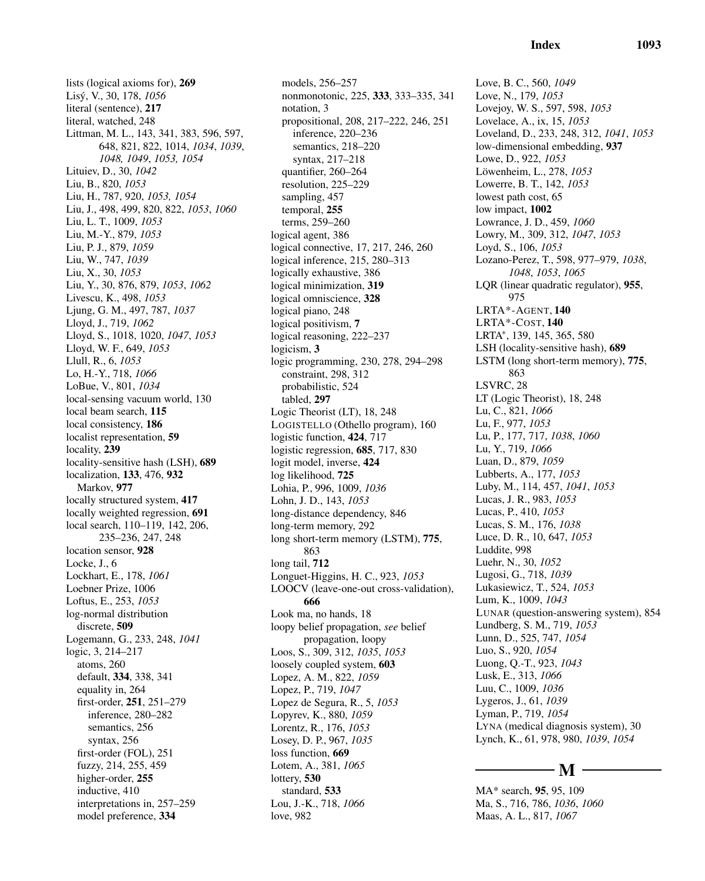lists (logical axioms for), 269 Lis´y, V., 30, 178, *1056* literal (sentence), 217 literal, watched, 248 Littman, M. L., 143, 341, 383, 596, 597, 648, 821, 822, 1014, *1034*, *1039*, *1048, 1049*, *1053, 1054* Lituiev, D., 30, *1042* Liu, B., 820, *1053* Liu, H., 787, 920, *1053, 1054* Liu, J., 498, 499, 820, 822, *1053*, *1060* Liu, L. T., 1009, *1053* Liu, M.-Y., 879, *1053* Liu, P. J., 879, *1059* Liu, W., 747, *1039* Liu, X., 30, *1053* Liu, Y., 30, 876, 879, *1053*, *1062* Livescu, K., 498, *1053* Ljung, G. M., 497, 787, *1037* Lloyd, J., 719, *1062* Lloyd, S., 1018, 1020, *1047*, *1053* Lloyd, W. F., 649, *1053* Llull, R., 6, *1053* Lo, H.-Y., 718, *1066* LoBue, V., 801, *1034* local-sensing vacuum world, 130 local beam search, 115 local consistency, 186 localist representation, 59 locality, 239 locality-sensitive hash (LSH), 689 localization, 133, 476, 932 Markov, 977 locally structured system, 417 locally weighted regression, 691 local search, 110–119, 142, 206, 235–236, 247, 248 location sensor, 928 Locke, J., 6 Lockhart, E., 178, *1061* Loebner Prize, 1006 Loftus, E., 253, *1053* log-normal distribution discrete, 509 Logemann, G., 233, 248, *1041* logic, 3, 214–217 atoms, 260 default, 334, 338, 341 equality in, 264 first-order, 251, 251–279 inference, 280–282 semantics, 256 syntax, 256 first-order (FOL), 251 fuzzy, 214, 255, 459 higher-order, 255 inductive, 410 interpretations in, 257–259 model preference, 334

models, 256–257 nonmonotonic, 225, 333, 333–335, 341 notation, 3 propositional, 208, 217–222, 246, 251 inference, 220–236 semantics, 218–220 syntax, 217–218 quantifier, 260–264 resolution, 225–229 sampling, 457 temporal, 255 terms, 259–260 logical agent, 386 logical connective, 17, 217, 246, 260 logical inference, 215, 280–313 logically exhaustive, 386 logical minimization, 319 logical omniscience, 328 logical piano, 248 logical positivism, 7 logical reasoning, 222–237 logicism, 3 logic programming, 230, 278, 294–298 constraint, 298, 312 probabilistic, 524 tabled, 297 Logic Theorist (LT), 18, 248 LOGISTELLO (Othello program), 160 logistic function, 424, 717 logistic regression, 685, 717, 830 logit model, inverse, 424 log likelihood, 725 Lohia, P., 996, 1009, *1036* Lohn, J. D., 143, *1053* long-distance dependency, 846 long-term memory, 292 long short-term memory (LSTM), 775, 863 long tail, 712 Longuet-Higgins, H. C., 923, *1053* LOOCV (leave-one-out cross-validation), 666 Look ma, no hands, 18 loopy belief propagation, *see* belief propagation, loopy Loos, S., 309, 312, *1035*, *1053* loosely coupled system, 603 Lopez, A. M., 822, *1059* Lopez, P., 719, *1047* Lopez de Segura, R., 5, *1053* Lopyrev, K., 880, *1059* Lorentz, R., 176, *1053* Losey, D. P., 967, *1035* loss function, 669 Lotem, A., 381, *1065* lottery, 530 standard, 533 Lou, J.-K., 718, *1066* love, 982

Love, B. C., 560, *1049* Love, N., 179, *1053* Lovejoy, W. S., 597, 598, *1053* Lovelace, A., ix, 15, *1053* Loveland, D., 233, 248, 312, *1041*, *1053* low-dimensional embedding, 937 Lowe, D., 922, *1053* Löwenheim, L., 278, 1053 Lowerre, B. T., 142, *1053* lowest path cost, 65 low impact, 1002 Lowrance, J. D., 459, *1060* Lowry, M., 309, 312, *1047*, *1053* Loyd, S., 106, *1053* Lozano-Perez, T., 598, 977–979, *1038*, *1048*, *1053*, *1065* LQR (linear quadratic regulator), 955, 975 LRTA\*-AGENT, 140 LRTA\*-COST, 140 LRTA<sup>\*</sup>, 139, 145, 365, 580 LSH (locality-sensitive hash), 689 LSTM (long short-term memory), 775, 863 LSVRC, 28 LT (Logic Theorist), 18, 248 Lu, C., 821, *1066* Lu, F., 977, *1053* Lu, P., 177, 717, *1038*, *1060* Lu, Y., 719, *1066* Luan, D., 879, *1059* Lubberts, A., 177, *1053* Luby, M., 114, 457, *1041*, *1053* Lucas, J. R., 983, *1053* Lucas, P., 410, *1053* Lucas, S. M., 176, *1038* Luce, D. R., 10, 647, *1053* Luddite, 998 Luehr, N., 30, *1052* Lugosi, G., 718, *1039* Lukasiewicz, T., 524, *1053* Lum, K., 1009, *1043* LUNAR (question-answering system), 854 Lundberg, S. M., 719, *1053* Lunn, D., 525, 747, *1054* Luo, S., 920, *1054* Luong, Q.-T., 923, *1043* Lusk, E., 313, *1066* Luu, C., 1009, *1036* Lygeros, J., 61, *1039* Lyman, P., 719, *1054* LYNA (medical diagnosis system), 30 Lynch, K., 61, 978, 980, *1039*, *1054*

# - M –

MA\* search, 95, 95, 109 Ma, S., 716, 786, *1036*, *1060* Maas, A. L., 817, *1067*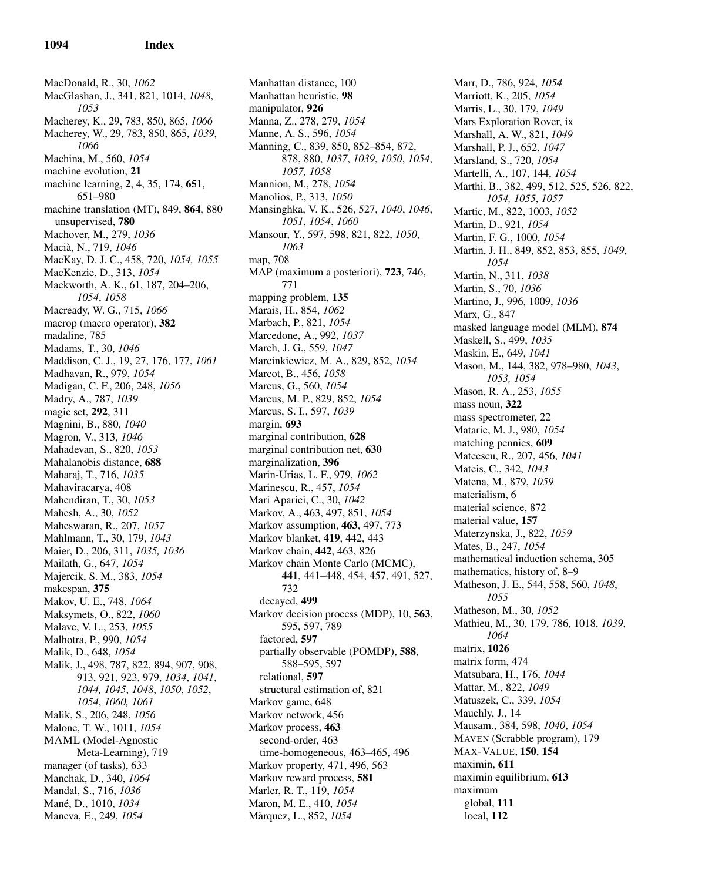MacDonald, R., 30, *1062* MacGlashan, J., 341, 821, 1014, *1048*, *1053* Macherey, K., 29, 783, 850, 865, *1066* Macherey, W., 29, 783, 850, 865, *1039*, *1066* Machina, M., 560, *1054* machine evolution, 21 machine learning, 2, 4, 35, 174, 651, 651–980 machine translation (MT), 849, 864, 880 unsupervised, 780 Machover, M., 279, *1036* Maci`a, N., 719, *1046* MacKay, D. J. C., 458, 720, *1054, 1055* MacKenzie, D., 313, *1054* Mackworth, A. K., 61, 187, 204–206, *1054*, *1058* Macready, W. G., 715, *1066* macrop (macro operator), 382 madaline, 785 Madams, T., 30, *1046* Maddison, C. J., 19, 27, 176, 177, *1061* Madhavan, R., 979, *1054* Madigan, C. F., 206, 248, *1056* Madry, A., 787, *1039* magic set, 292, 311 Magnini, B., 880, *1040* Magron, V., 313, *1046* Mahadevan, S., 820, *1053* Mahalanobis distance, 688 Maharaj, T., 716, *1035* Mahaviracarya, 408 Mahendiran, T., 30, *1053* Mahesh, A., 30, *1052* Maheswaran, R., 207, *1057* Mahlmann, T., 30, 179, *1043* Maier, D., 206, 311, *1035, 1036* Mailath, G., 647, *1054* Majercik, S. M., 383, *1054* makespan, 375 Makov, U. E., 748, *1064* Maksymets, O., 822, *1060* Malave, V. L., 253, *1055* Malhotra, P., 990, *1054* Malik, D., 648, *1054* Malik, J., 498, 787, 822, 894, 907, 908, 913, 921, 923, 979, *1034*, *1041*, *1044, 1045*, *1048*, *1050*, *1052*, *1054*, *1060, 1061* Malik, S., 206, 248, *1056* Malone, T. W., 1011, *1054* MAML (Model-Agnostic Meta-Learning), 719 manager (of tasks), 633 Manchak, D., 340, *1064* Mandal, S., 716, *1036* Man´e, D., 1010, *1034* Maneva, E., 249, *1054*

Manhattan distance, 100 Manhattan heuristic, 98 manipulator, 926 Manna, Z., 278, 279, *1054* Manne, A. S., 596, *1054* Manning, C., 839, 850, 852–854, 872, 878, 880, *1037*, *1039*, *1050*, *1054*, *1057, 1058* Mannion, M., 278, *1054* Manolios, P., 313, *1050* Mansinghka, V. K., 526, 527, *1040*, *1046*, *1051*, *1054*, *1060* Mansour, Y., 597, 598, 821, 822, *1050*, *1063* map, 708 MAP (maximum a posteriori), 723, 746, 771 mapping problem, 135 Marais, H., 854, *1062* Marbach, P., 821, *1054* Marcedone, A., 992, *1037* March, J. G., 559, *1047* Marcinkiewicz, M. A., 829, 852, *1054* Marcot, B., 456, *1058* Marcus, G., 560, *1054* Marcus, M. P., 829, 852, *1054* Marcus, S. I., 597, *1039* margin, 693 marginal contribution, 628 marginal contribution net, 630 marginalization, 396 Marin-Urias, L. F., 979, *1062* Marinescu, R., 457, *1054* Mari Aparici, C., 30, *1042* Markov, A., 463, 497, 851, *1054* Markov assumption, 463, 497, 773 Markov blanket, 419, 442, 443 Markov chain, 442, 463, 826 Markov chain Monte Carlo (MCMC), 441, 441–448, 454, 457, 491, 527, 732 decayed, 499 Markov decision process (MDP), 10, 563, 595, 597, 789 factored, 597 partially observable (POMDP), 588, 588–595, 597 relational, 597 structural estimation of, 821 Markov game, 648 Markov network, 456 Markov process, 463 second-order, 463 time-homogeneous, 463–465, 496 Markov property, 471, 496, 563 Markov reward process, 581 Marler, R. T., 119, *1054* Maron, M. E., 410, *1054* M`arquez, L., 852, *1054*

Marr, D., 786, 924, *1054* Marriott, K., 205, *1054* Marris, L., 30, 179, *1049* Mars Exploration Rover, ix Marshall, A. W., 821, *1049* Marshall, P. J., 652, *1047* Marsland, S., 720, *1054* Martelli, A., 107, 144, *1054* Marthi, B., 382, 499, 512, 525, 526, 822, *1054, 1055*, *1057* Martic, M., 822, 1003, *1052* Martin, D., 921, *1054* Martin, F. G., 1000, *1054* Martin, J. H., 849, 852, 853, 855, *1049*, *1054* Martin, N., 311, *1038* Martin, S., 70, *1036* Martino, J., 996, 1009, *1036* Marx, G., 847 masked language model (MLM), 874 Maskell, S., 499, *1035* Maskin, E., 649, *1041* Mason, M., 144, 382, 978–980, *1043*, *1053, 1054* Mason, R. A., 253, *1055* mass noun, 322 mass spectrometer, 22 Mataric, M. J., 980, *1054* matching pennies, 609 Mateescu, R., 207, 456, *1041* Mateis, C., 342, *1043* Matena, M., 879, *1059* materialism, 6 material science, 872 material value, 157 Materzynska, J., 822, *1059* Mates, B., 247, *1054* mathematical induction schema, 305 mathematics, history of, 8–9 Matheson, J. E., 544, 558, 560, *1048*, *1055* Matheson, M., 30, *1052* Mathieu, M., 30, 179, 786, 1018, *1039*, *1064* matrix, 1026 matrix form, 474 Matsubara, H., 176, *1044* Mattar, M., 822, *1049* Matuszek, C., 339, *1054* Mauchly, J., 14 Mausam., 384, 598, *1040*, *1054* MAVEN (Scrabble program), 179 MAX-VALUE, 150, 154 maximin, 611 maximin equilibrium, 613 maximum global, 111 local, 112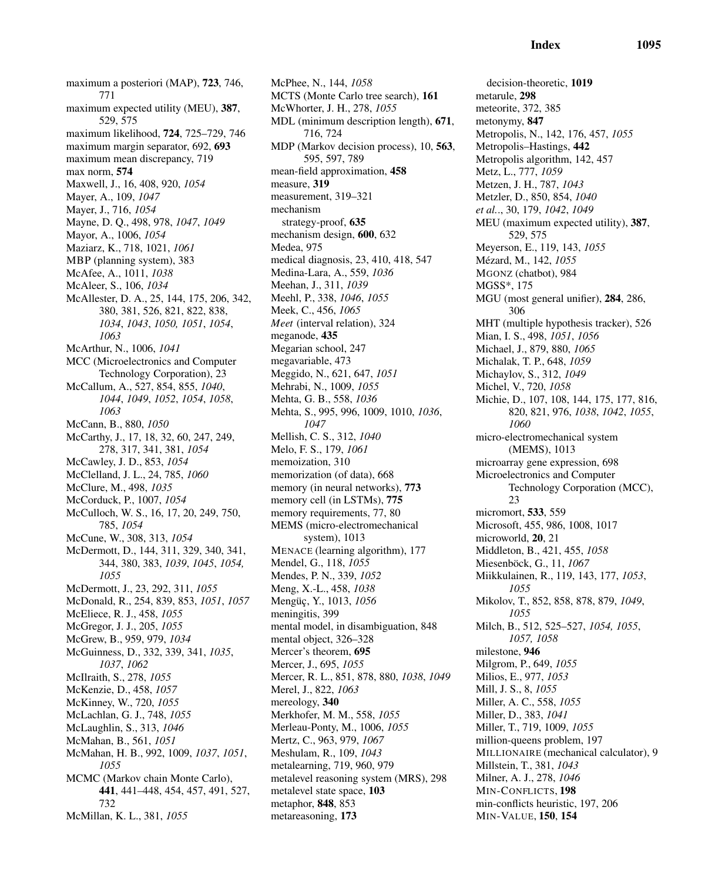maximum a posteriori (MAP), 723, 746, 771 maximum expected utility (MEU), 387, 529, 575 maximum likelihood, 724, 725–729, 746 maximum margin separator, 692, 693 maximum mean discrepancy, 719 max norm, 574 Maxwell, J., 16, 408, 920, *1054* Mayer, A., 109, *1047* Mayer, J., 716, *1054* Mayne, D. Q., 498, 978, *1047*, *1049* Mayor, A., 1006, *1054* Maziarz, K., 718, 1021, *1061* MBP (planning system), 383 McAfee, A., 1011, *1038* McAleer, S., 106, *1034* McAllester, D. A., 25, 144, 175, 206, 342, 380, 381, 526, 821, 822, 838, *1034*, *1043*, *1050, 1051*, *1054*, *1063* McArthur, N., 1006, *1041* MCC (Microelectronics and Computer Technology Corporation), 23 McCallum, A., 527, 854, 855, *1040*, *1044*, *1049*, *1052*, *1054*, *1058*, *1063* McCann, B., 880, *1050* McCarthy, J., 17, 18, 32, 60, 247, 249, 278, 317, 341, 381, *1054* McCawley, J. D., 853, *1054* McClelland, J. L., 24, 785, *1060* McClure, M., 498, *1035* McCorduck, P., 1007, *1054* McCulloch, W. S., 16, 17, 20, 249, 750, 785, *1054* McCune, W., 308, 313, *1054* McDermott, D., 144, 311, 329, 340, 341, 344, 380, 383, *1039*, *1045*, *1054, 1055* McDermott, J., 23, 292, 311, *1055* McDonald, R., 254, 839, 853, *1051*, *1057* McEliece, R. J., 458, *1055* McGregor, J. J., 205, *1055* McGrew, B., 959, 979, *1034* McGuinness, D., 332, 339, 341, *1035*, *1037*, *1062* McIlraith, S., 278, *1055* McKenzie, D., 458, *1057* McKinney, W., 720, *1055* McLachlan, G. J., 748, *1055* McLaughlin, S., 313, *1046* McMahan, B., 561, *1051* McMahan, H. B., 992, 1009, *1037*, *1051*, *1055* MCMC (Markov chain Monte Carlo), 441, 441–448, 454, 457, 491, 527, 732

McMillan, K. L., 381, *1055*

McPhee, N., 144, *1058* MCTS (Monte Carlo tree search), 161 McWhorter, J. H., 278, *1055* MDL (minimum description length), 671, 716, 724 MDP (Markov decision process), 10, 563, 595, 597, 789 mean-field approximation, 458 measure, 319 measurement, 319–321 mechanism strategy-proof, 635 mechanism design, 600, 632 Medea, 975 medical diagnosis, 23, 410, 418, 547 Medina-Lara, A., 559, *1036* Meehan, J., 311, *1039* Meehl, P., 338, *1046*, *1055* Meek, C., 456, *1065 Meet* (interval relation), 324 meganode, 435 Megarian school, 247 megavariable, 473 Meggido, N., 621, 647, *1051* Mehrabi, N., 1009, *1055* Mehta, G. B., 558, *1036* Mehta, S., 995, 996, 1009, 1010, *1036*, *1047* Mellish, C. S., 312, *1040* Melo, F. S., 179, *1061* memoization, 310 memorization (of data), 668 memory (in neural networks), 773 memory cell (in LSTMs), 775 memory requirements, 77, 80 MEMS (micro-electromechanical system), 1013 MENACE (learning algorithm), 177 Mendel, G., 118, *1055* Mendes, P. N., 339, *1052* Meng, X.-L., 458, *1038* Mengüç, Y., 1013, 1056 meningitis, 399 mental model, in disambiguation, 848 mental object, 326–328 Mercer's theorem, 695 Mercer, J., 695, *1055* Mercer, R. L., 851, 878, 880, *1038*, *1049* Merel, J., 822, *1063* mereology, 340 Merkhofer, M. M., 558, *1055* Merleau-Ponty, M., 1006, *1055* Mertz, C., 963, 979, *1067* Meshulam, R., 109, *1043* metalearning, 719, 960, 979 metalevel reasoning system (MRS), 298 metalevel state space, 103 metaphor, 848, 853 metareasoning, 173

decision-theoretic, 1019 metarule, 298 meteorite, 372, 385 metonymy, 847 Metropolis, N., 142, 176, 457, *1055* Metropolis–Hastings, 442 Metropolis algorithm, 142, 457 Metz, L., 777, *1059* Metzen, J. H., 787, *1043* Metzler, D., 850, 854, *1040 et al.*., 30, 179, *1042*, *1049* MEU (maximum expected utility), 387, 529, 575 Meyerson, E., 119, 143, *1055* M´ezard, M., 142, *1055* MGONZ (chatbot), 984 MGSS\*, 175 MGU (most general unifier), 284, 286, 306 MHT (multiple hypothesis tracker), 526 Mian, I. S., 498, *1051*, *1056* Michael, J., 879, 880, *1065* Michalak, T. P., 648, *1059* Michaylov, S., 312, *1049* Michel, V., 720, *1058* Michie, D., 107, 108, 144, 175, 177, 816, 820, 821, 976, *1038*, *1042*, *1055*, *1060* micro-electromechanical system (MEMS), 1013 microarray gene expression, 698 Microelectronics and Computer Technology Corporation (MCC), 23 micromort, 533, 559 Microsoft, 455, 986, 1008, 1017 microworld, 20, 21 Middleton, B., 421, 455, *1058* Miesenböck, G., 11, 1067 Miikkulainen, R., 119, 143, 177, *1053*, *1055* Mikolov, T., 852, 858, 878, 879, *1049*, *1055* Milch, B., 512, 525–527, *1054, 1055*, *1057, 1058* milestone, 946 Milgrom, P., 649, *1055* Milios, E., 977, *1053* Mill, J. S., 8, *1055* Miller, A. C., 558, *1055* Miller, D., 383, *1041* Miller, T., 719, 1009, *1055* million-queens problem, 197 MILLIONAIRE (mechanical calculator), 9 Millstein, T., 381, *1043* Milner, A. J., 278, *1046* MIN-CONFLICTS, 198 min-conflicts heuristic, 197, 206 MIN-VALUE, 150, 154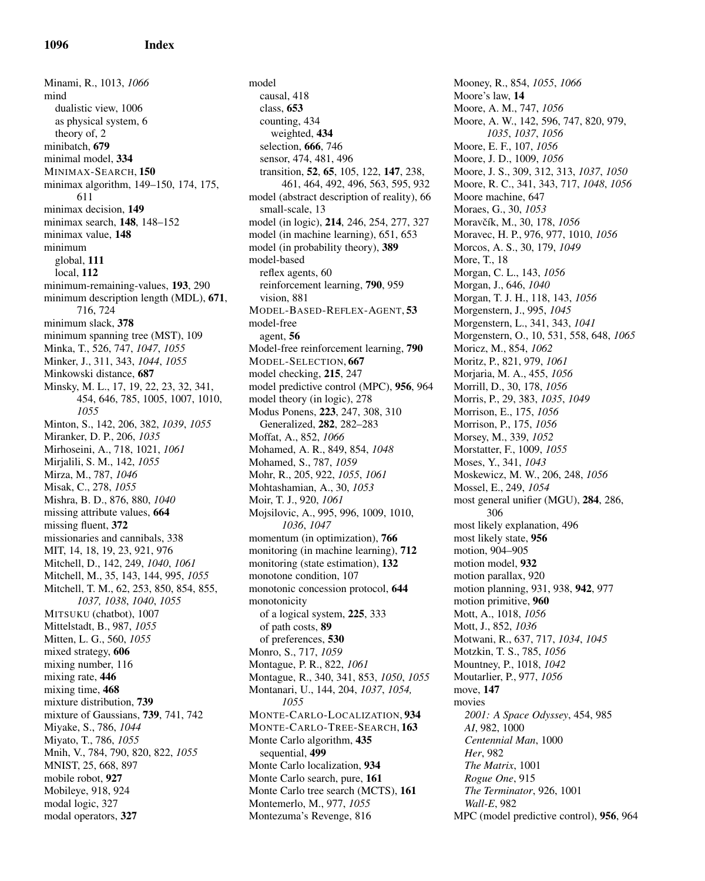Minami, R., 1013, *1066* mind dualistic view, 1006 as physical system, 6 theory of, 2 minibatch, 679 minimal model, 334 MINIMAX-SEARCH, 150 minimax algorithm, 149–150, 174, 175, 611 minimax decision, 149 minimax search, 148, 148–152 minimax value, 148 minimum global, 111 local, 112 minimum-remaining-values, 193, 290 minimum description length (MDL), 671, 716, 724 minimum slack, 378 minimum spanning tree (MST), 109 Minka, T., 526, 747, *1047*, *1055* Minker, J., 311, 343, *1044*, *1055* Minkowski distance, 687 Minsky, M. L., 17, 19, 22, 23, 32, 341, 454, 646, 785, 1005, 1007, 1010, *1055* Minton, S., 142, 206, 382, *1039*, *1055* Miranker, D. P., 206, *1035* Mirhoseini, A., 718, 1021, *1061* Mirjalili, S. M., 142, *1055* Mirza, M., 787, *1046* Misak, C., 278, *1055* Mishra, B. D., 876, 880, *1040* missing attribute values, 664 missing fluent, 372 missionaries and cannibals, 338 MIT, 14, 18, 19, 23, 921, 976 Mitchell, D., 142, 249, *1040*, *1061* Mitchell, M., 35, 143, 144, 995, *1055* Mitchell, T. M., 62, 253, 850, 854, 855, *1037, 1038*, *1040*, *1055* MITSUKU (chatbot), 1007 Mittelstadt, B., 987, *1055* Mitten, L. G., 560, *1055* mixed strategy, 606 mixing number, 116 mixing rate, 446 mixing time, 468 mixture distribution, 739 mixture of Gaussians, 739, 741, 742 Miyake, S., 786, *1044* Miyato, T., 786, *1055* Mnih, V., 784, 790, 820, 822, *1055* MNIST, 25, 668, 897 mobile robot, 927 Mobileye, 918, 924 modal logic, 327 modal operators, 327

model causal, 418 class, 653 counting, 434 weighted, 434 selection, 666, 746 sensor, 474, 481, 496 transition, 52, 65, 105, 122, 147, 238, 461, 464, 492, 496, 563, 595, 932 model (abstract description of reality), 66 small-scale, 13 model (in logic), 214, 246, 254, 277, 327 model (in machine learning), 651, 653 model (in probability theory), 389 model-based reflex agents, 60 reinforcement learning, 790, 959 vision, 881 MODEL-BASED-REFLEX-AGENT, 53 model-free agent, 56 Model-free reinforcement learning, 790 MODEL-SELECTION, 667 model checking, 215, 247 model predictive control (MPC), 956, 964 model theory (in logic), 278 Modus Ponens, 223, 247, 308, 310 Generalized, 282, 282–283 Moffat, A., 852, *1066* Mohamed, A. R., 849, 854, *1048* Mohamed, S., 787, *1059* Mohr, R., 205, 922, *1055*, *1061* Mohtashamian, A., 30, *1053* Moir, T. J., 920, *1061* Mojsilovic, A., 995, 996, 1009, 1010, *1036*, *1047* momentum (in optimization), 766 monitoring (in machine learning), 712 monitoring (state estimation), 132 monotone condition, 107 monotonic concession protocol, 644 monotonicity of a logical system, 225, 333 of path costs, 89 of preferences, 530 Monro, S., 717, *1059* Montague, P. R., 822, *1061* Montague, R., 340, 341, 853, *1050*, *1055* Montanari, U., 144, 204, *1037*, *1054, 1055* MONTE-CARLO-LOCALIZATION, 934 MONTE-CARLO-TREE-SEARCH, 163 Monte Carlo algorithm, 435 sequential, 499 Monte Carlo localization, 934 Monte Carlo search, pure, 161 Monte Carlo tree search (MCTS), 161 Montemerlo, M., 977, *1055* Montezuma's Revenge, 816

Mooney, R., 854, *1055*, *1066* Moore's law, 14 Moore, A. M., 747, *1056* Moore, A. W., 142, 596, 747, 820, 979, *1035*, *1037*, *1056* Moore, E. F., 107, *1056* Moore, J. D., 1009, *1056* Moore, J. S., 309, 312, 313, *1037*, *1050* Moore, R. C., 341, 343, 717, *1048*, *1056* Moore machine, 647 Moraes, G., 30, *1053* Moravčík, M., 30, 178, 1056 Moravec, H. P., 976, 977, 1010, *1056* Morcos, A. S., 30, 179, *1049* More, T., 18 Morgan, C. L., 143, *1056* Morgan, J., 646, *1040* Morgan, T. J. H., 118, 143, *1056* Morgenstern, J., 995, *1045* Morgenstern, L., 341, 343, *1041* Morgenstern, O., 10, 531, 558, 648, *1065* Moricz, M., 854, *1062* Moritz, P., 821, 979, *1061* Morjaria, M. A., 455, *1056* Morrill, D., 30, 178, *1056* Morris, P., 29, 383, *1035*, *1049* Morrison, E., 175, *1056* Morrison, P., 175, *1056* Morsey, M., 339, *1052* Morstatter, F., 1009, *1055* Moses, Y., 341, *1043* Moskewicz, M. W., 206, 248, *1056* Mossel, E., 249, *1054* most general unifier (MGU), 284, 286, 306 most likely explanation, 496 most likely state, 956 motion, 904–905 motion model, 932 motion parallax, 920 motion planning, 931, 938, 942, 977 motion primitive, 960 Mott, A., 1018, *1056* Mott, J., 852, *1036* Motwani, R., 637, 717, *1034*, *1045* Motzkin, T. S., 785, *1056* Mountney, P., 1018, *1042* Moutarlier, P., 977, *1056* move, 147 movies *2001: A Space Odyssey*, 454, 985 *AI*, 982, 1000 *Centennial Man*, 1000 *Her*, 982 *The Matrix*, 1001 *Rogue One*, 915 *The Terminator*, 926, 1001 *Wall-E*, 982 MPC (model predictive control), 956, 964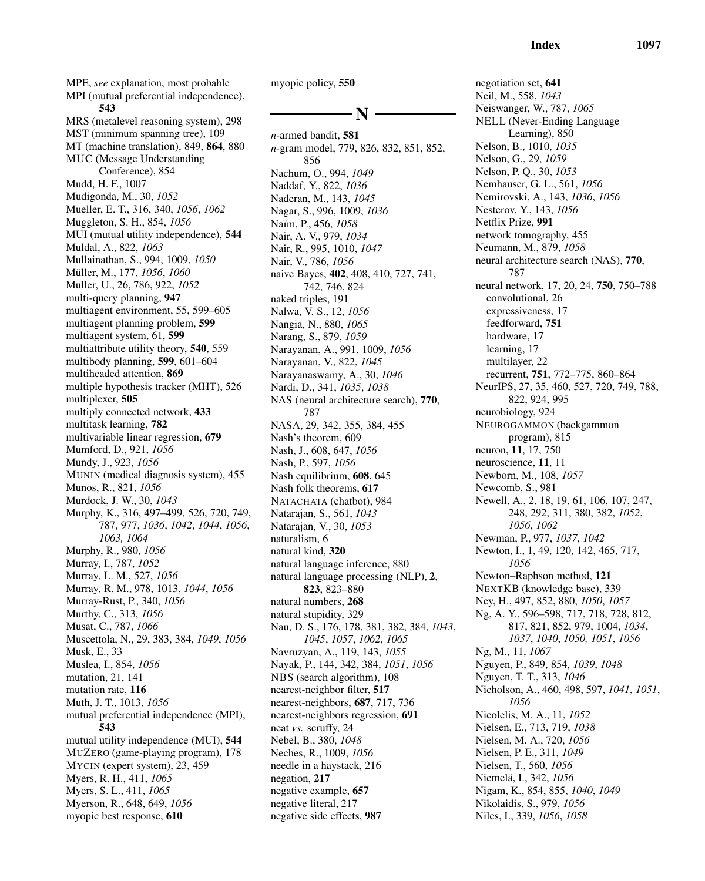MPE, *see* explanation, most probable MPI (mutual preferential independence), 543 MRS (metalevel reasoning system), 298 MST (minimum spanning tree), 109 MT (machine translation), 849, 864, 880 MUC (Message Understanding Conference), 854 Mudd, H. F., 1007 Mudigonda, M., 30, *1052* Mueller, E. T., 316, 340, *1056*, *1062* Muggleton, S. H., 854, *1056* MUI (mutual utility independence), 544 Muldal, A., 822, *1063* Mullainathan, S., 994, 1009, *1050* M¨uller, M., 177, *1056*, *1060* Muller, U., 26, 786, 922, *1052* multi-query planning, 947 multiagent environment, 55, 599–605 multiagent planning problem, 599 multiagent system, 61, 599 multiattribute utility theory, 540, 559 multibody planning, 599, 601–604 multiheaded attention, 869 multiple hypothesis tracker (MHT), 526 multiplexer, 505 multiply connected network, 433 multitask learning, 782 multivariable linear regression, 679 Mumford, D., 921, *1056* Mundy, J., 923, *1056* MUNIN (medical diagnosis system), 455 Munos, R., 821, *1056* Murdock, J. W., 30, *1043* Murphy, K., 316, 497–499, 526, 720, 749, 787, 977, *1036*, *1042*, *1044*, *1056*, *1063, 1064* Murphy, R., 980, *1056* Murray, I., 787, *1052* Murray, L. M., 527, *1056* Murray, R. M., 978, 1013, *1044*, *1056* Murray-Rust, P., 340, *1056* Murthy, C., 313, *1056* Musat, C., 787, *1066* Muscettola, N., 29, 383, 384, *1049*, *1056* Musk, E., 33 Muslea, I., 854, *1056* mutation, 21, 141 mutation rate, 116 Muth, J. T., 1013, *1056* mutual preferential independence (MPI), 543 mutual utility independence (MUI), 544 MUZERO (game-playing program), 178 MYCIN (expert system), 23, 459 Myers, R. H., 411, *1065* Myers, S. L., 411, *1065* Myerson, R., 648, 649, *1056* myopic best response, 610

myopic policy, 550

# N

*n*-armed bandit, 581 *n*-gram model, 779, 826, 832, 851, 852, 856 Nachum, O., 994, *1049* Naddaf, Y., 822, *1036* Naderan, M., 143, *1045* Nagar, S., 996, 1009, *1036* Na¨ım, P., 456, *1058* Nair, A. V., 979, *1034* Nair, R., 995, 1010, *1047* Nair, V., 786, *1056* naive Bayes, 402, 408, 410, 727, 741, 742, 746, 824 naked triples, 191 Nalwa, V. S., 12, *1056* Nangia, N., 880, *1065* Narang, S., 879, *1059* Narayanan, A., 991, 1009, *1056* Narayanan, V., 822, *1045* Narayanaswamy, A., 30, *1046* Nardi, D., 341, *1035*, *1038* NAS (neural architecture search), 770, 787 NASA, 29, 342, 355, 384, 455 Nash's theorem, 609 Nash, J., 608, 647, *1056* Nash, P., 597, *1056* Nash equilibrium, 608, 645 Nash folk theorems, 617 NATACHATA (chatbot), 984 Natarajan, S., 561, *1043* Natarajan, V., 30, *1053* naturalism, 6 natural kind, 320 natural language inference, 880 natural language processing (NLP), 2, 823, 823–880 natural numbers, 268 natural stupidity, 329 Nau, D. S., 176, 178, 381, 382, 384, *1043*, *1045*, *1057*, *1062*, *1065* Navruzyan, A., 119, 143, *1055* Nayak, P., 144, 342, 384, *1051*, *1056* NBS (search algorithm), 108 nearest-neighbor filter, 517 nearest-neighbors, 687, 717, 736 nearest-neighbors regression, 691 neat *vs.* scruffy, 24 Nebel, B., 380, *1048* Neches, R., 1009, *1056* needle in a haystack, 216 negation, 217 negative example, 657 negative literal, 217 negative side effects, 987

negotiation set, 641 Neil, M., 558, *1043* Neiswanger, W., 787, *1065* NELL (Never-Ending Language Learning), 850 Nelson, B., 1010, *1035* Nelson, G., 29, *1059* Nelson, P. Q., 30, *1053* Nemhauser, G. L., 561, *1056* Nemirovski, A., 143, *1036*, *1056* Nesterov, Y., 143, *1056* Netflix Prize, 991 network tomography, 455 Neumann, M., 879, *1058* neural architecture search (NAS), 770, 787 neural network, 17, 20, 24, 750, 750–788 convolutional, 26 expressiveness, 17 feedforward, 751 hardware, 17 learning, 17 multilayer, 22 recurrent, 751, 772–775, 860–864 NeurIPS, 27, 35, 460, 527, 720, 749, 788, 822, 924, 995 neurobiology, 924 NEUROGAMMON (backgammon program), 815 neuron, 11, 17, 750 neuroscience, 11, 11 Newborn, M., 108, *1057* Newcomb, S., 981 Newell, A., 2, 18, 19, 61, 106, 107, 247, 248, 292, 311, 380, 382, *1052*, *1056*, *1062* Newman, P., 977, *1037*, *1042* Newton, I., 1, 49, 120, 142, 465, 717, *1056* Newton–Raphson method, 121 NEXTKB (knowledge base), 339 Ney, H., 497, 852, 880, *1050*, *1057* Ng, A. Y., 596–598, 717, 718, 728, 812, 817, 821, 852, 979, 1004, *1034*, *1037*, *1040*, *1050, 1051*, *1056* Ng, M., 11, *1067* Nguyen, P., 849, 854, *1039*, *1048* Nguyen, T. T., 313, *1046* Nicholson, A., 460, 498, 597, *1041*, *1051*, *1056* Nicolelis, M. A., 11, *1052* Nielsen, E., 713, 719, *1038* Nielsen, M. A., 720, *1056* Nielsen, P. E., 311, *1049* Nielsen, T., 560, *1056* Niemel¨a, I., 342, *1056* Nigam, K., 854, 855, *1040*, *1049* Nikolaidis, S., 979, *1056* Niles, I., 339, *1056*, *1058*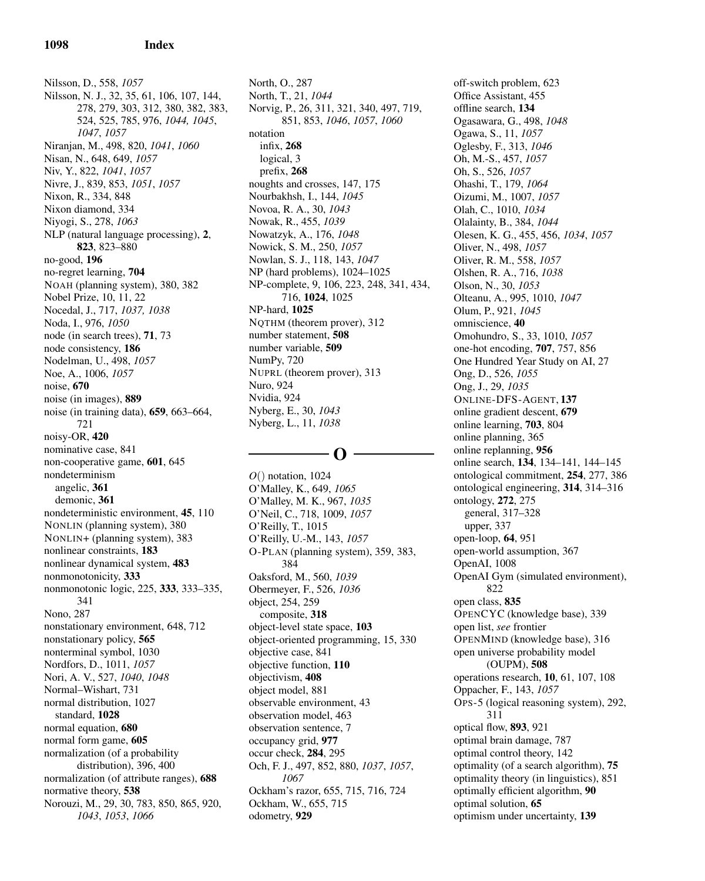Nilsson, D., 558, *1057* Nilsson, N. J., 32, 35, 61, 106, 107, 144, 278, 279, 303, 312, 380, 382, 383, 524, 525, 785, 976, *1044, 1045*, *1047*, *1057* Niranjan, M., 498, 820, *1041*, *1060* Nisan, N., 648, 649, *1057* Niv, Y., 822, *1041*, *1057* Nivre, J., 839, 853, *1051*, *1057* Nixon, R., 334, 848 Nixon diamond, 334 Niyogi, S., 278, *1063* NLP (natural language processing), 2, 823, 823–880 no-good, 196 no-regret learning, 704 NOAH (planning system), 380, 382 Nobel Prize, 10, 11, 22 Nocedal, J., 717, *1037, 1038* Noda, I., 976, *1050* node (in search trees), 71, 73 node consistency, 186 Nodelman, U., 498, *1057* Noe, A., 1006, *1057* noise, 670 noise (in images), 889 noise (in training data), 659, 663–664, 721 noisy-OR, 420 nominative case, 841 non-cooperative game, 601, 645 nondeterminism angelic, 361 demonic, 361 nondeterministic environment, 45, 110 NONLIN (planning system), 380 NONLIN+ (planning system), 383 nonlinear constraints, 183 nonlinear dynamical system, 483 nonmonotonicity, 333 nonmonotonic logic, 225, 333, 333–335, 341 Nono, 287 nonstationary environment, 648, 712 nonstationary policy, 565 nonterminal symbol, 1030 Nordfors, D., 1011, *1057* Nori, A. V., 527, *1040*, *1048* Normal–Wishart, 731 normal distribution, 1027 standard, 1028 normal equation, 680 normal form game, 605 normalization (of a probability distribution), 396, 400 normalization (of attribute ranges), 688 normative theory, 538 Norouzi, M., 29, 30, 783, 850, 865, 920, *1043*, *1053*, *1066*

North, O., 287 North, T., 21, *1044* Norvig, P., 26, 311, 321, 340, 497, 719, 851, 853, *1046*, *1057*, *1060* notation infix, 268 logical, 3 prefix, 268 noughts and crosses, 147, 175 Nourbakhsh, I., 144, *1045* Novoa, R. A., 30, *1043* Nowak, R., 455, *1039* Nowatzyk, A., 176, *1048* Nowick, S. M., 250, *1057* Nowlan, S. J., 118, 143, *1047* NP (hard problems), 1024–1025 NP-complete, 9, 106, 223, 248, 341, 434, 716, 1024, 1025 NP-hard, 1025 NQTHM (theorem prover), 312 number statement, 508 number variable, 509 NumPy, 720 NUPRL (theorem prover), 313 Nuro, 924 Nvidia, 924 Nyberg, E., 30, *1043* Nyberg, L., 11, *1038*

# $\Omega$

*O*() notation, 1024 O'Malley, K., 649, *1065* O'Malley, M. K., 967, *1035* O'Neil, C., 718, 1009, *1057* O'Reilly, T., 1015 O'Reilly, U.-M., 143, *1057* O-PLAN (planning system), 359, 383, 384 Oaksford, M., 560, *1039* Obermeyer, F., 526, *1036* object, 254, 259 composite, 318 object-level state space, 103 object-oriented programming, 15, 330 objective case, 841 objective function, 110 objectivism, 408 object model, 881 observable environment, 43 observation model, 463 observation sentence, 7 occupancy grid, 977 occur check, 284, 295 Och, F. J., 497, 852, 880, *1037*, *1057*, *1067* Ockham's razor, 655, 715, 716, 724 Ockham, W., 655, 715 odometry, 929

off-switch problem, 623 Office Assistant, 455 offline search, 134 Ogasawara, G., 498, *1048* Ogawa, S., 11, *1057* Oglesby, F., 313, *1046* Oh, M.-S., 457, *1057* Oh, S., 526, *1057* Ohashi, T., 179, *1064* Oizumi, M., 1007, *1057* Olah, C., 1010, *1034* Olalainty, B., 384, *1044* Olesen, K. G., 455, 456, *1034*, *1057* Oliver, N., 498, *1057* Oliver, R. M., 558, *1057* Olshen, R. A., 716, *1038* Olson, N., 30, *1053* Olteanu, A., 995, 1010, *1047* Olum, P., 921, *1045* omniscience, 40 Omohundro, S., 33, 1010, *1057* one-hot encoding, 707, 757, 856 One Hundred Year Study on AI, 27 Ong, D., 526, *1055* Ong, J., 29, *1035* ONLINE-DFS-AGENT, 137 online gradient descent, 679 online learning, 703, 804 online planning, 365 online replanning, 956 online search, 134, 134–141, 144–145 ontological commitment, 254, 277, 386 ontological engineering, 314, 314–316 ontology, 272, 275 general, 317–328 upper, 337 open-loop, 64, 951 open-world assumption, 367 OpenAI, 1008 OpenAI Gym (simulated environment), 822 open class, 835 OPENCYC (knowledge base), 339 open list, *see* frontier OPENMIND (knowledge base), 316 open universe probability model (OUPM), 508 operations research, 10, 61, 107, 108 Oppacher, F., 143, *1057* OPS-5 (logical reasoning system), 292, 311 optical flow, 893, 921 optimal brain damage, 787 optimal control theory, 142 optimality (of a search algorithm), 75 optimality theory (in linguistics), 851 optimally efficient algorithm, 90 optimal solution, 65 optimism under uncertainty, 139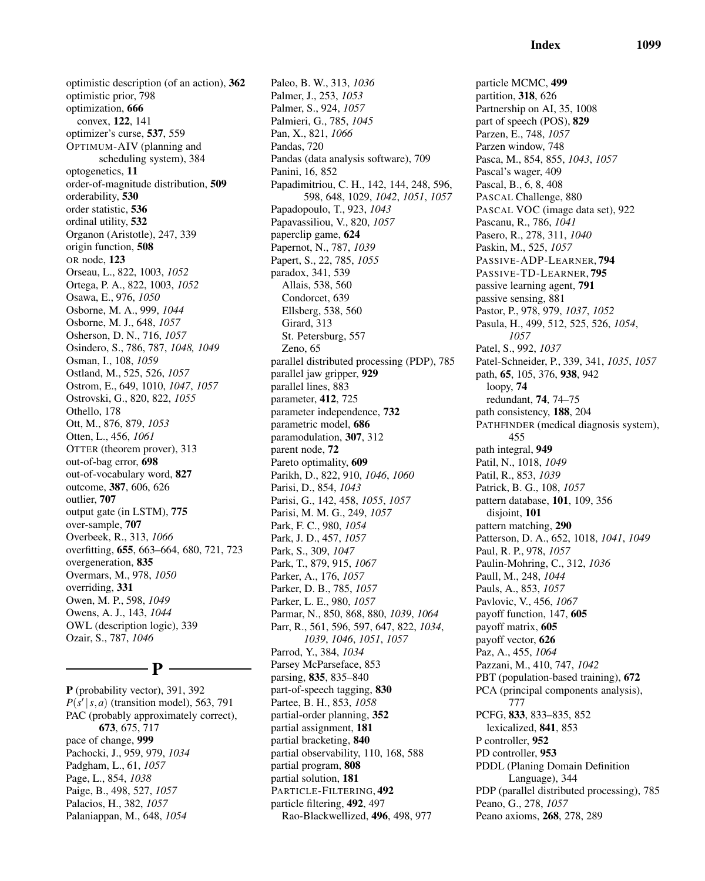optimistic description (of an action), 362 optimistic prior, 798 optimization, 666 convex, 122, 141 optimizer's curse, 537, 559 OPTIMUM-AIV (planning and scheduling system), 384 optogenetics, 11 order-of-magnitude distribution, 509 orderability, 530 order statistic, 536 ordinal utility, 532 Organon (Aristotle), 247, 339 origin function, 508 OR node, 123 Orseau, L., 822, 1003, *1052* Ortega, P. A., 822, 1003, *1052* Osawa, E., 976, *1050* Osborne, M. A., 999, *1044* Osborne, M. J., 648, *1057* Osherson, D. N., 716, *1057* Osindero, S., 786, 787, *1048, 1049* Osman, I., 108, *1059* Ostland, M., 525, 526, *1057* Ostrom, E., 649, 1010, *1047*, *1057* Ostrovski, G., 820, 822, *1055* Othello, 178 Ott, M., 876, 879, *1053* Otten, L., 456, *1061* OTTER (theorem prover), 313 out-of-bag error, 698 out-of-vocabulary word, 827 outcome, 387, 606, 626 outlier, 707 output gate (in LSTM), 775 over-sample, 707 Overbeek, R., 313, *1066* overfitting, 655, 663–664, 680, 721, 723 overgeneration, 835 Overmars, M., 978, *1050* overriding, 331 Owen, M. P., 598, *1049* Owens, A. J., 143, *1044* OWL (description logic), 339 Ozair, S., 787, *1046*

### $-$  P  $\cdot$

P (probability vector), 391, 392  $P(\vec{s'} | s, a)$  (transition model), 563, 791 PAC (probably approximately correct), 673, 675, 717 pace of change, 999 Pachocki, J., 959, 979, *1034* Padgham, L., 61, *1057* Page, L., 854, *1038* Paige, B., 498, 527, *1057* Palacios, H., 382, *1057* Palaniappan, M., 648, *1054*

Paleo, B. W., 313, *1036* Palmer, J., 253, *1053* Palmer, S., 924, *1057* Palmieri, G., 785, *1045* Pan, X., 821, *1066* Pandas, 720 Pandas (data analysis software), 709 Panini, 16, 852 Papadimitriou, C. H., 142, 144, 248, 596, 598, 648, 1029, *1042*, *1051*, *1057* Papadopoulo, T., 923, *1043* Papavassiliou, V., 820, *1057* paperclip game, 624 Papernot, N., 787, *1039* Papert, S., 22, 785, *1055* paradox, 341, 539 Allais, 538, 560 Condorcet, 639 Ellsberg, 538, 560 Girard, 313 St. Petersburg, 557 Zeno, 65 parallel distributed processing (PDP), 785 parallel jaw gripper, 929 parallel lines, 883 parameter, 412, 725 parameter independence, 732 parametric model, 686 paramodulation, 307, 312 parent node, 72 Pareto optimality, 609 Parikh, D., 822, 910, *1046*, *1060* Parisi, D., 854, *1043* Parisi, G., 142, 458, *1055*, *1057* Parisi, M. M. G., 249, *1057* Park, F. C., 980, *1054* Park, J. D., 457, *1057* Park, S., 309, *1047* Park, T., 879, 915, *1067* Parker, A., 176, *1057* Parker, D. B., 785, *1057* Parker, L. E., 980, *1057* Parmar, N., 850, 868, 880, *1039*, *1064* Parr, R., 561, 596, 597, 647, 822, *1034*, *1039*, *1046*, *1051*, *1057* Parrod, Y., 384, *1034* Parsey McParseface, 853 parsing, 835, 835–840 part-of-speech tagging, 830 Partee, B. H., 853, *1058* partial-order planning, 352 partial assignment, 181 partial bracketing, 840 partial observability, 110, 168, 588 partial program, 808 partial solution, 181 PARTICLE-FILTERING, 492 particle filtering, 492, 497 Rao-Blackwellized, 496, 498, 977

particle MCMC, 499 partition, 318, 626 Partnership on AI, 35, 1008 part of speech (POS), 829 Parzen, E., 748, *1057* Parzen window, 748 Pasca, M., 854, 855, *1043*, *1057* Pascal's wager, 409 Pascal, B., 6, 8, 408 PASCAL Challenge, 880 PASCAL VOC (image data set), 922 Pascanu, R., 786, *1041* Pasero, R., 278, 311, *1040* Paskin, M., 525, *1057* PASSIVE-ADP-LEARNER, 794 PASSIVE-TD-LEARNER, 795 passive learning agent, 791 passive sensing, 881 Pastor, P., 978, 979, *1037*, *1052* Pasula, H., 499, 512, 525, 526, *1054*, *1057* Patel, S., 992, *1037* Patel-Schneider, P., 339, 341, *1035*, *1057* path, 65, 105, 376, 938, 942 loopy, 74 redundant, 74, 74–75 path consistency, 188, 204 PATHFINDER (medical diagnosis system), 455 path integral, 949 Patil, N., 1018, *1049* Patil, R., 853, *1039* Patrick, B. G., 108, *1057* pattern database, 101, 109, 356 disjoint, 101 pattern matching, 290 Patterson, D. A., 652, 1018, *1041*, *1049* Paul, R. P., 978, *1057* Paulin-Mohring, C., 312, *1036* Paull, M., 248, *1044* Pauls, A., 853, *1057* Pavlovic, V., 456, *1067* payoff function, 147, 605 payoff matrix, 605 payoff vector, 626 Paz, A., 455, *1064* Pazzani, M., 410, 747, *1042* PBT (population-based training), 672 PCA (principal components analysis), 777 PCFG, 833, 833–835, 852 lexicalized, 841, 853 P controller, 952 PD controller, 953 PDDL (Planing Domain Definition Language), 344 PDP (parallel distributed processing), 785 Peano, G., 278, *1057* Peano axioms, 268, 278, 289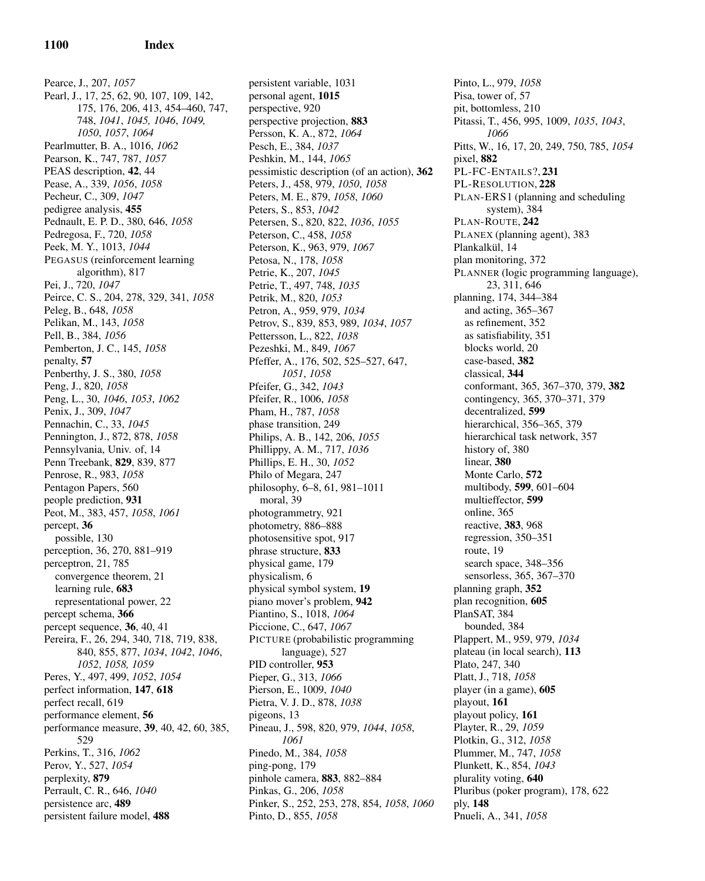Pearce, J., 207, *1057* Pearl, J., 17, 25, 62, 90, 107, 109, 142, 175, 176, 206, 413, 454–460, 747, 748, *1041*, *1045, 1046*, *1049, 1050*, *1057*, *1064* Pearlmutter, B. A., 1016, *1062* Pearson, K., 747, 787, *1057* PEAS description, 42, 44 Pease, A., 339, *1056*, *1058* Pecheur, C., 309, *1047* pedigree analysis, 455 Pednault, E. P. D., 380, 646, *1058* Pedregosa, F., 720, *1058* Peek, M. Y., 1013, *1044* PEGASUS (reinforcement learning algorithm), 817 Pei, J., 720, *1047* Peirce, C. S., 204, 278, 329, 341, *1058* Peleg, B., 648, *1058* Pelikan, M., 143, *1058* Pell, B., 384, *1056* Pemberton, J. C., 145, *1058* penalty, 57 Penberthy, J. S., 380, *1058* Peng, J., 820, *1058* Peng, L., 30, *1046*, *1053*, *1062* Penix, J., 309, *1047* Pennachin, C., 33, *1045* Pennington, J., 872, 878, *1058* Pennsylvania, Univ. of, 14 Penn Treebank, 829, 839, 877 Penrose, R., 983, *1058* Pentagon Papers, 560 people prediction, 931 Peot, M., 383, 457, *1058*, *1061* percept, 36 possible, 130 perception, 36, 270, 881–919 perceptron, 21, 785 convergence theorem, 21 learning rule, 683 representational power, 22 percept schema, 366 percept sequence, 36, 40, 41 Pereira, F., 26, 294, 340, 718, 719, 838, 840, 855, 877, *1034*, *1042*, *1046*, *1052*, *1058, 1059* Peres, Y., 497, 499, *1052*, *1054* perfect information, 147, 618 perfect recall, 619 performance element, 56 performance measure, 39, 40, 42, 60, 385, 529 Perkins, T., 316, *1062* Perov, Y., 527, *1054* perplexity, 879 Perrault, C. R., 646, *1040* persistence arc, 489 persistent failure model, 488

persistent variable, 1031 personal agent, 1015 perspective, 920 perspective projection, 883 Persson, K. A., 872, *1064* Pesch, E., 384, *1037* Peshkin, M., 144, *1065* pessimistic description (of an action), 362 Peters, J., 458, 979, *1050*, *1058* Peters, M. E., 879, *1058*, *1060* Peters, S., 853, *1042* Petersen, S., 820, 822, *1036*, *1055* Peterson, C., 458, *1058* Peterson, K., 963, 979, *1067* Petosa, N., 178, *1058* Petrie, K., 207, *1045* Petrie, T., 497, 748, *1035* Petrik, M., 820, *1053* Petron, A., 959, 979, *1034* Petrov, S., 839, 853, 989, *1034*, *1057* Pettersson, L., 822, *1038* Pezeshki, M., 849, *1067* Pfeffer, A., 176, 502, 525–527, 647, *1051*, *1058* Pfeifer, G., 342, *1043* Pfeifer, R., 1006, *1058* Pham, H., 787, *1058* phase transition, 249 Philips, A. B., 142, 206, *1055* Phillippy, A. M., 717, *1036* Phillips, E. H., 30, *1052* Philo of Megara, 247 philosophy, 6–8, 61, 981–1011 moral, 39 photogrammetry, 921 photometry, 886–888 photosensitive spot, 917 phrase structure, 833 physical game, 179 physicalism, 6 physical symbol system, 19 piano mover's problem, 942 Piantino, S., 1018, *1064* Piccione, C., 647, *1067* PICTURE (probabilistic programming language), 527 PID controller, 953 Pieper, G., 313, *1066* Pierson, E., 1009, *1040* Pietra, V. J. D., 878, *1038* pigeons, 13 Pineau, J., 598, 820, 979, *1044*, *1058*, *1061* Pinedo, M., 384, *1058* ping-pong, 179 pinhole camera, 883, 882–884 Pinkas, G., 206, *1058* Pinker, S., 252, 253, 278, 854, *1058*, *1060* Pinto, D., 855, *1058*

Pinto, L., 979, *1058* Pisa, tower of, 57 pit, bottomless, 210 Pitassi, T., 456, 995, 1009, *1035*, *1043*, *1066* Pitts, W., 16, 17, 20, 249, 750, 785, *1054* pixel, 882 PL-FC-ENTAILS?, 231 PL-RESOLUTION, 228 PLAN-ERS1 (planning and scheduling system), 384 PLAN-ROUTE, 242 PLANEX (planning agent), 383 Plankalkül, 14 plan monitoring, 372 PLANNER (logic programming language), 23, 311, 646 planning, 174, 344–384 and acting, 365–367 as refinement, 352 as satisfiability, 351 blocks world, 20 case-based, 382 classical, 344 conformant, 365, 367–370, 379, 382 contingency, 365, 370–371, 379 decentralized, 599 hierarchical, 356–365, 379 hierarchical task network, 357 history of, 380 linear, 380 Monte Carlo, 572 multibody, 599, 601–604 multieffector, 599 online, 365 reactive, 383, 968 regression, 350–351 route, 19 search space, 348–356 sensorless, 365, 367–370 planning graph, 352 plan recognition, 605 PlanSAT, 384 bounded, 384 Plappert, M., 959, 979, *1034* plateau (in local search), 113 Plato, 247, 340 Platt, J., 718, *1058* player (in a game), 605 playout, 161 playout policy, 161 Playter, R., 29, *1059* Plotkin, G., 312, *1058* Plummer, M., 747, *1058* Plunkett, K., 854, *1043* plurality voting, 640 Pluribus (poker program), 178, 622 ply, 148 Pnueli, A., 341, *1058*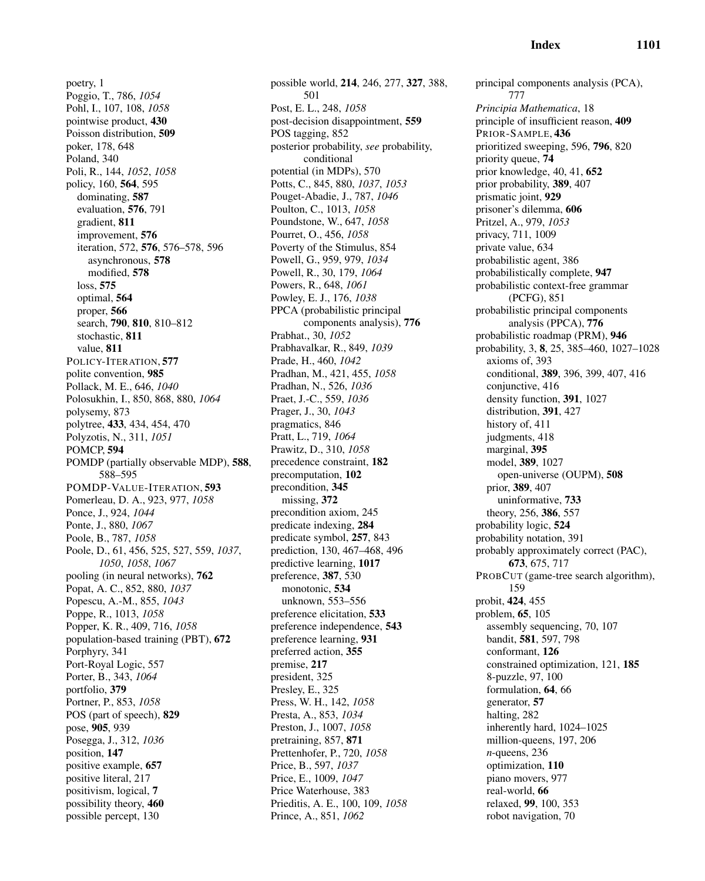poetry, 1 Poggio, T., 786, *1054* Pohl, I., 107, 108, *1058* pointwise product, 430 Poisson distribution, 509 poker, 178, 648 Poland, 340 Poli, R., 144, *1052*, *1058* policy, 160, 564, 595 dominating, 587 evaluation, 576, 791 gradient, 811 improvement, 576 iteration, 572, 576, 576–578, 596 asynchronous, 578 modified, 578 loss, 575 optimal, 564 proper, 566 search, 790, 810, 810–812 stochastic, 811 value, 811 POLICY-ITERATION, 577 polite convention, 985 Pollack, M. E., 646, *1040* Polosukhin, I., 850, 868, 880, *1064* polysemy, 873 polytree, 433, 434, 454, 470 Polyzotis, N., 311, *1051* POMCP, 594 POMDP (partially observable MDP), 588, 588–595 POMDP-VALUE-ITERATION, 593 Pomerleau, D. A., 923, 977, *1058* Ponce, J., 924, *1044* Ponte, J., 880, *1067* Poole, B., 787, *1058* Poole, D., 61, 456, 525, 527, 559, *1037*, *1050*, *1058*, *1067* pooling (in neural networks), 762 Popat, A. C., 852, 880, *1037* Popescu, A.-M., 855, *1043* Poppe, R., 1013, *1058* Popper, K. R., 409, 716, *1058* population-based training (PBT), 672 Porphyry, 341 Port-Royal Logic, 557 Porter, B., 343, *1064* portfolio, 379 Portner, P., 853, *1058* POS (part of speech), 829 pose, 905, 939 Posegga, J., 312, *1036* position, 147 positive example, 657 positive literal, 217 positivism, logical, 7 possibility theory, 460 possible percept, 130

possible world, 214, 246, 277, 327, 388, 501 Post, E. L., 248, *1058* post-decision disappointment, 559 POS tagging, 852 posterior probability, *see* probability, conditional potential (in MDPs), 570 Potts, C., 845, 880, *1037*, *1053* Pouget-Abadie, J., 787, *1046* Poulton, C., 1013, *1058* Poundstone, W., 647, *1058* Pourret, O., 456, *1058* Poverty of the Stimulus, 854 Powell, G., 959, 979, *1034* Powell, R., 30, 179, *1064* Powers, R., 648, *1061* Powley, E. J., 176, *1038* PPCA (probabilistic principal components analysis), 776 Prabhat., 30, *1052* Prabhavalkar, R., 849, *1039* Prade, H., 460, *1042* Pradhan, M., 421, 455, *1058* Pradhan, N., 526, *1036* Praet, J.-C., 559, *1036* Prager, J., 30, *1043* pragmatics, 846 Pratt, L., 719, *1064* Prawitz, D., 310, *1058* precedence constraint, 182 precomputation, 102 precondition, 345 missing, 372 precondition axiom, 245 predicate indexing, 284 predicate symbol, 257, 843 prediction, 130, 467–468, 496 predictive learning, 1017 preference, 387, 530 monotonic, 534 unknown, 553–556 preference elicitation, 533 preference independence, 543 preference learning, 931 preferred action, 355 premise, 217 president, 325 Presley, E., 325 Press, W. H., 142, *1058* Presta, A., 853, *1034* Preston, J., 1007, *1058* pretraining, 857, 871 Prettenhofer, P., 720, *1058* Price, B., 597, *1037* Price, E., 1009, *1047* Price Waterhouse, 383 Prieditis, A. E., 100, 109, *1058* Prince, A., 851, *1062*

principal components analysis (PCA), 777 *Principia Mathematica*, 18 principle of insufficient reason, 409 PRIOR-SAMPLE, 436 prioritized sweeping, 596, 796, 820 priority queue, 74 prior knowledge, 40, 41, 652 prior probability, 389, 407 prismatic joint, 929 prisoner's dilemma, 606 Pritzel, A., 979, *1053* privacy, 711, 1009 private value, 634 probabilistic agent, 386 probabilistically complete, 947 probabilistic context-free grammar (PCFG), 851 probabilistic principal components analysis (PPCA), 776 probabilistic roadmap (PRM), 946 probability, 3, 8, 25, 385–460, 1027–1028 axioms of, 393 conditional, 389, 396, 399, 407, 416 conjunctive, 416 density function, 391, 1027 distribution, 391, 427 history of, 411 judgments, 418 marginal, 395 model, 389, 1027 open-universe (OUPM), 508 prior, 389, 407 uninformative, 733 theory, 256, 386, 557 probability logic, 524 probability notation, 391 probably approximately correct (PAC), 673, 675, 717 PROBCUT (game-tree search algorithm), 159 probit, 424, 455 problem, 65, 105 assembly sequencing, 70, 107 bandit, 581, 597, 798 conformant, 126 constrained optimization, 121, 185 8-puzzle, 97, 100 formulation, 64, 66 generator, 57 halting, 282 inherently hard, 1024–1025 million-queens, 197, 206 *n*-queens, 236 optimization, 110 piano movers, 977 real-world, 66 relaxed, 99, 100, 353 robot navigation, 70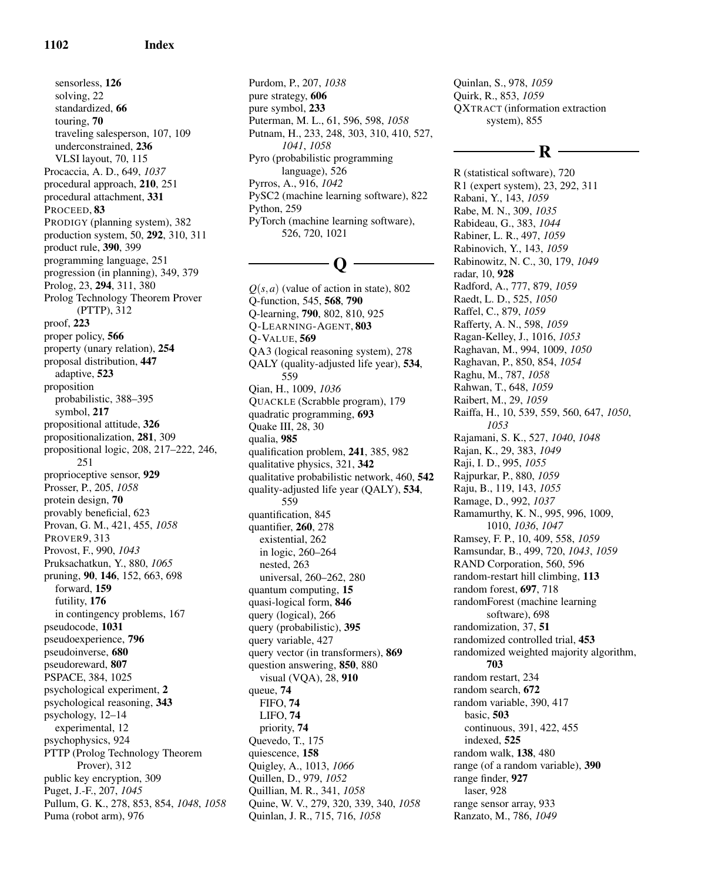sensorless, 126 solving, 22 standardized, 66 touring, 70 traveling salesperson, 107, 109 underconstrained, 236 VLSI layout, 70, 115 Procaccia, A. D., 649, *1037* procedural approach, 210, 251 procedural attachment, 331 PROCEED, 83 PRODIGY (planning system), 382 production system, 50, 292, 310, 311 product rule, 390, 399 programming language, 251 progression (in planning), 349, 379 Prolog, 23, 294, 311, 380 Prolog Technology Theorem Prover (PTTP), 312 proof, 223 proper policy, 566 property (unary relation), 254 proposal distribution, 447 adaptive, 523 proposition probabilistic, 388–395 symbol, 217 propositional attitude, 326 propositionalization, 281, 309 propositional logic, 208, 217–222, 246, 251 proprioceptive sensor, 929 Prosser, P., 205, *1058* protein design, 70 provably beneficial, 623 Provan, G. M., 421, 455, *1058* PROVER9, 313 Provost, F., 990, *1043* Pruksachatkun, Y., 880, *1065* pruning, 90, 146, 152, 663, 698 forward, 159 futility, 176 in contingency problems, 167 pseudocode, 1031 pseudoexperience, 796 pseudoinverse, 680 pseudoreward, 807 PSPACE, 384, 1025 psychological experiment, 2 psychological reasoning, 343 psychology, 12–14 experimental, 12 psychophysics, 924 PTTP (Prolog Technology Theorem Prover), 312 public key encryption, 309 Puget, J.-F., 207, *1045* Pullum, G. K., 278, 853, 854, *1048*, *1058* Puma (robot arm), 976

Purdom, P., 207, *1038* pure strategy, 606 pure symbol, 233 Puterman, M. L., 61, 596, 598, *1058* Putnam, H., 233, 248, 303, 310, 410, 527, *1041*, *1058* Pyro (probabilistic programming language), 526 Pyrros, A., 916, *1042* PySC2 (machine learning software), 822 Python, 259 PyTorch (machine learning software), 526, 720, 1021

# Q

 $Q(s, a)$  (value of action in state), 802 Q-function, 545, 568, 790 Q-learning, 790, 802, 810, 925 Q-LEARNING-AGENT, 803 Q-VALUE, 569 QA3 (logical reasoning system), 278 QALY (quality-adjusted life year), 534, 559 Qian, H., 1009, *1036* QUACKLE (Scrabble program), 179 quadratic programming, 693 Quake III, 28, 30 qualia, 985 qualification problem, 241, 385, 982 qualitative physics, 321, 342 qualitative probabilistic network, 460, 542 quality-adjusted life year (QALY), 534, 559 quantification, 845 quantifier, 260, 278 existential, 262 in logic, 260–264 nested, 263 universal, 260–262, 280 quantum computing, 15 quasi-logical form, 846 query (logical), 266 query (probabilistic), 395 query variable, 427 query vector (in transformers), 869 question answering, 850, 880 visual (VQA), 28, 910 queue, 74 FIFO, 74 LIFO, 74 priority, 74 Quevedo, T., 175 quiescence, 158 Quigley, A., 1013, *1066* Quillen, D., 979, *1052* Quillian, M. R., 341, *1058* Quine, W. V., 279, 320, 339, 340, *1058* Quinlan, J. R., 715, 716, *1058*

Quinlan, S., 978, *1059* Quirk, R., 853, *1059* QXTRACT (information extraction system), 855

# R

R (statistical software), 720 R1 (expert system), 23, 292, 311 Rabani, Y., 143, *1059* Rabe, M. N., 309, *1035* Rabideau, G., 383, *1044* Rabiner, L. R., 497, *1059* Rabinovich, Y., 143, *1059* Rabinowitz, N. C., 30, 179, *1049* radar, 10, 928 Radford, A., 777, 879, *1059* Raedt, L. D., 525, *1050* Raffel, C., 879, *1059* Rafferty, A. N., 598, *1059* Ragan-Kelley, J., 1016, *1053* Raghavan, M., 994, 1009, *1050* Raghavan, P., 850, 854, *1054* Raghu, M., 787, *1058* Rahwan, T., 648, *1059* Raibert, M., 29, *1059* Raiffa, H., 10, 539, 559, 560, 647, *1050*, *1053* Rajamani, S. K., 527, *1040*, *1048* Rajan, K., 29, 383, *1049* Raji, I. D., 995, *1055* Rajpurkar, P., 880, *1059* Raju, B., 119, 143, *1055* Ramage, D., 992, *1037* Ramamurthy, K. N., 995, 996, 1009, 1010, *1036*, *1047* Ramsey, F. P., 10, 409, 558, *1059* Ramsundar, B., 499, 720, *1043*, *1059* RAND Corporation, 560, 596 random-restart hill climbing, 113 random forest, 697, 718 randomForest (machine learning software), 698 randomization, 37, 51 randomized controlled trial, 453 randomized weighted majority algorithm, 703 random restart, 234 random search, 672 random variable, 390, 417 basic, 503 continuous, 391, 422, 455 indexed, 525 random walk, 138, 480 range (of a random variable), 390 range finder, 927 laser, 928 range sensor array, 933 Ranzato, M., 786, *1049*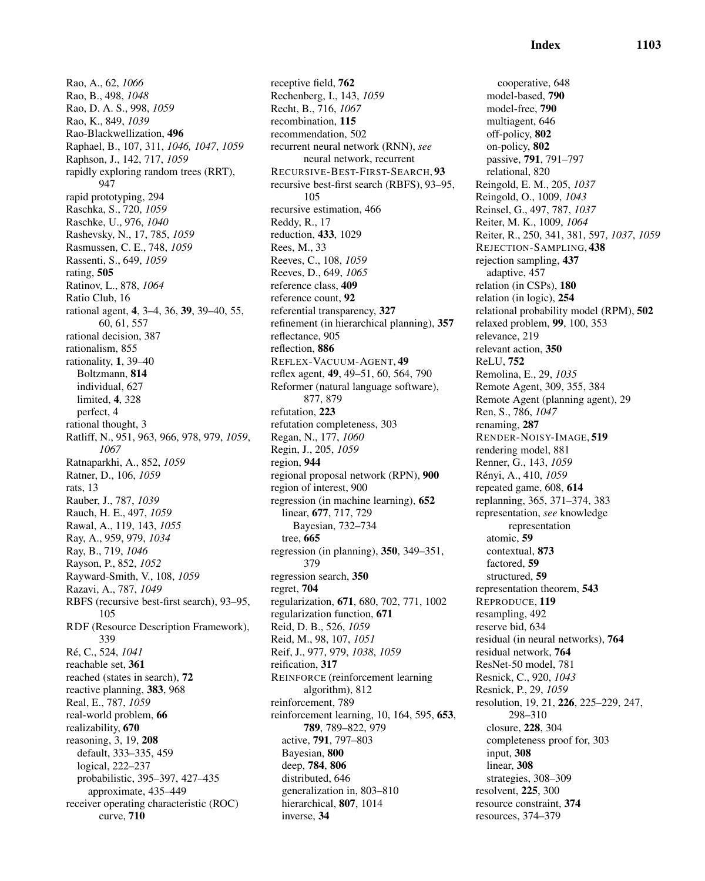Rao, A., 62, *1066* Rao, B., 498, *1048* Rao, D. A. S., 998, *1059* Rao, K., 849, *1039* Rao-Blackwellization, 496 Raphael, B., 107, 311, *1046, 1047*, *1059* Raphson, J., 142, 717, *1059* rapidly exploring random trees (RRT), 947 rapid prototyping, 294 Raschka, S., 720, *1059* Raschke, U., 976, *1040* Rashevsky, N., 17, 785, *1059* Rasmussen, C. E., 748, *1059* Rassenti, S., 649, *1059* rating, 505 Ratinov, L., 878, *1064* Ratio Club, 16 rational agent, 4, 3–4, 36, 39, 39–40, 55, 60, 61, 557 rational decision, 387 rationalism, 855 rationality, 1, 39–40 Boltzmann, 814 individual, 627 limited, 4, 328 perfect, 4 rational thought, 3 Ratliff, N., 951, 963, 966, 978, 979, *1059*, *1067* Ratnaparkhi, A., 852, *1059* Ratner, D., 106, *1059* rats, 13 Rauber, J., 787, *1039* Rauch, H. E., 497, *1059* Rawal, A., 119, 143, *1055* Ray, A., 959, 979, *1034* Ray, B., 719, *1046* Rayson, P., 852, *1052* Rayward-Smith, V., 108, *1059* Razavi, A., 787, *1049* RBFS (recursive best-first search), 93–95, 105 RDF (Resource Description Framework), 339 R´e, C., 524, *1041* reachable set, 361 reached (states in search), 72 reactive planning, 383, 968 Real, E., 787, *1059* real-world problem, 66 realizability, 670 reasoning, 3, 19, 208 default, 333–335, 459 logical, 222–237 probabilistic, 395–397, 427–435 approximate, 435–449 receiver operating characteristic (ROC) curve, 710

receptive field, 762 Rechenberg, I., 143, *1059* Recht, B., 716, *1067* recombination, 115 recommendation, 502 recurrent neural network (RNN), *see* neural network, recurrent RECURSIVE-BEST-FIRST-SEARCH, 93 recursive best-first search (RBFS), 93–95, 105 recursive estimation, 466 Reddy, R., 17 reduction, 433, 1029 Rees, M., 33 Reeves, C., 108, *1059* Reeves, D., 649, *1065* reference class, 409 reference count, 92 referential transparency, 327 refinement (in hierarchical planning), 357 reflectance, 905 reflection, 886 REFLEX-VACUUM-AGENT, 49 reflex agent, 49, 49–51, 60, 564, 790 Reformer (natural language software), 877, 879 refutation, 223 refutation completeness, 303 Regan, N., 177, *1060* Regin, J., 205, *1059* region, 944 regional proposal network (RPN), 900 region of interest, 900 regression (in machine learning), 652 linear, 677, 717, 729 Bayesian, 732–734 tree, 665 regression (in planning), 350, 349–351, 379 regression search, 350 regret, 704 regularization, 671, 680, 702, 771, 1002 regularization function, 671 Reid, D. B., 526, *1059* Reid, M., 98, 107, *1051* Reif, J., 977, 979, *1038*, *1059* reification, 317 REINFORCE (reinforcement learning algorithm), 812 reinforcement, 789 reinforcement learning, 10, 164, 595, 653, 789, 789–822, 979 active, 791, 797–803 Bayesian, 800 deep, 784, 806 distributed, 646 generalization in, 803–810 hierarchical, 807, 1014 inverse, 34

cooperative, 648 model-based, 790 model-free, 790 multiagent, 646 off-policy, 802 on-policy, 802 passive, 791, 791–797 relational, 820 Reingold, E. M., 205, *1037* Reingold, O., 1009, *1043* Reinsel, G., 497, 787, *1037* Reiter, M. K., 1009, *1064* Reiter, R., 250, 341, 381, 597, *1037*, *1059* REJECTION-SAMPLING, 438 rejection sampling, 437 adaptive, 457 relation (in CSPs), 180 relation (in logic), 254 relational probability model (RPM), 502 relaxed problem, 99, 100, 353 relevance, 219 relevant action, 350 ReLU, 752 Remolina, E., 29, *1035* Remote Agent, 309, 355, 384 Remote Agent (planning agent), 29 Ren, S., 786, *1047* renaming, 287 RENDER-NOISY-IMAGE, 519 rendering model, 881 Renner, G., 143, *1059* R´enyi, A., 410, *1059* repeated game, 608, 614 replanning, 365, 371–374, 383 representation, *see* knowledge representation atomic, 59 contextual, 873 factored, 59 structured, 59 representation theorem, 543 REPRODUCE, 119 resampling, 492 reserve bid, 634 residual (in neural networks), 764 residual network, 764 ResNet-50 model, 781 Resnick, C., 920, *1043* Resnick, P., 29, *1059* resolution, 19, 21, 226, 225–229, 247, 298–310 closure, 228, 304 completeness proof for, 303 input, 308 linear, 308 strategies, 308–309 resolvent, 225, 300 resource constraint, 374 resources, 374–379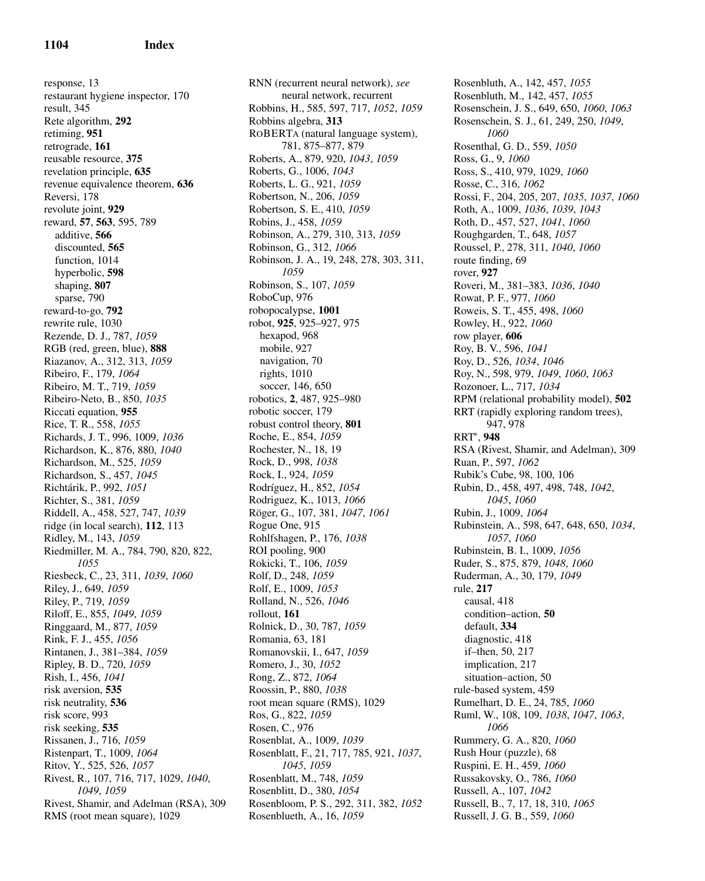response, 13 restaurant hygiene inspector, 170 result, 345 Rete algorithm, 292 retiming, 951 retrograde, 161 reusable resource, 375 revelation principle, 635 revenue equivalence theorem, 636 Reversi, 178 revolute joint, 929 reward, 57, 563, 595, 789 additive, 566 discounted, 565 function, 1014 hyperbolic, 598 shaping, 807 sparse, 790 reward-to-go, 792 rewrite rule, 1030 Rezende, D. J., 787, *1059* RGB (red, green, blue), 888 Riazanov, A., 312, 313, *1059* Ribeiro, F., 179, *1064* Ribeiro, M. T., 719, *1059* Ribeiro-Neto, B., 850, *1035* Riccati equation, 955 Rice, T. R., 558, *1055* Richards, J. T., 996, 1009, *1036* Richardson, K., 876, 880, *1040* Richardson, M., 525, *1059* Richardson, S., 457, *1045* Richt´arik, P., 992, *1051* Richter, S., 381, *1059* Riddell, A., 458, 527, 747, *1039* ridge (in local search), 112, 113 Ridley, M., 143, *1059* Riedmiller, M. A., 784, 790, 820, 822, *1055* Riesbeck, C., 23, 311, *1039*, *1060* Riley, J., 649, *1059* Riley, P., 719, *1059* Riloff, E., 855, *1049*, *1059* Ringgaard, M., 877, *1059* Rink, F. J., 455, *1056* Rintanen, J., 381–384, *1059* Ripley, B. D., 720, *1059* Rish, I., 456, *1041* risk aversion, 535 risk neutrality, 536 risk score, 993 risk seeking, 535 Rissanen, J., 716, *1059* Ristenpart, T., 1009, *1064* Ritov, Y., 525, 526, *1057* Rivest, R., 107, 716, 717, 1029, *1040*, *1049*, *1059* Rivest, Shamir, and Adelman (RSA), 309 RMS (root mean square), 1029

RNN (recurrent neural network), *see* neural network, recurrent Robbins, H., 585, 597, 717, *1052*, *1059* Robbins algebra, 313 ROBERTA (natural language system), 781, 875–877, 879 Roberts, A., 879, 920, *1043*, *1059* Roberts, G., 1006, *1043* Roberts, L. G., 921, *1059* Robertson, N., 206, *1059* Robertson, S. E., 410, *1059* Robins, J., 458, *1059* Robinson, A., 279, 310, 313, *1059* Robinson, G., 312, *1066* Robinson, J. A., 19, 248, 278, 303, 311, *1059* Robinson, S., 107, *1059* RoboCup, 976 robopocalypse, 1001 robot, 925, 925–927, 975 hexapod, 968 mobile, 927 navigation, 70 rights, 1010 soccer, 146, 650 robotics, 2, 487, 925–980 robotic soccer, 179 robust control theory, 801 Roche, E., 854, *1059* Rochester, N., 18, 19 Rock, D., 998, *1038* Rock, I., 924, *1059* Rodr´ıguez, H., 852, *1054* Rodriguez, K., 1013, *1066* R¨oger, G., 107, 381, *1047*, *1061* Rogue One, 915 Rohlfshagen, P., 176, *1038* ROI pooling, 900 Rokicki, T., 106, *1059* Rolf, D., 248, *1059* Rolf, E., 1009, *1053* Rolland, N., 526, *1046* rollout, 161 Rolnick, D., 30, 787, *1059* Romania, 63, 181 Romanovskii, I., 647, *1059* Romero, J., 30, *1052* Rong, Z., 872, *1064* Roossin, P., 880, *1038* root mean square (RMS), 1029 Ros, G., 822, *1059* Rosen, C., 976 Rosenblat, A., 1009, *1039* Rosenblatt, F., 21, 717, 785, 921, *1037*, *1045*, *1059* Rosenblatt, M., 748, *1059* Rosenblitt, D., 380, *1054* Rosenbloom, P. S., 292, 311, 382, *1052* Rosenblueth, A., 16, *1059*

Rosenbluth, A., 142, 457, *1055* Rosenbluth, M., 142, 457, *1055* Rosenschein, J. S., 649, 650, *1060*, *1063* Rosenschein, S. J., 61, 249, 250, *1049*, *1060* Rosenthal, G. D., 559, *1050* Ross, G., 9, *1060* Ross, S., 410, 979, 1029, *1060* Rosse, C., 316, *1062* Rossi, F., 204, 205, 207, *1035*, *1037*, *1060* Roth, A., 1009, *1036*, *1039*, *1043* Roth, D., 457, 527, *1041*, *1060* Roughgarden, T., 648, *1057* Roussel, P., 278, 311, *1040*, *1060* route finding, 69 rover, 927 Roveri, M., 381–383, *1036*, *1040* Rowat, P. F., 977, *1060* Roweis, S. T., 455, 498, *1060* Rowley, H., 922, *1060* row player, 606 Roy, B. V., 596, *1041* Roy, D., 526, *1034*, *1046* Roy, N., 598, 979, *1049*, *1060*, *1063* Rozonoer, L., 717, *1034* RPM (relational probability model), 502 RRT (rapidly exploring random trees), 947, 978 RRT<sup>∗</sup> , 948 RSA (Rivest, Shamir, and Adelman), 309 Ruan, P., 597, *1062* Rubik's Cube, 98, 100, 106 Rubin, D., 458, 497, 498, 748, *1042*, *1045*, *1060* Rubin, J., 1009, *1064* Rubinstein, A., 598, 647, 648, 650, *1034*, *1057*, *1060* Rubinstein, B. I., 1009, *1056* Ruder, S., 875, 879, *1048*, *1060* Ruderman, A., 30, 179, *1049* rule, 217 causal, 418 condition–action, 50 default, 334 diagnostic, 418 if–then, 50, 217 implication, 217 situation–action, 50 rule-based system, 459 Rumelhart, D. E., 24, 785, *1060* Ruml, W., 108, 109, *1038*, *1047*, *1063*, *1066* Rummery, G. A., 820, *1060* Rush Hour (puzzle), 68 Ruspini, E. H., 459, *1060* Russakovsky, O., 786, *1060* Russell, A., 107, *1042* Russell, B., 7, 17, 18, 310, *1065* Russell, J. G. B., 559, *1060*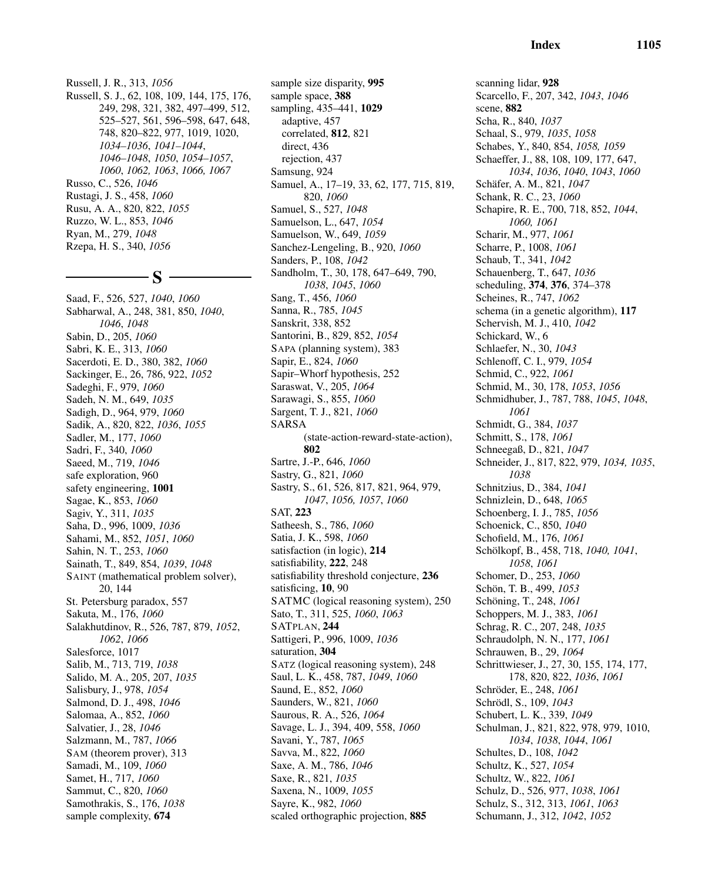Russell, J. R., 313, *1056* Russell, S. J., 62, 108, 109, 144, 175, 176, 249, 298, 321, 382, 497–499, 512, 525–527, 561, 596–598, 647, 648, 748, 820–822, 977, 1019, 1020, *1034–1036*, *1041–1044*, *1046–1048*, *1050*, *1054–1057*, *1060*, *1062, 1063*, *1066, 1067* Russo, C., 526, *1046* Rustagi, J. S., 458, *1060* Rusu, A. A., 820, 822, *1055* Ruzzo, W. L., 853, *1046* Ryan, M., 279, *1048* Rzepa, H. S., 340, *1056*

 $-\mathbf{S}$  -

Saad, F., 526, 527, *1040*, *1060* Sabharwal, A., 248, 381, 850, *1040*, *1046*, *1048* Sabin, D., 205, *1060* Sabri, K. E., 313, *1060* Sacerdoti, E. D., 380, 382, *1060* Sackinger, E., 26, 786, 922, *1052* Sadeghi, F., 979, *1060* Sadeh, N. M., 649, *1035* Sadigh, D., 964, 979, *1060* Sadik, A., 820, 822, *1036*, *1055* Sadler, M., 177, *1060* Sadri, F., 340, *1060* Saeed, M., 719, *1046* safe exploration, 960 safety engineering, 1001 Sagae, K., 853, *1060* Sagiv, Y., 311, *1035* Saha, D., 996, 1009, *1036* Sahami, M., 852, *1051*, *1060* Sahin, N. T., 253, *1060* Sainath, T., 849, 854, *1039*, *1048* SAINT (mathematical problem solver), 20, 144 St. Petersburg paradox, 557 Sakuta, M., 176, *1060* Salakhutdinov, R., 526, 787, 879, *1052*, *1062*, *1066* Salesforce, 1017 Salib, M., 713, 719, *1038* Salido, M. A., 205, 207, *1035* Salisbury, J., 978, *1054* Salmond, D. J., 498, *1046* Salomaa, A., 852, *1060* Salvatier, J., 28, *1046* Salzmann, M., 787, *1066* SAM (theorem prover), 313 Samadi, M., 109, *1060* Samet, H., 717, *1060* Sammut, C., 820, *1060* Samothrakis, S., 176, *1038* sample complexity, 674

sample size disparity, 995 sample space, 388 sampling, 435–441, 1029 adaptive, 457 correlated, 812, 821 direct, 436 rejection, 437 Samsung, 924 Samuel, A., 17–19, 33, 62, 177, 715, 819, 820, *1060* Samuel, S., 527, *1048* Samuelson, L., 647, *1054* Samuelson, W., 649, *1059* Sanchez-Lengeling, B., 920, *1060* Sanders, P., 108, *1042* Sandholm, T., 30, 178, 647–649, 790, *1038*, *1045*, *1060* Sang, T., 456, *1060* Sanna, R., 785, *1045* Sanskrit, 338, 852 Santorini, B., 829, 852, *1054* SAPA (planning system), 383 Sapir, E., 824, *1060* Sapir–Whorf hypothesis, 252 Saraswat, V., 205, *1064* Sarawagi, S., 855, *1060* Sargent, T. J., 821, *1060* SARSA (state-action-reward-state-action), 802 Sartre, J.-P., 646, *1060* Sastry, G., 821, *1060* Sastry, S., 61, 526, 817, 821, 964, 979, *1047*, *1056, 1057*, *1060* SAT, 223 Satheesh, S., 786, *1060* Satia, J. K., 598, *1060* satisfaction (in logic), 214 satisfiability, 222, 248 satisfiability threshold conjecture, 236 satisficing, 10, 90 SATMC (logical reasoning system), 250 Sato, T., 311, 525, *1060*, *1063* SATPLAN, 244 Sattigeri, P., 996, 1009, *1036* saturation, 304 SATZ (logical reasoning system), 248 Saul, L. K., 458, 787, *1049*, *1060* Saund, E., 852, *1060* Saunders, W., 821, *1060* Saurous, R. A., 526, *1064* Savage, L. J., 394, 409, 558, *1060* Savani, Y., 787, *1065* Savva, M., 822, *1060* Saxe, A. M., 786, *1046* Saxe, R., 821, *1035* Saxena, N., 1009, *1055* Sayre, K., 982, *1060* scaled orthographic projection, 885

scanning lidar, 928 Scarcello, F., 207, 342, *1043*, *1046* scene, 882 Scha, R., 840, *1037* Schaal, S., 979, *1035*, *1058* Schabes, Y., 840, 854, *1058, 1059* Schaeffer, J., 88, 108, 109, 177, 647, *1034*, *1036*, *1040*, *1043*, *1060* Schäfer, A. M., 821, 1047 Schank, R. C., 23, *1060* Schapire, R. E., 700, 718, 852, *1044*, *1060, 1061* Scharir, M., 977, *1061* Scharre, P., 1008, *1061* Schaub, T., 341, *1042* Schauenberg, T., 647, *1036* scheduling, 374, 376, 374–378 Scheines, R., 747, *1062* schema (in a genetic algorithm), 117 Schervish, M. J., 410, *1042* Schickard, W., 6 Schlaefer, N., 30, *1043* Schlenoff, C. I., 979, *1054* Schmid, C., 922, *1061* Schmid, M., 30, 178, *1053*, *1056* Schmidhuber, J., 787, 788, *1045*, *1048*, *1061* Schmidt, G., 384, *1037* Schmitt, S., 178, *1061* Schneegaß, D., 821, *1047* Schneider, J., 817, 822, 979, *1034, 1035*, *1038* Schnitzius, D., 384, *1041* Schnizlein, D., 648, *1065* Schoenberg, I. J., 785, *1056* Schoenick, C., 850, *1040* Schofield, M., 176, *1061* Schölkopf, B., 458, 718, 1040, 1041, *1058*, *1061* Schomer, D., 253, *1060* Schön, T. B., 499, 1053 Schöning, T., 248, 1061 Schoppers, M. J., 383, *1061* Schrag, R. C., 207, 248, *1035* Schraudolph, N. N., 177, *1061* Schrauwen, B., 29, *1064* Schrittwieser, J., 27, 30, 155, 174, 177, 178, 820, 822, *1036*, *1061* Schröder, E., 248, 1061 Schrödl, S., 109, 1043 Schubert, L. K., 339, *1049* Schulman, J., 821, 822, 978, 979, 1010, *1034*, *1038*, *1044*, *1061* Schultes, D., 108, *1042* Schultz, K., 527, *1054* Schultz, W., 822, *1061* Schulz, D., 526, 977, *1038*, *1061* Schulz, S., 312, 313, *1061*, *1063* Schumann, J., 312, *1042*, *1052*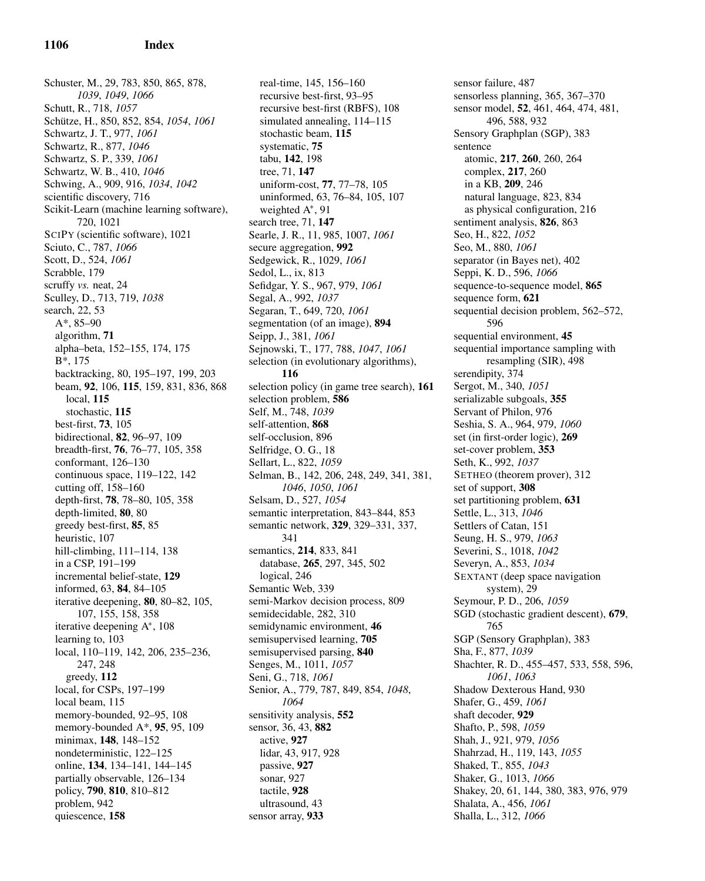Schuster, M., 29, 783, 850, 865, 878, *1039*, *1049*, *1066* Schutt, R., 718, *1057* Sch¨utze, H., 850, 852, 854, *1054*, *1061* Schwartz, J. T., 977, *1061* Schwartz, R., 877, *1046* Schwartz, S. P., 339, *1061* Schwartz, W. B., 410, *1046* Schwing, A., 909, 916, *1034*, *1042* scientific discovery, 716 Scikit-Learn (machine learning software), 720, 1021 SCIPY (scientific software), 1021 Sciuto, C., 787, *1066* Scott, D., 524, *1061* Scrabble, 179 scruffy *vs.* neat, 24 Sculley, D., 713, 719, *1038* search, 22, 53 A\*, 85–90 algorithm, 71 alpha–beta, 152–155, 174, 175 B\*, 175 backtracking, 80, 195–197, 199, 203 beam, 92, 106, 115, 159, 831, 836, 868 local, 115 stochastic, 115 best-first, 73, 105 bidirectional, 82, 96–97, 109 breadth-first, 76, 76–77, 105, 358 conformant, 126–130 continuous space, 119–122, 142 cutting off, 158–160 depth-first, 78, 78–80, 105, 358 depth-limited, 80, 80 greedy best-first, 85, 85 heuristic, 107 hill-climbing, 111–114, 138 in a CSP, 191–199 incremental belief-state, 129 informed, 63, 84, 84–105 iterative deepening, 80, 80–82, 105, 107, 155, 158, 358 iterative deepening A<sup>∗</sup> , 108 learning to, 103 local, 110–119, 142, 206, 235–236, 247, 248 greedy, 112 local, for CSPs, 197–199 local beam, 115 memory-bounded, 92–95, 108 memory-bounded A\*, 95, 95, 109 minimax, 148, 148–152 nondeterministic, 122–125 online, 134, 134–141, 144–145 partially observable, 126–134 policy, 790, 810, 810–812 problem, 942 quiescence, 158

real-time, 145, 156–160 recursive best-first, 93–95 recursive best-first (RBFS), 108 simulated annealing, 114–115 stochastic beam, 115 systematic, 75 tabu, 142, 198 tree, 71, 147 uniform-cost, 77, 77–78, 105 uninformed, 63, 76–84, 105, 107 weighted A<sup>\*</sup>, 91 search tree, 71, 147 Searle, J. R., 11, 985, 1007, *1061* secure aggregation, 992 Sedgewick, R., 1029, *1061* Sedol, L., ix, 813 Sefidgar, Y. S., 967, 979, *1061* Segal, A., 992, *1037* Segaran, T., 649, 720, *1061* segmentation (of an image), 894 Seipp, J., 381, *1061* Sejnowski, T., 177, 788, *1047*, *1061* selection (in evolutionary algorithms), 116 selection policy (in game tree search), 161 selection problem, 586 Self, M., 748, *1039* self-attention, 868 self-occlusion, 896 Selfridge, O. G., 18 Sellart, L., 822, *1059* Selman, B., 142, 206, 248, 249, 341, 381, *1046*, *1050*, *1061* Selsam, D., 527, *1054* semantic interpretation, 843–844, 853 semantic network, 329, 329–331, 337, 341 semantics, 214, 833, 841 database, 265, 297, 345, 502 logical, 246 Semantic Web, 339 semi-Markov decision process, 809 semidecidable, 282, 310 semidynamic environment, 46 semisupervised learning, 705 semisupervised parsing, 840 Senges, M., 1011, *1057* Seni, G., 718, *1061* Senior, A., 779, 787, 849, 854, *1048*, *1064* sensitivity analysis, 552 sensor, 36, 43, 882 active, 927 lidar, 43, 917, 928 passive, 927 sonar, 927 tactile, 928 ultrasound, 43 sensor array, 933

sensor failure, 487 sensorless planning, 365, 367–370 sensor model, 52, 461, 464, 474, 481, 496, 588, 932 Sensory Graphplan (SGP), 383 sentence atomic, 217, 260, 260, 264 complex, 217, 260 in a KB, 209, 246 natural language, 823, 834 as physical configuration, 216 sentiment analysis, 826, 863 Seo, H., 822, *1052* Seo, M., 880, *1061* separator (in Bayes net), 402 Seppi, K. D., 596, *1066* sequence-to-sequence model, 865 sequence form, 621 sequential decision problem, 562–572, 596 sequential environment, 45 sequential importance sampling with resampling (SIR), 498 serendipity, 374 Sergot, M., 340, *1051* serializable subgoals, 355 Servant of Philon, 976 Seshia, S. A., 964, 979, *1060* set (in first-order logic), 269 set-cover problem, 353 Seth, K., 992, *1037* SETHEO (theorem prover), 312 set of support, 308 set partitioning problem, 631 Settle, L., 313, *1046* Settlers of Catan, 151 Seung, H. S., 979, *1063* Severini, S., 1018, *1042* Severyn, A., 853, *1034* SEXTANT (deep space navigation system), 29 Seymour, P. D., 206, *1059* SGD (stochastic gradient descent), 679, 765 SGP (Sensory Graphplan), 383 Sha, F., 877, *1039* Shachter, R. D., 455–457, 533, 558, 596, *1061*, *1063* Shadow Dexterous Hand, 930 Shafer, G., 459, *1061* shaft decoder, 929 Shafto, P., 598, *1059* Shah, J., 921, 979, *1056* Shahrzad, H., 119, 143, *1055* Shaked, T., 855, *1043* Shaker, G., 1013, *1066* Shakey, 20, 61, 144, 380, 383, 976, 979 Shalata, A., 456, *1061* Shalla, L., 312, *1066*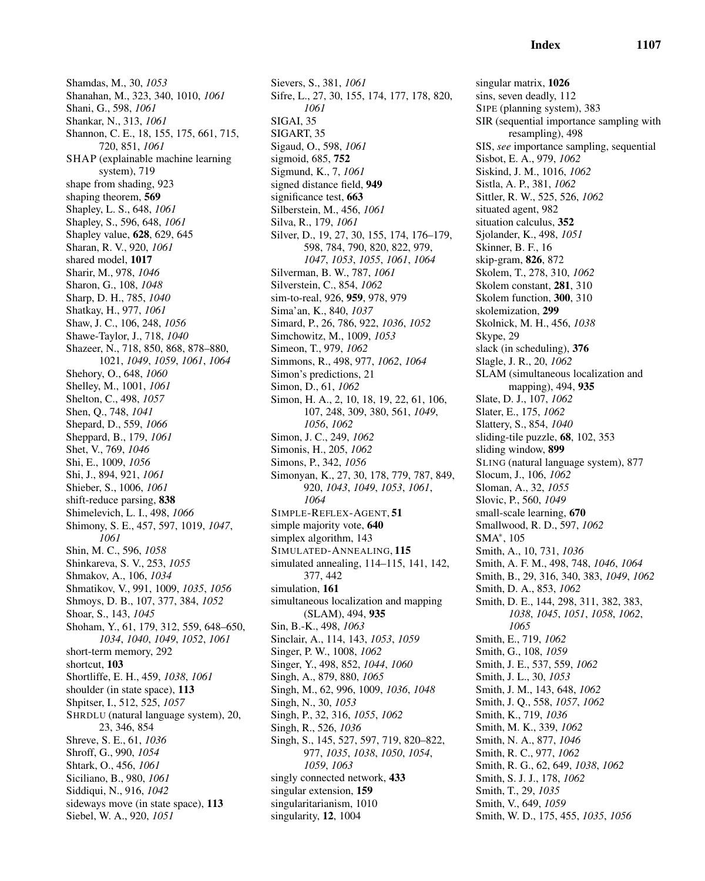Shamdas, M., 30, *1053* Shanahan, M., 323, 340, 1010, *1061* Shani, G., 598, *1061* Shankar, N., 313, *1061* Shannon, C. E., 18, 155, 175, 661, 715, 720, 851, *1061* SHAP (explainable machine learning system), 719 shape from shading, 923 shaping theorem, 569 Shapley, L. S., 648, *1061* Shapley, S., 596, 648, *1061* Shapley value, 628, 629, 645 Sharan, R. V., 920, *1061* shared model, 1017 Sharir, M., 978, *1046* Sharon, G., 108, *1048* Sharp, D. H., 785, *1040* Shatkay, H., 977, *1061* Shaw, J. C., 106, 248, *1056* Shawe-Taylor, J., 718, *1040* Shazeer, N., 718, 850, 868, 878–880, 1021, *1049*, *1059*, *1061*, *1064* Shehory, O., 648, *1060* Shelley, M., 1001, *1061* Shelton, C., 498, *1057* Shen, Q., 748, *1041* Shepard, D., 559, *1066* Sheppard, B., 179, *1061* Shet, V., 769, *1046* Shi, E., 1009, *1056* Shi, J., 894, 921, *1061* Shieber, S., 1006, *1061* shift-reduce parsing, 838 Shimelevich, L. I., 498, *1066* Shimony, S. E., 457, 597, 1019, *1047*, *1061* Shin, M. C., 596, *1058* Shinkareva, S. V., 253, *1055* Shmakov, A., 106, *1034* Shmatikov, V., 991, 1009, *1035*, *1056* Shmoys, D. B., 107, 377, 384, *1052* Shoar, S., 143, *1045* Shoham, Y., 61, 179, 312, 559, 648–650, *1034*, *1040*, *1049*, *1052*, *1061* short-term memory, 292 shortcut, 103 Shortliffe, E. H., 459, *1038*, *1061* shoulder (in state space), 113 Shpitser, I., 512, 525, *1057* SHRDLU (natural language system), 20, 23, 346, 854 Shreve, S. E., 61, *1036* Shroff, G., 990, *1054* Shtark, O., 456, *1061* Siciliano, B., 980, *1061* Siddiqui, N., 916, *1042* sideways move (in state space), 113 Siebel, W. A., 920, *1051*

Sievers, S., 381, *1061* Sifre, L., 27, 30, 155, 174, 177, 178, 820, *1061* SIGAI, 35 SIGART, 35 Sigaud, O., 598, *1061* sigmoid, 685, 752 Sigmund, K., 7, *1061* signed distance field, 949 significance test, 663 Silberstein, M., 456, *1061* Silva, R., 179, *1061* Silver, D., 19, 27, 30, 155, 174, 176–179, 598, 784, 790, 820, 822, 979, *1047*, *1053*, *1055*, *1061*, *1064* Silverman, B. W., 787, *1061* Silverstein, C., 854, *1062* sim-to-real, 926, 959, 978, 979 Sima'an, K., 840, *1037* Simard, P., 26, 786, 922, *1036*, *1052* Simchowitz, M., 1009, *1053* Simeon, T., 979, *1062* Simmons, R., 498, 977, *1062*, *1064* Simon's predictions, 21 Simon, D., 61, *1062* Simon, H. A., 2, 10, 18, 19, 22, 61, 106, 107, 248, 309, 380, 561, *1049*, *1056*, *1062* Simon, J. C., 249, *1062* Simonis, H., 205, *1062* Simons, P., 342, *1056* Simonyan, K., 27, 30, 178, 779, 787, 849, 920, *1043*, *1049*, *1053*, *1061*, *1064* SIMPLE-REFLEX-AGENT, 51 simple majority vote, 640 simplex algorithm, 143 SIMULATED-ANNEALING, 115 simulated annealing, 114–115, 141, 142, 377, 442 simulation, 161 simultaneous localization and mapping (SLAM), 494, 935 Sin, B.-K., 498, *1063* Sinclair, A., 114, 143, *1053*, *1059* Singer, P. W., 1008, *1062* Singer, Y., 498, 852, *1044*, *1060* Singh, A., 879, 880, *1065* Singh, M., 62, 996, 1009, *1036*, *1048* Singh, N., 30, *1053* Singh, P., 32, 316, *1055*, *1062* Singh, R., 526, *1036* Singh, S., 145, 527, 597, 719, 820–822, 977, *1035*, *1038*, *1050*, *1054*, *1059*, *1063* singly connected network, 433 singular extension, 159 singularitarianism, 1010 singularity, 12, 1004

singular matrix, 1026 sins, seven deadly, 112 SIPE (planning system), 383 SIR (sequential importance sampling with resampling), 498 SIS, *see* importance sampling, sequential Sisbot, E. A., 979, *1062* Siskind, J. M., 1016, *1062* Sistla, A. P., 381, *1062* Sittler, R. W., 525, 526, *1062* situated agent, 982 situation calculus, 352 Sjolander, K., 498, *1051* Skinner, B. F., 16 skip-gram, 826, 872 Skolem, T., 278, 310, *1062* Skolem constant, 281, 310 Skolem function, 300, 310 skolemization, 299 Skolnick, M. H., 456, *1038* Skype, 29 slack (in scheduling), 376 Slagle, J. R., 20, *1062* SLAM (simultaneous localization and mapping), 494, 935 Slate, D. J., 107, *1062* Slater, E., 175, *1062* Slattery, S., 854, *1040* sliding-tile puzzle, 68, 102, 353 sliding window, 899 SLING (natural language system), 877 Slocum, J., 106, *1062* Sloman, A., 32, *1055* Slovic, P., 560, *1049* small-scale learning, 670 Smallwood, R. D., 597, *1062* SMA<sup>∗</sup> , 105 Smith, A., 10, 731, *1036* Smith, A. F. M., 498, 748, *1046*, *1064* Smith, B., 29, 316, 340, 383, *1049*, *1062* Smith, D. A., 853, *1062* Smith, D. E., 144, 298, 311, 382, 383, *1038*, *1045*, *1051*, *1058*, *1062*, *1065* Smith, E., 719, *1062* Smith, G., 108, *1059* Smith, J. E., 537, 559, *1062* Smith, J. L., 30, *1053* Smith, J. M., 143, 648, *1062* Smith, J. Q., 558, *1057*, *1062* Smith, K., 719, *1036* Smith, M. K., 339, *1062* Smith, N. A., 877, *1046* Smith, R. C., 977, *1062* Smith, R. G., 62, 649, *1038*, *1062* Smith, S. J. J., 178, *1062* Smith, T., 29, *1035* Smith, V., 649, *1059* Smith, W. D., 175, 455, *1035*, *1056*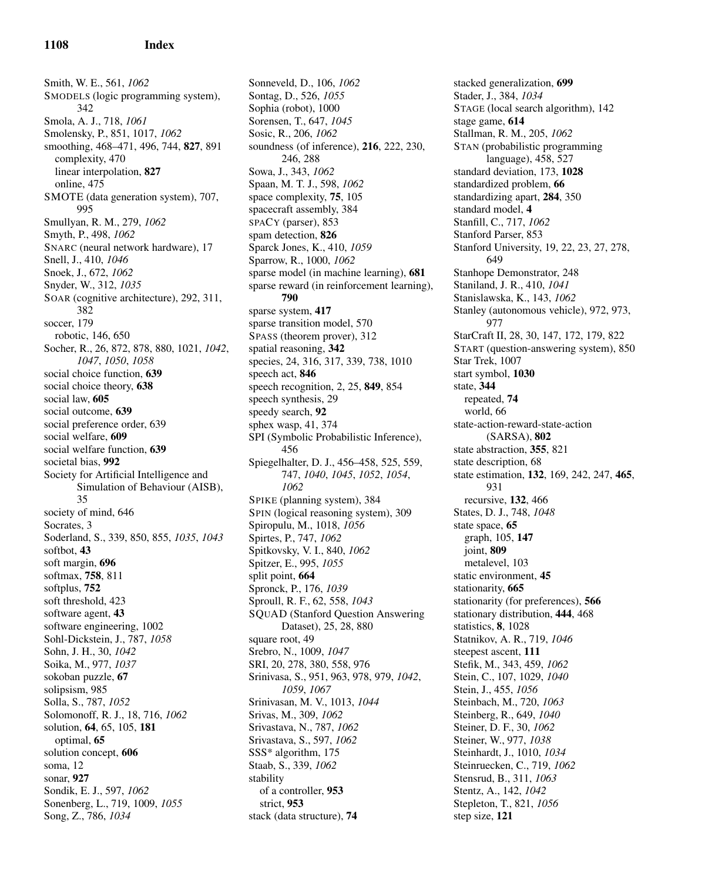Smith, W. E., 561, *1062* SMODELS (logic programming system), 342 Smola, A. J., 718, *1061* Smolensky, P., 851, 1017, *1062* smoothing, 468–471, 496, 744, 827, 891 complexity, 470 linear interpolation, 827 online, 475 SMOTE (data generation system), 707, 995 Smullyan, R. M., 279, *1062* Smyth, P., 498, *1062* SNARC (neural network hardware), 17 Snell, J., 410, *1046* Snoek, J., 672, *1062* Snyder, W., 312, *1035* SOAR (cognitive architecture), 292, 311, 382 soccer, 179 robotic, 146, 650 Socher, R., 26, 872, 878, 880, 1021, *1042*, *1047*, *1050*, *1058* social choice function, 639 social choice theory, 638 social law, 605 social outcome, 639 social preference order, 639 social welfare, 609 social welfare function, 639 societal bias, 992 Society for Artificial Intelligence and Simulation of Behaviour (AISB), 35 society of mind, 646 Socrates, 3 Soderland, S., 339, 850, 855, *1035*, *1043* softbot, 43 soft margin, 696 softmax, 758, 811 softplus, 752 soft threshold, 423 software agent, 43 software engineering, 1002 Sohl-Dickstein, J., 787, *1058* Sohn, J. H., 30, *1042* Soika, M., 977, *1037* sokoban puzzle, 67 solipsism, 985 Solla, S., 787, *1052* Solomonoff, R. J., 18, 716, *1062* solution, 64, 65, 105, 181 optimal, 65 solution concept, 606 soma, 12 sonar, 927 Sondik, E. J., 597, *1062* Sonenberg, L., 719, 1009, *1055* Song, Z., 786, *1034*

Sonneveld, D., 106, *1062* Sontag, D., 526, *1055* Sophia (robot), 1000 Sorensen, T., 647, *1045* Sosic, R., 206, *1062* soundness (of inference), 216, 222, 230, 246, 288 Sowa, J., 343, *1062* Spaan, M. T. J., 598, *1062* space complexity, 75, 105 spacecraft assembly, 384 SPACY (parser), 853 spam detection, 826 Sparck Jones, K., 410, *1059* Sparrow, R., 1000, *1062* sparse model (in machine learning), 681 sparse reward (in reinforcement learning), 790 sparse system, 417 sparse transition model, 570 SPASS (theorem prover), 312 spatial reasoning, 342 species, 24, 316, 317, 339, 738, 1010 speech act, 846 speech recognition, 2, 25, 849, 854 speech synthesis, 29 speedy search, 92 sphex wasp, 41, 374 SPI (Symbolic Probabilistic Inference), 456 Spiegelhalter, D. J., 456–458, 525, 559, 747, *1040*, *1045*, *1052*, *1054*, *1062* SPIKE (planning system), 384 SPIN (logical reasoning system), 309 Spiropulu, M., 1018, *1056* Spirtes, P., 747, *1062* Spitkovsky, V. I., 840, *1062* Spitzer, E., 995, *1055* split point, 664 Spronck, P., 176, *1039* Sproull, R. F., 62, 558, *1043* SQUAD (Stanford Question Answering Dataset), 25, 28, 880 square root, 49 Srebro, N., 1009, *1047* SRI, 20, 278, 380, 558, 976 Srinivasa, S., 951, 963, 978, 979, *1042*, *1059*, *1067* Srinivasan, M. V., 1013, *1044* Srivas, M., 309, *1062* Srivastava, N., 787, *1062* Srivastava, S., 597, *1062* SSS\* algorithm, 175 Staab, S., 339, *1062* stability of a controller, 953 strict, 953 stack (data structure), 74

stacked generalization, 699 Stader, J., 384, *1034* STAGE (local search algorithm), 142 stage game, 614 Stallman, R. M., 205, *1062* STAN (probabilistic programming language), 458, 527 standard deviation, 173, 1028 standardized problem, 66 standardizing apart, 284, 350 standard model, 4 Stanfill, C., 717, *1062* Stanford Parser, 853 Stanford University, 19, 22, 23, 27, 278, 649 Stanhope Demonstrator, 248 Staniland, J. R., 410, *1041* Stanislawska, K., 143, *1062* Stanley (autonomous vehicle), 972, 973, 977 StarCraft II, 28, 30, 147, 172, 179, 822 START (question-answering system), 850 Star Trek, 1007 start symbol, 1030 state, 344 repeated, 74 world, 66 state-action-reward-state-action (SARSA), 802 state abstraction, 355, 821 state description, 68 state estimation, 132, 169, 242, 247, 465, 931 recursive, 132, 466 States, D. J., 748, *1048* state space, 65 graph, 105, 147 joint, 809 metalevel, 103 static environment, 45 stationarity, 665 stationarity (for preferences), 566 stationary distribution, 444, 468 statistics, 8, 1028 Statnikov, A. R., 719, *1046* steepest ascent, 111 Stefik, M., 343, 459, *1062* Stein, C., 107, 1029, *1040* Stein, J., 455, *1056* Steinbach, M., 720, *1063* Steinberg, R., 649, *1040* Steiner, D. F., 30, *1062* Steiner, W., 977, *1038* Steinhardt, J., 1010, *1034* Steinruecken, C., 719, *1062* Stensrud, B., 311, *1063* Stentz, A., 142, *1042* Stepleton, T., 821, *1056* step size, 121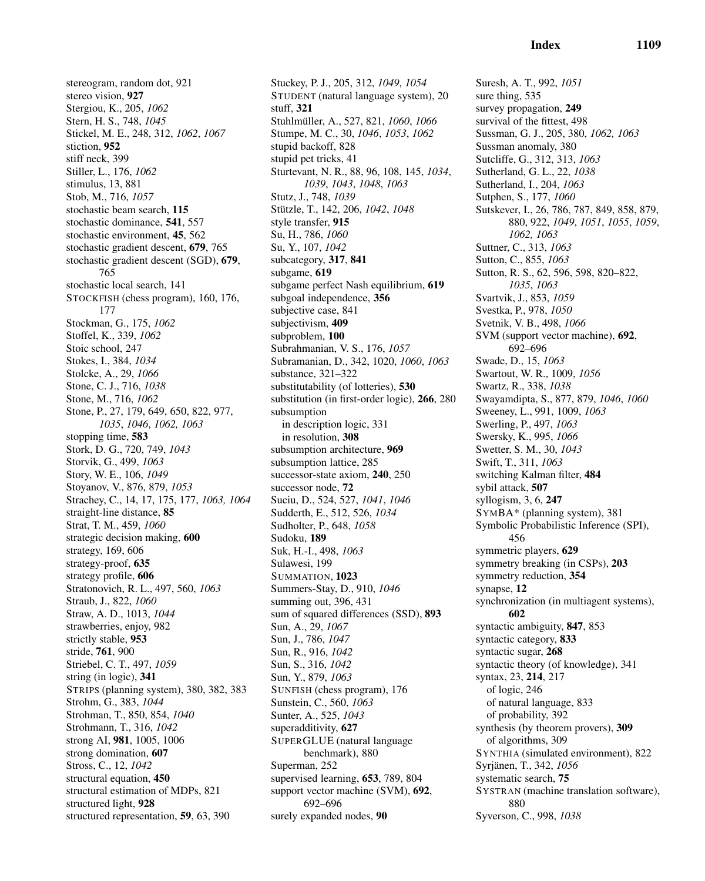stereogram, random dot, 921 stereo vision, 927 Stergiou, K., 205, *1062* Stern, H. S., 748, *1045* Stickel, M. E., 248, 312, *1062*, *1067* stiction, 952 stiff neck, 399 Stiller, L., 176, *1062* stimulus, 13, 881 Stob, M., 716, *1057* stochastic beam search, 115 stochastic dominance, 541, 557 stochastic environment, 45, 562 stochastic gradient descent, 679, 765 stochastic gradient descent (SGD), 679, 765 stochastic local search, 141 STOCKFISH (chess program), 160, 176, 177 Stockman, G., 175, *1062* Stoffel, K., 339, *1062* Stoic school, 247 Stokes, I., 384, *1034* Stolcke, A., 29, *1066* Stone, C. J., 716, *1038* Stone, M., 716, *1062* Stone, P., 27, 179, 649, 650, 822, 977, *1035*, *1046*, *1062, 1063* stopping time, 583 Stork, D. G., 720, 749, *1043* Storvik, G., 499, *1063* Story, W. E., 106, *1049* Stoyanov, V., 876, 879, *1053* Strachey, C., 14, 17, 175, 177, *1063, 1064* straight-line distance, 85 Strat, T. M., 459, *1060* strategic decision making, 600 strategy, 169, 606 strategy-proof, 635 strategy profile, 606 Stratonovich, R. L., 497, 560, *1063* Straub, J., 822, *1060* Straw, A. D., 1013, *1044* strawberries, enjoy, 982 strictly stable, 953 stride, 761, 900 Striebel, C. T., 497, *1059* string (in logic), 341 STRIPS (planning system), 380, 382, 383 Strohm, G., 383, *1044* Strohman, T., 850, 854, *1040* Strohmann, T., 316, *1042* strong AI, 981, 1005, 1006 strong domination, 607 Stross, C., 12, *1042* structural equation, 450 structural estimation of MDPs, 821 structured light, 928 structured representation, 59, 63, 390

Stuckey, P. J., 205, 312, *1049*, *1054* STUDENT (natural language system), 20 stuff, 321 Stuhlm¨uller, A., 527, 821, *1060*, *1066* Stumpe, M. C., 30, *1046*, *1053*, *1062* stupid backoff, 828 stupid pet tricks, 41 Sturtevant, N. R., 88, 96, 108, 145, *1034*, *1039*, *1043*, *1048*, *1063* Stutz, J., 748, *1039* Stützle, T., 142, 206, 1042, 1048 style transfer, 915 Su, H., 786, *1060* Su, Y., 107, *1042* subcategory, 317, 841 subgame, 619 subgame perfect Nash equilibrium, 619 subgoal independence, 356 subjective case, 841 subjectivism, 409 subproblem, 100 Subrahmanian, V. S., 176, *1057* Subramanian, D., 342, 1020, *1060*, *1063* substance, 321–322 substitutability (of lotteries), 530 substitution (in first-order logic), 266, 280 subsumption in description logic, 331 in resolution, 308 subsumption architecture, 969 subsumption lattice, 285 successor-state axiom, 240, 250 successor node, 72 Suciu, D., 524, 527, *1041*, *1046* Sudderth, E., 512, 526, *1034* Sudholter, P., 648, *1058* Sudoku, 189 Suk, H.-I., 498, *1063* Sulawesi, 199 SUMMATION, 1023 Summers-Stay, D., 910, *1046* summing out, 396, 431 sum of squared differences (SSD), 893 Sun, A., 29, *1067* Sun, J., 786, *1047* Sun, R., 916, *1042* Sun, S., 316, *1042* Sun, Y., 879, *1063* SUNFISH (chess program), 176 Sunstein, C., 560, *1063* Sunter, A., 525, *1043* superadditivity, 627 SUPERGLUE (natural language benchmark), 880 Superman, 252 supervised learning, 653, 789, 804 support vector machine (SVM), 692, 692–696 surely expanded nodes, 90

Suresh, A. T., 992, *1051* sure thing, 535 survey propagation, 249 survival of the fittest, 498 Sussman, G. J., 205, 380, *1062, 1063* Sussman anomaly, 380 Sutcliffe, G., 312, 313, *1063* Sutherland, G. L., 22, *1038* Sutherland, I., 204, *1063* Sutphen, S., 177, *1060* Sutskever, I., 26, 786, 787, 849, 858, 879, 880, 922, *1049*, *1051*, *1055*, *1059*, *1062, 1063* Suttner, C., 313, *1063* Sutton, C., 855, *1063* Sutton, R. S., 62, 596, 598, 820–822, *1035*, *1063* Svartvik, J., 853, *1059* Svestka, P., 978, *1050* Svetnik, V. B., 498, *1066* SVM (support vector machine), 692, 692–696 Swade, D., 15, *1063* Swartout, W. R., 1009, *1056* Swartz, R., 338, *1038* Swayamdipta, S., 877, 879, *1046*, *1060* Sweeney, L., 991, 1009, *1063* Swerling, P., 497, *1063* Swersky, K., 995, *1066* Swetter, S. M., 30, *1043* Swift, T., 311, *1063* switching Kalman filter, 484 sybil attack, 507 syllogism, 3, 6, 247 SYMBA\* (planning system), 381 Symbolic Probabilistic Inference (SPI), 456 symmetric players, 629 symmetry breaking (in CSPs), 203 symmetry reduction, 354 synapse, 12 synchronization (in multiagent systems), 602 syntactic ambiguity, 847, 853 syntactic category, 833 syntactic sugar, 268 syntactic theory (of knowledge), 341 syntax, 23, 214, 217 of logic, 246 of natural language, 833 of probability, 392 synthesis (by theorem provers), 309 of algorithms, 309 SYNTHIA (simulated environment), 822 Syrjänen, T., 342, 1056 systematic search, 75 SYSTRAN (machine translation software), 880 Syverson, C., 998, *1038*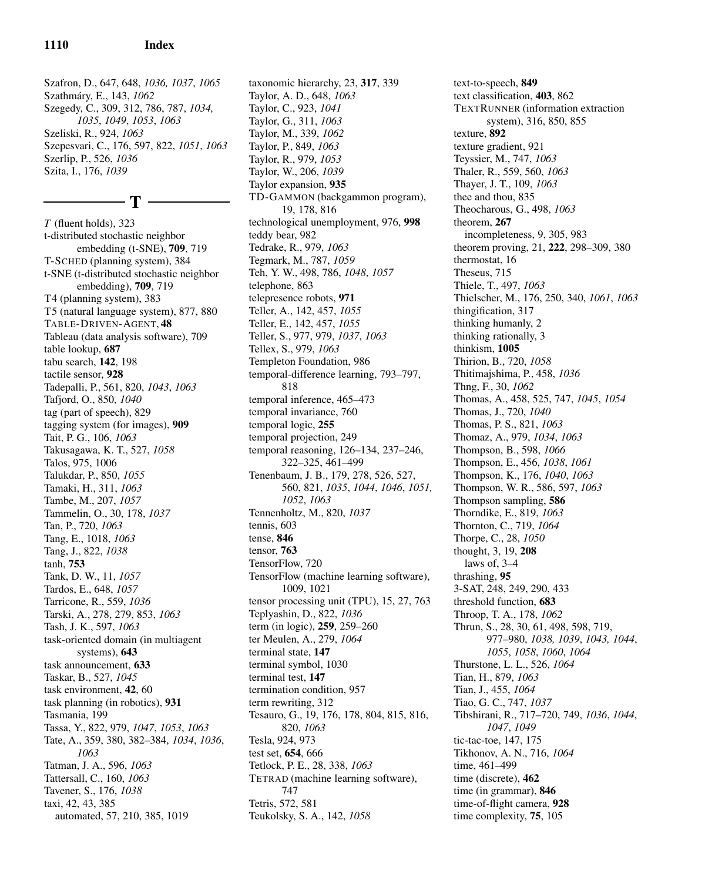Szafron, D., 647, 648, *1036, 1037*, *1065* Szathm´ary, E., 143, *1062* Szegedy, C., 309, 312, 786, 787, *1034, 1035*, *1049*, *1053*, *1063* Szeliski, R., 924, *1063* Szepesvari, C., 176, 597, 822, *1051*, *1063* Szerlip, P., 526, *1036* Szita, I., 176, *1039*

- T –

*T* (fluent holds), 323 t-distributed stochastic neighbor embedding (t-SNE), 709, 719 T-SCHED (planning system), 384 t-SNE (t-distributed stochastic neighbor embedding), 709, 719 T4 (planning system), 383 T5 (natural language system), 877, 880 TABLE-DRIVEN-AGENT, 48 Tableau (data analysis software), 709 table lookup, 687 tabu search, 142, 198 tactile sensor, 928 Tadepalli, P., 561, 820, *1043*, *1063* Tafjord, O., 850, *1040* tag (part of speech), 829 tagging system (for images), 909 Tait, P. G., 106, *1063* Takusagawa, K. T., 527, *1058* Talos, 975, 1006 Talukdar, P., 850, *1055* Tamaki, H., 311, *1063* Tambe, M., 207, *1057* Tammelin, O., 30, 178, *1037* Tan, P., 720, *1063* Tang, E., 1018, *1063* Tang, J., 822, *1038* tanh, 753 Tank, D. W., 11, *1057* Tardos, E., 648, *1057* Tarricone, R., 559, *1036* Tarski, A., 278, 279, 853, *1063* Tash, J. K., 597, *1063* task-oriented domain (in multiagent systems), 643 task announcement, 633 Taskar, B., 527, *1045* task environment, 42, 60 task planning (in robotics), 931 Tasmania, 199 Tassa, Y., 822, 979, *1047*, *1053*, *1063* Tate, A., 359, 380, 382–384, *1034*, *1036*, *1063* Tatman, J. A., 596, *1063* Tattersall, C., 160, *1063* Tavener, S., 176, *1038* taxi, 42, 43, 385

automated, 57, 210, 385, 1019

Taylor, A. D., 648, *1063* Taylor, C., 923, *1041* Taylor, G., 311, *1063* Taylor, M., 339, *1062* Taylor, P., 849, *1063* Taylor, R., 979, *1053* Taylor, W., 206, *1039* Taylor expansion, 935 TD-GAMMON (backgammon program), 19, 178, 816 technological unemployment, 976, 998 teddy bear, 982 Tedrake, R., 979, *1063* Tegmark, M., 787, *1059* Teh, Y. W., 498, 786, *1048*, *1057* telephone, 863 telepresence robots, 971 Teller, A., 142, 457, *1055* Teller, E., 142, 457, *1055* Teller, S., 977, 979, *1037*, *1063* Tellex, S., 979, *1063* Templeton Foundation, 986 temporal-difference learning, 793–797, 818 temporal inference, 465–473 temporal invariance, 760 temporal logic, 255 temporal projection, 249 temporal reasoning, 126–134, 237–246, 322–325, 461–499 Tenenbaum, J. B., 179, 278, 526, 527, 560, 821, *1035*, *1044*, *1046*, *1051, 1052*, *1063* Tennenholtz, M., 820, *1037* tennis, 603 tense, 846 tensor, 763 TensorFlow, 720 TensorFlow (machine learning software), 1009, 1021 tensor processing unit (TPU), 15, 27, 763 Teplyashin, D., 822, *1036* term (in logic), 259, 259–260 ter Meulen, A., 279, *1064* terminal state, 147 terminal symbol, 1030 terminal test, 147 termination condition, 957 term rewriting, 312 Tesauro, G., 19, 176, 178, 804, 815, 816, 820, *1063* Tesla, 924, 973 test set, 654, 666 Tetlock, P. E., 28, 338, *1063* TETRAD (machine learning software), 747

taxonomic hierarchy, 23, 317, 339

Tetris, 572, 581 Teukolsky, S. A., 142, *1058* text-to-speech, 849 text classification, 403, 862 TEXTRUNNER (information extraction system), 316, 850, 855 texture, 892 texture gradient, 921 Teyssier, M., 747, *1063* Thaler, R., 559, 560, *1063* Thayer, J. T., 109, *1063* thee and thou, 835 Theocharous, G., 498, *1063* theorem, 267 incompleteness, 9, 305, 983 theorem proving, 21, 222, 298–309, 380 thermostat, 16 Theseus, 715 Thiele, T., 497, *1063* Thielscher, M., 176, 250, 340, *1061*, *1063* thingification, 317 thinking humanly, 2 thinking rationally, 3 thinkism, 1005 Thirion, B., 720, *1058* Thitimajshima, P., 458, *1036* Thng, F., 30, *1062* Thomas, A., 458, 525, 747, *1045*, *1054* Thomas, J., 720, *1040* Thomas, P. S., 821, *1063* Thomaz, A., 979, *1034*, *1063* Thompson, B., 598, *1066* Thompson, E., 456, *1038*, *1061* Thompson, K., 176, *1040*, *1063* Thompson, W. R., 586, 597, *1063* Thompson sampling, 586 Thorndike, E., 819, *1063* Thornton, C., 719, *1064* Thorpe, C., 28, *1050* thought, 3, 19, 208 laws of, 3–4 thrashing, 95 3-SAT, 248, 249, 290, 433 threshold function, 683 Throop, T. A., 178, *1062* Thrun, S., 28, 30, 61, 498, 598, 719, 977–980, *1038, 1039*, *1043, 1044*, *1055*, *1058*, *1060*, *1064* Thurstone, L. L., 526, *1064* Tian, H., 879, *1063* Tian, J., 455, *1064* Tiao, G. C., 747, *1037* Tibshirani, R., 717–720, 749, *1036*, *1044*, *1047*, *1049* tic-tac-toe, 147, 175 Tikhonov, A. N., 716, *1064* time, 461–499 time (discrete), 462 time (in grammar), 846 time-of-flight camera, 928 time complexity, 75, 105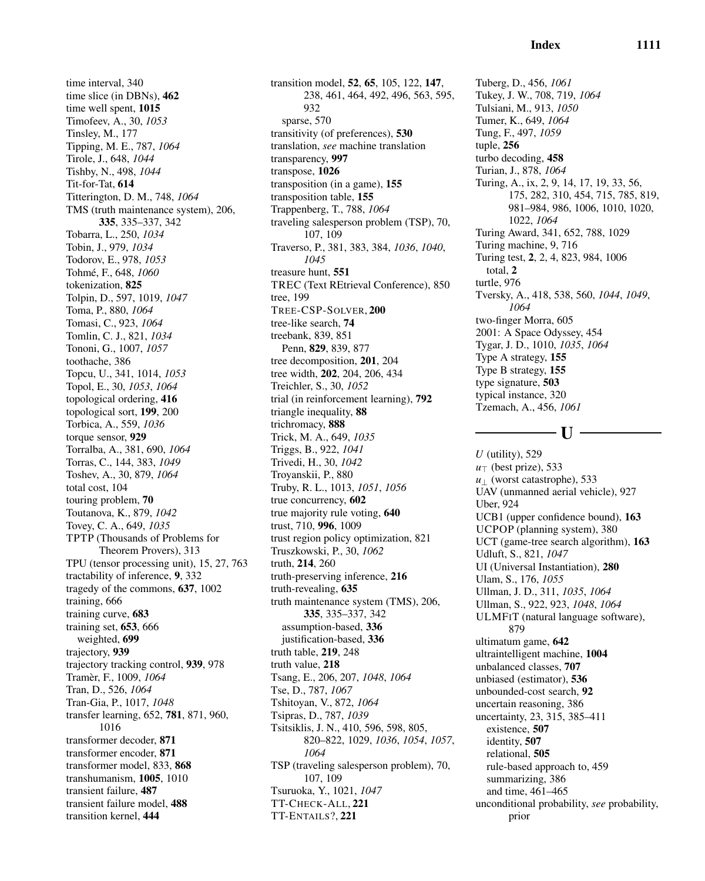time interval, 340 time slice (in DBNs), 462 time well spent, 1015 Timofeev, A., 30, *1053* Tinsley, M., 177 Tipping, M. E., 787, *1064* Tirole, J., 648, *1044* Tishby, N., 498, *1044* Tit-for-Tat, 614 Titterington, D. M., 748, *1064* TMS (truth maintenance system), 206, 335, 335–337, 342 Tobarra, L., 250, *1034* Tobin, J., 979, *1034* Todorov, E., 978, *1053* Tohm´e, F., 648, *1060* tokenization, 825 Tolpin, D., 597, 1019, *1047* Toma, P., 880, *1064* Tomasi, C., 923, *1064* Tomlin, C. J., 821, *1034* Tononi, G., 1007, *1057* toothache, 386 Topcu, U., 341, 1014, *1053* Topol, E., 30, *1053*, *1064* topological ordering, 416 topological sort, 199, 200 Torbica, A., 559, *1036* torque sensor, 929 Torralba, A., 381, 690, *1064* Torras, C., 144, 383, *1049* Toshev, A., 30, 879, *1064* total cost, 104 touring problem, 70 Toutanova, K., 879, *1042* Tovey, C. A., 649, *1035* TPTP (Thousands of Problems for Theorem Provers), 313 TPU (tensor processing unit), 15, 27, 763 tractability of inference, 9, 332 tragedy of the commons, 637, 1002 training, 666 training curve, 683 training set, 653, 666 weighted, 699 trajectory, 939 trajectory tracking control, 939, 978 Tram`er, F., 1009, *1064* Tran, D., 526, *1064* Tran-Gia, P., 1017, *1048* transfer learning, 652, 781, 871, 960, 1016 transformer decoder, 871 transformer encoder, 871 transformer model, 833, 868 transhumanism, 1005, 1010 transient failure, 487 transient failure model, 488 transition kernel, 444

transition model, 52, 65, 105, 122, 147, 238, 461, 464, 492, 496, 563, 595, 932 sparse, 570 transitivity (of preferences), 530 translation, *see* machine translation transparency, 997 transpose, 1026 transposition (in a game), 155 transposition table, 155 Trappenberg, T., 788, *1064* traveling salesperson problem (TSP), 70, 107, 109 Traverso, P., 381, 383, 384, *1036*, *1040*, *1045* treasure hunt, 551 TREC (Text REtrieval Conference), 850 tree, 199 TREE-CSP-SOLVER, 200 tree-like search, 74 treebank, 839, 851 Penn, 829, 839, 877 tree decomposition, 201, 204 tree width, 202, 204, 206, 434 Treichler, S., 30, *1052* trial (in reinforcement learning), 792 triangle inequality, 88 trichromacy, 888 Trick, M. A., 649, *1035* Triggs, B., 922, *1041* Trivedi, H., 30, *1042* Troyanskii, P., 880 Truby, R. L., 1013, *1051*, *1056* true concurrency, 602 true majority rule voting, 640 trust, 710, 996, 1009 trust region policy optimization, 821 Truszkowski, P., 30, *1062* truth, 214, 260 truth-preserving inference, 216 truth-revealing, 635 truth maintenance system (TMS), 206, 335, 335–337, 342 assumption-based, 336 justification-based, 336 truth table, 219, 248 truth value, 218 Tsang, E., 206, 207, *1048*, *1064* Tse, D., 787, *1067* Tshitoyan, V., 872, *1064* Tsipras, D., 787, *1039* Tsitsiklis, J. N., 410, 596, 598, 805, 820–822, 1029, *1036*, *1054*, *1057*, *1064* TSP (traveling salesperson problem), 70, 107, 109 Tsuruoka, Y., 1021, *1047* TT-CHECK-ALL, 221 TT-ENTAILS?, 221

Tuberg, D., 456, *1061* Tukey, J. W., 708, 719, *1064* Tulsiani, M., 913, *1050* Tumer, K., 649, *1064* Tung, F., 497, *1059* tuple, 256 turbo decoding, 458 Turian, J., 878, *1064* Turing, A., ix, 2, 9, 14, 17, 19, 33, 56, 175, 282, 310, 454, 715, 785, 819, 981–984, 986, 1006, 1010, 1020, 1022, *1064* Turing Award, 341, 652, 788, 1029 Turing machine, 9, 716 Turing test, 2, 2, 4, 823, 984, 1006 total, 2 turtle, 976 Tversky, A., 418, 538, 560, *1044*, *1049*, *1064* two-finger Morra, 605 2001: A Space Odyssey, 454 Tygar, J. D., 1010, *1035*, *1064* Type A strategy, 155 Type B strategy, 155 type signature, 503 typical instance, 320 Tzemach, A., 456, *1061*

# $-I$ I  $-$

*U* (utility), 529 *u*<sup>⊤</sup> (best prize), 533 *u*<sup>⊥</sup> (worst catastrophe), 533 UAV (unmanned aerial vehicle), 927 Uber, 924 UCB1 (upper confidence bound), 163 UCPOP (planning system), 380 UCT (game-tree search algorithm), 163 Udluft, S., 821, *1047* UI (Universal Instantiation), 280 Ulam, S., 176, *1055* Ullman, J. D., 311, *1035*, *1064* Ullman, S., 922, 923, *1048*, *1064* ULMFIT (natural language software), 879 ultimatum game, 642 ultraintelligent machine, 1004 unbalanced classes, 707 unbiased (estimator), 536 unbounded-cost search, 92 uncertain reasoning, 386 uncertainty, 23, 315, 385–411 existence, 507 identity, 507 relational, 505 rule-based approach to, 459 summarizing, 386 and time, 461–465 unconditional probability, *see* probability, prior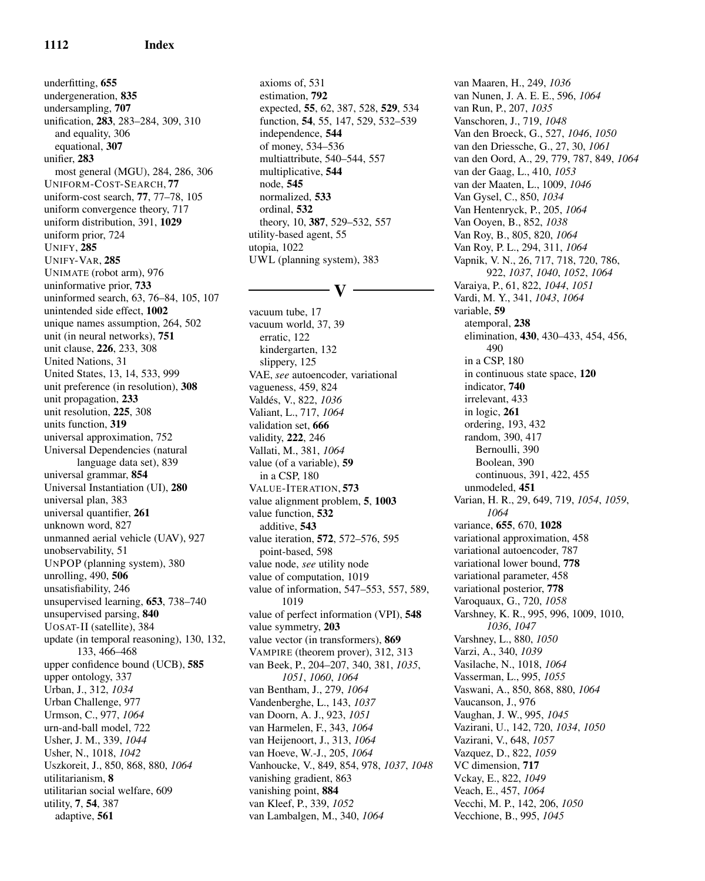underfitting, 655 undergeneration, 835 undersampling, 707 unification, 283, 283–284, 309, 310 and equality, 306 equational, 307 unifier, 283 most general (MGU), 284, 286, 306 UNIFORM-COST-SEARCH, 77 uniform-cost search, 77, 77–78, 105 uniform convergence theory, 717 uniform distribution, 391, 1029 uniform prior, 724 UNIFY, 285 UNIFY-VAR, 285 UNIMATE (robot arm), 976 uninformative prior, 733 uninformed search, 63, 76–84, 105, 107 unintended side effect, 1002 unique names assumption, 264, 502 unit (in neural networks), 751 unit clause, 226, 233, 308 United Nations, 31 United States, 13, 14, 533, 999 unit preference (in resolution), 308 unit propagation, 233 unit resolution, 225, 308 units function, 319 universal approximation, 752 Universal Dependencies (natural language data set), 839 universal grammar, 854 Universal Instantiation (UI), 280 universal plan, 383 universal quantifier, 261 unknown word, 827 unmanned aerial vehicle (UAV), 927 unobservability, 51 UNPOP (planning system), 380 unrolling, 490, 506 unsatisfiability, 246 unsupervised learning, 653, 738–740 unsupervised parsing, 840 UOSAT-II (satellite), 384 update (in temporal reasoning), 130, 132, 133, 466–468 upper confidence bound (UCB), 585 upper ontology, 337 Urban, J., 312, *1034* Urban Challenge, 977 Urmson, C., 977, *1064* urn-and-ball model, 722 Usher, J. M., 339, *1044* Usher, N., 1018, *1042* Uszkoreit, J., 850, 868, 880, *1064* utilitarianism, 8 utilitarian social welfare, 609 utility, 7, 54, 387 adaptive, 561

axioms of, 531 estimation, 792 expected, 55, 62, 387, 528, 529, 534 function, 54, 55, 147, 529, 532–539 independence, 544 of money, 534–536 multiattribute, 540–544, 557 multiplicative, 544 node, 545 normalized, 533 ordinal, 532 theory, 10, 387, 529–532, 557 utility-based agent, 55 utopia, 1022 UWL (planning system), 383

# $-$  V  $-$

vacuum tube, 17 vacuum world, 37, 39 erratic, 122 kindergarten, 132 slippery, 125 VAE, *see* autoencoder, variational vagueness, 459, 824 Vald´es, V., 822, *1036* Valiant, L., 717, *1064* validation set, 666 validity, 222, 246 Vallati, M., 381, *1064* value (of a variable), 59 in a CSP, 180 VALUE-ITERATION, 573 value alignment problem, 5, 1003 value function, 532 additive, 543 value iteration, 572, 572–576, 595 point-based, 598 value node, *see* utility node value of computation, 1019 value of information, 547–553, 557, 589, 1019 value of perfect information (VPI), 548 value symmetry, 203 value vector (in transformers), 869 VAMPIRE (theorem prover), 312, 313 van Beek, P., 204–207, 340, 381, *1035*, *1051*, *1060*, *1064* van Bentham, J., 279, *1064* Vandenberghe, L., 143, *1037* van Doorn, A. J., 923, *1051* van Harmelen, F., 343, *1064* van Heijenoort, J., 313, *1064* van Hoeve, W.-J., 205, *1064* Vanhoucke, V., 849, 854, 978, *1037*, *1048* vanishing gradient, 863 vanishing point, 884 van Kleef, P., 339, *1052* van Lambalgen, M., 340, *1064*

van Maaren, H., 249, *1036* van Nunen, J. A. E. E., 596, *1064* van Run, P., 207, *1035* Vanschoren, J., 719, *1048* Van den Broeck, G., 527, *1046*, *1050* van den Driessche, G., 27, 30, *1061* van den Oord, A., 29, 779, 787, 849, *1064* van der Gaag, L., 410, *1053* van der Maaten, L., 1009, *1046* Van Gysel, C., 850, *1034* Van Hentenryck, P., 205, *1064* Van Ooyen, B., 852, *1038* Van Roy, B., 805, 820, *1064* Van Roy, P. L., 294, 311, *1064* Vapnik, V. N., 26, 717, 718, 720, 786, 922, *1037*, *1040*, *1052*, *1064* Varaiya, P., 61, 822, *1044*, *1051* Vardi, M. Y., 341, *1043*, *1064* variable, 59 atemporal, 238 elimination, 430, 430–433, 454, 456, 490 in a CSP, 180 in continuous state space, 120 indicator, 740 irrelevant, 433 in logic, 261 ordering, 193, 432 random, 390, 417 Bernoulli, 390 Boolean, 390 continuous, 391, 422, 455 unmodeled, 451 Varian, H. R., 29, 649, 719, *1054*, *1059*, *1064* variance, 655, 670, 1028 variational approximation, 458 variational autoencoder, 787 variational lower bound, 778 variational parameter, 458 variational posterior, 778 Varoquaux, G., 720, *1058* Varshney, K. R., 995, 996, 1009, 1010, *1036*, *1047* Varshney, L., 880, *1050* Varzi, A., 340, *1039* Vasilache, N., 1018, *1064* Vasserman, L., 995, *1055* Vaswani, A., 850, 868, 880, *1064* Vaucanson, J., 976 Vaughan, J. W., 995, *1045* Vazirani, U., 142, 720, *1034*, *1050* Vazirani, V., 648, *1057* Vazquez, D., 822, *1059* VC dimension, 717 Vckay, E., 822, *1049* Veach, E., 457, *1064* Vecchi, M. P., 142, 206, *1050* Vecchione, B., 995, *1045*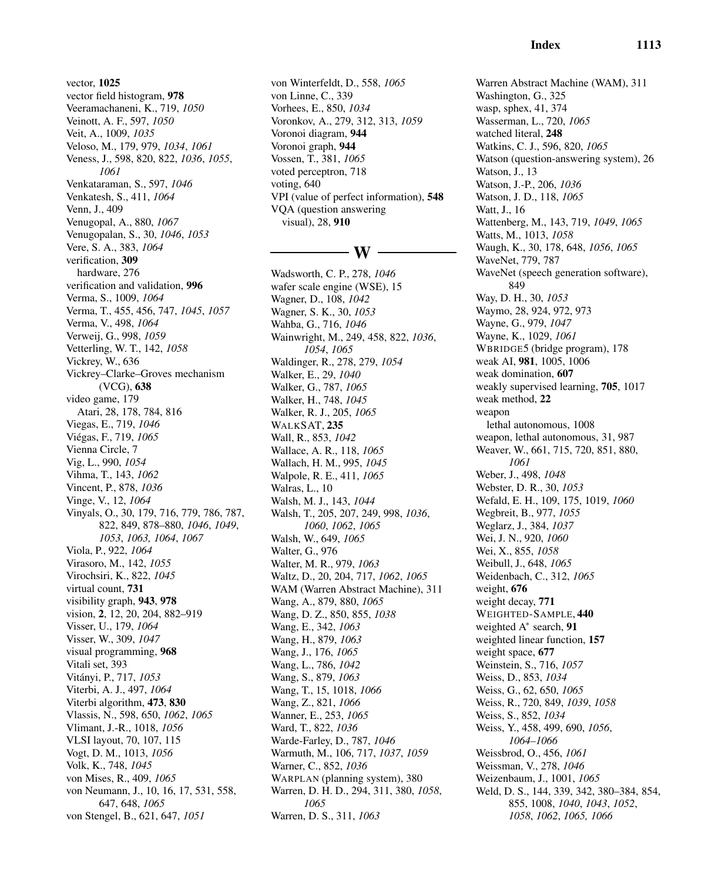vector, 1025 vector field histogram, 978 Veeramachaneni, K., 719, *1050* Veinott, A. F., 597, *1050* Veit, A., 1009, *1035* Veloso, M., 179, 979, *1034*, *1061* Veness, J., 598, 820, 822, *1036*, *1055*, *1061* Venkataraman, S., 597, *1046* Venkatesh, S., 411, *1064* Venn, J., 409 Venugopal, A., 880, *1067* Venugopalan, S., 30, *1046*, *1053* Vere, S. A., 383, *1064* verification, 309 hardware, 276 verification and validation, 996 Verma, S., 1009, *1064* Verma, T., 455, 456, 747, *1045*, *1057* Verma, V., 498, *1064* Verweij, G., 998, *1059* Vetterling, W. T., 142, *1058* Vickrey, W., 636 Vickrey–Clarke–Groves mechanism (VCG), 638 video game, 179 Atari, 28, 178, 784, 816 Viegas, E., 719, *1046* Vi´egas, F., 719, *1065* Vienna Circle, 7 Vig, L., 990, *1054* Vihma, T., 143, *1062* Vincent, P., 878, *1036* Vinge, V., 12, *1064* Vinyals, O., 30, 179, 716, 779, 786, 787, 822, 849, 878–880, *1046*, *1049*, *1053*, *1063, 1064*, *1067* Viola, P., 922, *1064* Virasoro, M., 142, *1055* Virochsiri, K., 822, *1045* virtual count, 731 visibility graph, 943, 978 vision, 2, 12, 20, 204, 882–919 Visser, U., 179, *1064* Visser, W., 309, *1047* visual programming, 968 Vitali set, 393 Vit´anyi, P., 717, *1053* Viterbi, A. J., 497, *1064* Viterbi algorithm, 473, 830 Vlassis, N., 598, 650, *1062*, *1065* Vlimant, J.-R., 1018, *1056* VLSI layout, 70, 107, 115 Vogt, D. M., 1013, *1056* Volk, K., 748, *1045* von Mises, R., 409, *1065* von Neumann, J., 10, 16, 17, 531, 558, 647, 648, *1065* von Stengel, B., 621, 647, *1051*

von Winterfeldt, D., 558, *1065* von Linne, C., 339 Vorhees, E., 850, *1034* Voronkov, A., 279, 312, 313, *1059* Voronoi diagram, 944 Voronoi graph, 944 Vossen, T., 381, *1065* voted perceptron, 718 voting, 640 VPI (value of perfect information), 548 VQA (question answering visual), 28, 910

# - W -

Wadsworth, C. P., 278, *1046* wafer scale engine (WSE), 15 Wagner, D., 108, *1042* Wagner, S. K., 30, *1053* Wahba, G., 716, *1046* Wainwright, M., 249, 458, 822, *1036*, *1054*, *1065* Waldinger, R., 278, 279, *1054* Walker, E., 29, *1040* Walker, G., 787, *1065* Walker, H., 748, *1045* Walker, R. J., 205, *1065* WALKSAT, 235 Wall, R., 853, *1042* Wallace, A. R., 118, *1065* Wallach, H. M., 995, *1045* Walpole, R. E., 411, *1065* Walras, L., 10 Walsh, M. J., 143, *1044* Walsh, T., 205, 207, 249, 998, *1036*, *1060*, *1062*, *1065* Walsh, W., 649, *1065* Walter, G., 976 Walter, M. R., 979, *1063* Waltz, D., 20, 204, 717, *1062*, *1065* WAM (Warren Abstract Machine), 311 Wang, A., 879, 880, *1065* Wang, D. Z., 850, 855, *1038* Wang, E., 342, *1063* Wang, H., 879, *1063* Wang, J., 176, *1065* Wang, L., 786, *1042* Wang, S., 879, *1063* Wang, T., 15, 1018, *1066* Wang, Z., 821, *1066* Wanner, E., 253, *1065* Ward, T., 822, *1036* Warde-Farley, D., 787, *1046* Warmuth, M., 106, 717, *1037*, *1059* Warner, C., 852, *1036* WARPLAN (planning system), 380 Warren, D. H. D., 294, 311, 380, *1058*, *1065* Warren, D. S., 311, *1063*

Warren Abstract Machine (WAM), 311 Washington, G., 325 wasp, sphex, 41, 374 Wasserman, L., 720, *1065* watched literal, 248 Watkins, C. J., 596, 820, *1065* Watson (question-answering system), 26 Watson, J., 13 Watson, J.-P., 206, *1036* Watson, J. D., 118, *1065* Watt, J., 16 Wattenberg, M., 143, 719, *1049*, *1065* Watts, M., 1013, *1058* Waugh, K., 30, 178, 648, *1056*, *1065* WaveNet, 779, 787 WaveNet (speech generation software), 849 Way, D. H., 30, *1053* Waymo, 28, 924, 972, 973 Wayne, G., 979, *1047* Wayne, K., 1029, *1061* WBRIDGE5 (bridge program), 178 weak AI, 981, 1005, 1006 weak domination, 607 weakly supervised learning, 705, 1017 weak method, 22 weapon lethal autonomous, 1008 weapon, lethal autonomous, 31, 987 Weaver, W., 661, 715, 720, 851, 880, *1061* Weber, J., 498, *1048* Webster, D. R., 30, *1053* Wefald, E. H., 109, 175, 1019, *1060* Wegbreit, B., 977, *1055* Weglarz, J., 384, *1037* Wei, J. N., 920, *1060* Wei, X., 855, *1058* Weibull, J., 648, *1065* Weidenbach, C., 312, *1065* weight, 676 weight decay, 771 WEIGHTED-SAMPLE, 440 weighted A<sup>\*</sup> search, 91 weighted linear function, 157 weight space, 677 Weinstein, S., 716, *1057* Weiss, D., 853, *1034* Weiss, G., 62, 650, *1065* Weiss, R., 720, 849, *1039*, *1058* Weiss, S., 852, *1034* Weiss, Y., 458, 499, 690, *1056*, *1064–1066* Weissbrod, O., 456, *1061* Weissman, V., 278, *1046* Weizenbaum, J., 1001, *1065* Weld, D. S., 144, 339, 342, 380–384, 854, 855, 1008, *1040*, *1043*, *1052*, *1058*, *1062*, *1065, 1066*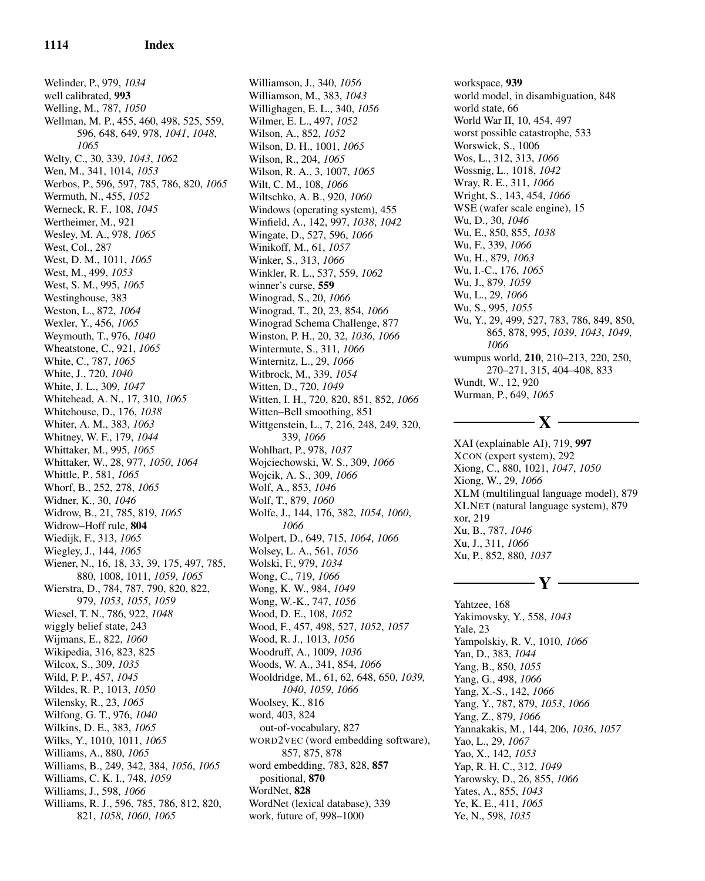Welinder, P., 979, *1034* well calibrated, 993 Welling, M., 787, *1050* Wellman, M. P., 455, 460, 498, 525, 559, 596, 648, 649, 978, *1041*, *1048*, *1065* Welty, C., 30, 339, *1043*, *1062* Wen, M., 341, 1014, *1053* Werbos, P., 596, 597, 785, 786, 820, *1065* Wermuth, N., 455, *1052* Werneck, R. F., 108, *1045* Wertheimer, M., 921 Wesley, M. A., 978, *1065* West, Col., 287 West, D. M., 1011, *1065* West, M., 499, *1053* West, S. M., 995, *1065* Westinghouse, 383 Weston, L., 872, *1064* Wexler, Y., 456, *1065* Weymouth, T., 976, *1040* Wheatstone, C., 921, *1065* White, C., 787, *1065* White, J., 720, *1040* White, J. L., 309, *1047* Whitehead, A. N., 17, 310, *1065* Whitehouse, D., 176, *1038* Whiter, A. M., 383, *1063* Whitney, W. F., 179, *1044* Whittaker, M., 995, *1065* Whittaker, W., 28, 977, *1050*, *1064* Whittle, P., 581, *1065* Whorf, B., 252, 278, *1065* Widner, K., 30, *1046* Widrow, B., 21, 785, 819, *1065* Widrow–Hoff rule, 804 Wiedijk, F., 313, *1065* Wiegley, J., 144, *1065* Wiener, N., 16, 18, 33, 39, 175, 497, 785, 880, 1008, 1011, *1059*, *1065* Wierstra, D., 784, 787, 790, 820, 822, 979, *1053*, *1055*, *1059* Wiesel, T. N., 786, 922, *1048* wiggly belief state, 243 Wijmans, E., 822, *1060* Wikipedia, 316, 823, 825 Wilcox, S., 309, *1035* Wild, P. P., 457, *1045* Wildes, R. P., 1013, *1050* Wilensky, R., 23, *1065* Wilfong, G. T., 976, *1040* Wilkins, D. E., 383, *1065* Wilks, Y., 1010, 1011, *1065* Williams, A., 880, *1065* Williams, B., 249, 342, 384, *1056*, *1065* Williams, C. K. I., 748, *1059* Williams, J., 598, *1066* Williams, R. J., 596, 785, 786, 812, 820, 821, *1058*, *1060*, *1065*

Williamson, J., 340, *1056* Williamson, M., 383, *1043* Willighagen, E. L., 340, *1056* Wilmer, E. L., 497, *1052* Wilson, A., 852, *1052* Wilson, D. H., 1001, *1065* Wilson, R., 204, *1065* Wilson, R. A., 3, 1007, *1065* Wilt, C. M., 108, *1066* Wiltschko, A. B., 920, *1060* Windows (operating system), 455 Winfield, A., 142, 997, *1038*, *1042* Wingate, D., 527, 596, *1066* Winikoff, M., 61, *1057* Winker, S., 313, *1066* Winkler, R. L., 537, 559, *1062* winner's curse, 559 Winograd, S., 20, *1066* Winograd, T., 20, 23, 854, *1066* Winograd Schema Challenge, 877 Winston, P. H., 20, 32, *1036*, *1066* Wintermute, S., 311, *1066* Winternitz, L., 29, *1066* Witbrock, M., 339, *1054* Witten, D., 720, *1049* Witten, I. H., 720, 820, 851, 852, *1066* Witten–Bell smoothing, 851 Wittgenstein, L., 7, 216, 248, 249, 320, 339, *1066* Wohlhart, P., 978, *1037* Wojciechowski, W. S., 309, *1066* Wojcik, A. S., 309, *1066* Wolf, A., 853, *1046* Wolf, T., 879, *1060* Wolfe, J., 144, 176, 382, *1054*, *1060*, *1066* Wolpert, D., 649, 715, *1064*, *1066* Wolsey, L. A., 561, *1056* Wolski, F., 979, *1034* Wong, C., 719, *1066* Wong, K. W., 984, *1049* Wong, W.-K., 747, *1056* Wood, D. E., 108, *1052* Wood, F., 457, 498, 527, *1052*, *1057* Wood, R. J., 1013, *1056* Woodruff, A., 1009, *1036* Woods, W. A., 341, 854, *1066* Wooldridge, M., 61, 62, 648, 650, *1039, 1040*, *1059*, *1066* Woolsey, K., 816 word, 403, 824 out-of-vocabulary, 827 WORD2VEC (word embedding software), 857, 875, 878 word embedding, 783, 828, 857 positional, 870 WordNet, 828 WordNet (lexical database), 339 work, future of, 998–1000

workspace, 939 world model, in disambiguation, 848 world state, 66 World War II, 10, 454, 497 worst possible catastrophe, 533 Worswick, S., 1006 Wos, L., 312, 313, *1066* Wossnig, L., 1018, *1042* Wray, R. E., 311, *1066* Wright, S., 143, 454, *1066* WSE (wafer scale engine), 15 Wu, D., 30, *1046* Wu, E., 850, 855, *1038* Wu, F., 339, *1066* Wu, H., 879, *1063* Wu, I.-C., 176, *1065* Wu, J., 879, *1059* Wu, L., 29, *1066* Wu, S., 995, *1055* Wu, Y., 29, 499, 527, 783, 786, 849, 850, 865, 878, 995, *1039*, *1043*, *1049*, *1066* wumpus world, 210, 210–213, 220, 250, 270–271, 315, 404–408, 833 Wundt, W., 12, 920 Wurman, P., 649, *1065*

XAI (explainable AI), 719, 997 XCON (expert system), 292 Xiong, C., 880, 1021, *1047*, *1050* Xiong, W., 29, *1066* XLM (multilingual language model), 879 XLNET (natural language system), 879 xor, 219 Xu, B., 787, *1046* Xu, J., 311, *1066* Xu, P., 852, 880, *1037*

– X –

# $-$  Y  $-$

Yahtzee, 168 Yakimovsky, Y., 558, *1043* Yale, 23 Yampolskiy, R. V., 1010, *1066* Yan, D., 383, *1044* Yang, B., 850, *1055* Yang, G., 498, *1066* Yang, X.-S., 142, *1066* Yang, Y., 787, 879, *1053*, *1066* Yang, Z., 879, *1066* Yannakakis, M., 144, 206, *1036*, *1057* Yao, L., 29, *1067* Yao, X., 142, *1053* Yap, R. H. C., 312, *1049* Yarowsky, D., 26, 855, *1066* Yates, A., 855, *1043* Ye, K. E., 411, *1065* Ye, N., 598, *1035*